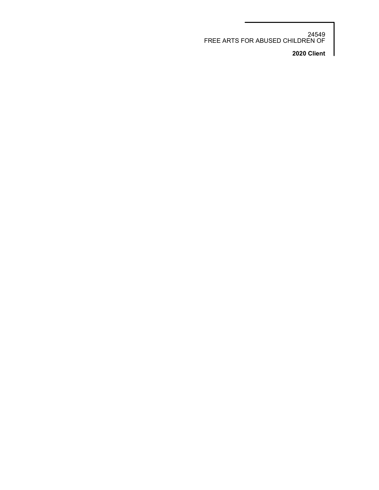24549 FREE ARTS FOR ABUSED CHILDREN OF

2020 Client

I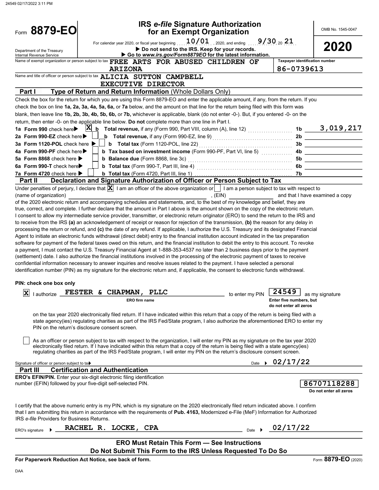| Form 8879-EO                                                                 |                                                  | <b>IRS e-file Signature Authorization</b><br>for an Exempt Organization                                                                                                                                                                                                         |                                        |                                                   | OMB No. 1545-0047               |
|------------------------------------------------------------------------------|--------------------------------------------------|---------------------------------------------------------------------------------------------------------------------------------------------------------------------------------------------------------------------------------------------------------------------------------|----------------------------------------|---------------------------------------------------|---------------------------------|
| Department of the Treasury<br>Internal Revenue Service                       | For calendar year 2020, or fiscal year beginning | Do not send to the IRS. Keep for your records.<br>Go to www.irs.gov/Form8879EO for the latest information.                                                                                                                                                                      | $10/01$ , 2020, and ending 9/30, 20 21 |                                                   | 2020                            |
|                                                                              | <b>ARIZONA</b>                                   | Name of exempt organization or person subject to tax FREE ARTS FOR ABUSED CHILDREN OF                                                                                                                                                                                           |                                        | Taxpayer identification number<br>86-0739613      |                                 |
|                                                                              |                                                  | Name and title of officer or person subject to tax ALICIA SUTTON CAMPBELL                                                                                                                                                                                                       |                                        |                                                   |                                 |
|                                                                              |                                                  | <b>EXECUTIVE DIRECTOR</b>                                                                                                                                                                                                                                                       |                                        |                                                   |                                 |
| Part I                                                                       |                                                  | Type of Return and Return Information (Whole Dollars Only)                                                                                                                                                                                                                      |                                        |                                                   |                                 |
|                                                                              |                                                  | Check the box for the return for which you are using this Form 8879-EO and enter the applicable amount, if any, from the return. If you<br>check the box on line 1a, 2a, 3a, 4a, 5a, 6a, or 7a below, and the amount on that line for the return being filed with this form was |                                        |                                                   |                                 |
|                                                                              |                                                  | blank, then leave line 1b, 2b, 3b, 4b, 5b, 6b, or 7b, whichever is applicable, blank (do not enter -0-). But, if you entered -0- on the                                                                                                                                         |                                        |                                                   |                                 |
|                                                                              |                                                  | return, then enter -0- on the applicable line below. Do not complete more than one line in Part I.                                                                                                                                                                              |                                        |                                                   |                                 |
| 1a Form 990 check here                                                       | $ {\bf X} $                                      | b Total revenue, if any (Form 990, Part VIII, column (A), line 12)                                                                                                                                                                                                              |                                        | 1b                                                | 3,019,217                       |
| 2a Form 990-EZ check here                                                    |                                                  |                                                                                                                                                                                                                                                                                 |                                        | 2b                                                |                                 |
| 3a Form 1120-POL check here                                                  |                                                  |                                                                                                                                                                                                                                                                                 |                                        | 3b                                                |                                 |
| 4a Form 990-PF check here                                                    |                                                  | <b>b</b> Tax based on investment income (Form 990-PF, Part VI, line 5)                                                                                                                                                                                                          |                                        | 4b                                                |                                 |
| 5a Form 8868 check here ▶                                                    |                                                  | <b>b</b> Balance due (Form 8868, line 3c)                                                                                                                                                                                                                                       |                                        | 5b                                                |                                 |
| 6a Form 990-T check here                                                     |                                                  |                                                                                                                                                                                                                                                                                 |                                        | 6b                                                |                                 |
| 7a Form 4720 check here ▶                                                    |                                                  |                                                                                                                                                                                                                                                                                 |                                        | 7b                                                |                                 |
| Part II                                                                      |                                                  | Declaration and Signature Authorization of Officer or Person Subject to Tax                                                                                                                                                                                                     |                                        |                                                   |                                 |
|                                                                              |                                                  | Under penalties of perjury, I declare that $ \mathbf{X} $ I am an officer of the above organization or $ $ I am a person subject to tax with respect to                                                                                                                         |                                        |                                                   |                                 |
| (name of organization)                                                       |                                                  |                                                                                                                                                                                                                                                                                 | , $(EIN)$                              |                                                   | and that I have examined a copy |
|                                                                              |                                                  | of the 2020 electronic return and accompanying schedules and statements, and, to the best of my knowledge and belief, they are                                                                                                                                                  |                                        |                                                   |                                 |
|                                                                              |                                                  | true, correct, and complete. I further declare that the amount in Part I above is the amount shown on the copy of the electronic return.                                                                                                                                        |                                        |                                                   |                                 |
|                                                                              |                                                  | I consent to allow my intermediate service provider, transmitter, or electronic return originator (ERO) to send the return to the IRS and                                                                                                                                       |                                        |                                                   |                                 |
|                                                                              |                                                  | to receive from the IRS (a) an acknowledgement of receipt or reason for rejection of the transmission, (b) the reason for any delay in                                                                                                                                          |                                        |                                                   |                                 |
|                                                                              |                                                  | processing the return or refund, and (c) the date of any refund. If applicable, I authorize the U.S. Treasury and its designated Financial                                                                                                                                      |                                        |                                                   |                                 |
|                                                                              |                                                  | Agent to initiate an electronic funds withdrawal (direct debit) entry to the financial institution account indicated in the tax preparation                                                                                                                                     |                                        |                                                   |                                 |
|                                                                              |                                                  | software for payment of the federal taxes owed on this return, and the financial institution to debit the entry to this account. To revoke                                                                                                                                      |                                        |                                                   |                                 |
|                                                                              |                                                  | a payment, I must contact the U.S. Treasury Financial Agent at 1-888-353-4537 no later than 2 business days prior to the payment                                                                                                                                                |                                        |                                                   |                                 |
|                                                                              |                                                  | (settlement) date. I also authorize the financial institutions involved in the processing of the electronic payment of taxes to receive                                                                                                                                         |                                        |                                                   |                                 |
|                                                                              |                                                  | confidential information necessary to answer inquiries and resolve issues related to the payment. I have selected a personal                                                                                                                                                    |                                        |                                                   |                                 |
|                                                                              |                                                  | identification number (PIN) as my signature for the electronic return and, if applicable, the consent to electronic funds withdrawal.                                                                                                                                           |                                        |                                                   |                                 |
| PIN: check one box only                                                      |                                                  |                                                                                                                                                                                                                                                                                 |                                        |                                                   |                                 |
| $ \mathbf{x} $                                                               | & CHAPMAN,<br><b>FESTER</b>                      | PLLC                                                                                                                                                                                                                                                                            |                                        | 24549                                             |                                 |
| I authorize _                                                                |                                                  |                                                                                                                                                                                                                                                                                 | to enter my PIN                        |                                                   | 」 as my signature               |
|                                                                              |                                                  | ERO firm name                                                                                                                                                                                                                                                                   |                                        | Enter five numbers, but<br>do not enter all zeros |                                 |
|                                                                              |                                                  |                                                                                                                                                                                                                                                                                 |                                        |                                                   |                                 |
|                                                                              |                                                  | on the tax year 2020 electronically filed return. If I have indicated within this return that a copy of the return is being filed with a<br>state agency(ies) regulating charities as part of the IRS Fed/State program, I also authorize the aforementioned ERO to enter my    |                                        |                                                   |                                 |
|                                                                              | PIN on the return's disclosure consent screen.   |                                                                                                                                                                                                                                                                                 |                                        |                                                   |                                 |
|                                                                              |                                                  |                                                                                                                                                                                                                                                                                 |                                        |                                                   |                                 |
|                                                                              |                                                  | As an officer or person subject to tax with respect to the organization, I will enter my PIN as my signature on the tax year 2020                                                                                                                                               |                                        |                                                   |                                 |
|                                                                              |                                                  | electronically filed return. If I have indicated within this return that a copy of the return is being filed with a state agency(ies)                                                                                                                                           |                                        |                                                   |                                 |
|                                                                              |                                                  | regulating charities as part of the IRS Fed/State program, I will enter my PIN on the return's disclosure consent screen.                                                                                                                                                       |                                        |                                                   |                                 |
| Signature of officer or person subject to tax                                |                                                  |                                                                                                                                                                                                                                                                                 |                                        | Date $\rightarrow$ 02/17/22                       |                                 |
| Part III                                                                     | <b>Certification and Authentication</b>          |                                                                                                                                                                                                                                                                                 |                                        |                                                   |                                 |
| <b>ERO's EFIN/PIN.</b> Enter your six-digit electronic filing identification |                                                  |                                                                                                                                                                                                                                                                                 |                                        |                                                   |                                 |
| number (EFIN) followed by your five-digit self-selected PIN.                 |                                                  |                                                                                                                                                                                                                                                                                 |                                        |                                                   | 86707118288                     |
|                                                                              |                                                  |                                                                                                                                                                                                                                                                                 |                                        |                                                   | Do not enter all zeros          |
|                                                                              |                                                  |                                                                                                                                                                                                                                                                                 |                                        |                                                   |                                 |
|                                                                              |                                                  | I certify that the above numeric entry is my PIN, which is my signature on the 2020 electronically filed return indicated above. I confirm                                                                                                                                      |                                        |                                                   |                                 |
|                                                                              |                                                  | that I am submitting this return in accordance with the requirements of Pub. 4163, Modernized e-File (MeF) Information for Authorized                                                                                                                                           |                                        |                                                   |                                 |
| IRS e-file Providers for Business Returns.                                   |                                                  |                                                                                                                                                                                                                                                                                 |                                        |                                                   |                                 |
| ERO's signature                                                              | RACHEL R. LOCKE,                                 | <b>CPA</b>                                                                                                                                                                                                                                                                      | Date $\rightarrow$                     | 02/17/22                                          |                                 |
|                                                                              |                                                  |                                                                                                                                                                                                                                                                                 |                                        |                                                   |                                 |
|                                                                              |                                                  | <b>ERO Must Retain This Form - See Instructions</b>                                                                                                                                                                                                                             |                                        |                                                   |                                 |
|                                                                              |                                                  | Do Not Submit This Form to the IRS Unless Requested To Do So                                                                                                                                                                                                                    |                                        |                                                   | 0070 FC                         |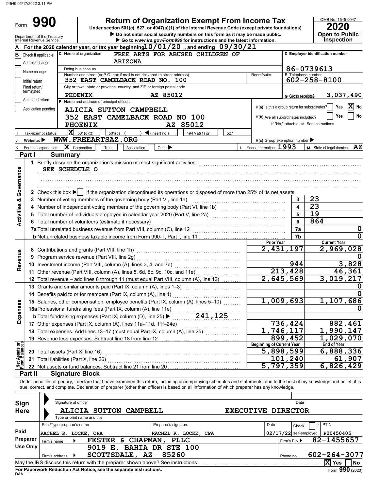24549 02/17/2022 3:11 PM

| Do not enter social security numbers on this form as it may be made public.<br>Department of the Treasury<br>Go to www.irs.gov/Form990 for instructions and the latest information.<br>Internal Revenue Service<br>For the 2020 calendar year, or tax year beginning $10/01/20$ , and ending $09/30/21$<br>C Name of organization<br>FREE ARTS FOR ABUSED CHILDREN OF<br><b>B</b> Check if applicable:<br><b>ARIZONA</b><br>Address change<br>Doing business as<br>Name change<br>Number and street (or P.O. box if mail is not delivered to street address)<br>352 EAST CAMELBACK ROAD NO. 100<br>Initial return<br>City or town, state or province, country, and ZIP or foreign postal code<br>Final return/<br>terminated<br>AZ 85012<br><b>PHOENIX</b><br>Amended return<br>F Name and address of principal officer:<br>Application pending<br>ALICIA SUTTON CAMPBELL<br>352 EAST CAMELBACK ROAD NO 100<br>AZ 85012<br><b>PHOENIX</b><br>$X = 501(c)(3)$<br>501(c)<br>$\blacktriangleleft$ (insert no.)<br>4947(a)(1) or<br>Tax-exempt status:<br>527<br>WWW.FREEARTSAZ.ORG<br>Website: $\blacktriangleright$<br>$ \mathbf{X} $ Corporation<br>Other $\blacktriangleright$<br>Form of organization:<br>Trust<br>Association<br>κ<br>Part I<br><b>Summary</b><br>Briefly describe the organization's mission or most significant activities:<br>1<br>Governance<br>SEE SCHEDULE O<br>if the organization discontinued its operations or disposed of more than 25% of its net assets.<br>2 Check this box $\blacktriangleright$<br><b>Activities &amp;</b><br>4 Number of independent voting members of the governing body (Part VI, line 1b) [1] [1] [1] Number of independent voting members of the governing body (Part VI, line 1b)<br>5 Total number of individuals employed in calendar year 2020 (Part V, line 2a) [[[[[[[[[[[[[[[[[[[[[[[[[[[[[[<br>6 Total number of volunteers (estimate if necessary)<br>7a Total unrelated business revenue from Part VIII, column (C), line 12<br>8 Contributions and grants (Part VIII, line 1h)<br>Revenue<br>9 Program service revenue (Part VIII, line 2g)<br>11 Other revenue (Part VIII, column (A), lines 5, 6d, 8c, 9c, 10c, and 11e) | Room/suite<br>H(a) Is this a group return for subordinates?<br>H(b) Are all subordinates included?<br>$H(c)$ Group exemption number<br>L Year of formation: 1993 | G Gross receipts\$<br>3<br>$\overline{\mathbf{A}}$ | <b>Open to Public</b><br>Inspection<br>D Employer identification number<br>86-0739613<br><b>E</b> Telephone number<br>$602 - 258 - 8100$<br>3,037,490<br>X<br>Yes<br>No<br>Yes<br>No<br>If "No," attach a list. See instructions<br>M State of legal domicile: AZ<br>23<br>23 |
|----------------------------------------------------------------------------------------------------------------------------------------------------------------------------------------------------------------------------------------------------------------------------------------------------------------------------------------------------------------------------------------------------------------------------------------------------------------------------------------------------------------------------------------------------------------------------------------------------------------------------------------------------------------------------------------------------------------------------------------------------------------------------------------------------------------------------------------------------------------------------------------------------------------------------------------------------------------------------------------------------------------------------------------------------------------------------------------------------------------------------------------------------------------------------------------------------------------------------------------------------------------------------------------------------------------------------------------------------------------------------------------------------------------------------------------------------------------------------------------------------------------------------------------------------------------------------------------------------------------------------------------------------------------------------------------------------------------------------------------------------------------------------------------------------------------------------------------------------------------------------------------------------------------------------------------------------------------------------------------------------------------------------------------------------------------------------------------------------------------------------------------------------------------------------------------------|------------------------------------------------------------------------------------------------------------------------------------------------------------------|----------------------------------------------------|-------------------------------------------------------------------------------------------------------------------------------------------------------------------------------------------------------------------------------------------------------------------------------|
|                                                                                                                                                                                                                                                                                                                                                                                                                                                                                                                                                                                                                                                                                                                                                                                                                                                                                                                                                                                                                                                                                                                                                                                                                                                                                                                                                                                                                                                                                                                                                                                                                                                                                                                                                                                                                                                                                                                                                                                                                                                                                                                                                                                              |                                                                                                                                                                  |                                                    |                                                                                                                                                                                                                                                                               |
|                                                                                                                                                                                                                                                                                                                                                                                                                                                                                                                                                                                                                                                                                                                                                                                                                                                                                                                                                                                                                                                                                                                                                                                                                                                                                                                                                                                                                                                                                                                                                                                                                                                                                                                                                                                                                                                                                                                                                                                                                                                                                                                                                                                              |                                                                                                                                                                  |                                                    |                                                                                                                                                                                                                                                                               |
|                                                                                                                                                                                                                                                                                                                                                                                                                                                                                                                                                                                                                                                                                                                                                                                                                                                                                                                                                                                                                                                                                                                                                                                                                                                                                                                                                                                                                                                                                                                                                                                                                                                                                                                                                                                                                                                                                                                                                                                                                                                                                                                                                                                              |                                                                                                                                                                  |                                                    |                                                                                                                                                                                                                                                                               |
|                                                                                                                                                                                                                                                                                                                                                                                                                                                                                                                                                                                                                                                                                                                                                                                                                                                                                                                                                                                                                                                                                                                                                                                                                                                                                                                                                                                                                                                                                                                                                                                                                                                                                                                                                                                                                                                                                                                                                                                                                                                                                                                                                                                              |                                                                                                                                                                  |                                                    |                                                                                                                                                                                                                                                                               |
|                                                                                                                                                                                                                                                                                                                                                                                                                                                                                                                                                                                                                                                                                                                                                                                                                                                                                                                                                                                                                                                                                                                                                                                                                                                                                                                                                                                                                                                                                                                                                                                                                                                                                                                                                                                                                                                                                                                                                                                                                                                                                                                                                                                              |                                                                                                                                                                  |                                                    |                                                                                                                                                                                                                                                                               |
|                                                                                                                                                                                                                                                                                                                                                                                                                                                                                                                                                                                                                                                                                                                                                                                                                                                                                                                                                                                                                                                                                                                                                                                                                                                                                                                                                                                                                                                                                                                                                                                                                                                                                                                                                                                                                                                                                                                                                                                                                                                                                                                                                                                              |                                                                                                                                                                  |                                                    |                                                                                                                                                                                                                                                                               |
|                                                                                                                                                                                                                                                                                                                                                                                                                                                                                                                                                                                                                                                                                                                                                                                                                                                                                                                                                                                                                                                                                                                                                                                                                                                                                                                                                                                                                                                                                                                                                                                                                                                                                                                                                                                                                                                                                                                                                                                                                                                                                                                                                                                              |                                                                                                                                                                  |                                                    |                                                                                                                                                                                                                                                                               |
|                                                                                                                                                                                                                                                                                                                                                                                                                                                                                                                                                                                                                                                                                                                                                                                                                                                                                                                                                                                                                                                                                                                                                                                                                                                                                                                                                                                                                                                                                                                                                                                                                                                                                                                                                                                                                                                                                                                                                                                                                                                                                                                                                                                              |                                                                                                                                                                  |                                                    |                                                                                                                                                                                                                                                                               |
|                                                                                                                                                                                                                                                                                                                                                                                                                                                                                                                                                                                                                                                                                                                                                                                                                                                                                                                                                                                                                                                                                                                                                                                                                                                                                                                                                                                                                                                                                                                                                                                                                                                                                                                                                                                                                                                                                                                                                                                                                                                                                                                                                                                              |                                                                                                                                                                  |                                                    |                                                                                                                                                                                                                                                                               |
|                                                                                                                                                                                                                                                                                                                                                                                                                                                                                                                                                                                                                                                                                                                                                                                                                                                                                                                                                                                                                                                                                                                                                                                                                                                                                                                                                                                                                                                                                                                                                                                                                                                                                                                                                                                                                                                                                                                                                                                                                                                                                                                                                                                              |                                                                                                                                                                  |                                                    |                                                                                                                                                                                                                                                                               |
|                                                                                                                                                                                                                                                                                                                                                                                                                                                                                                                                                                                                                                                                                                                                                                                                                                                                                                                                                                                                                                                                                                                                                                                                                                                                                                                                                                                                                                                                                                                                                                                                                                                                                                                                                                                                                                                                                                                                                                                                                                                                                                                                                                                              |                                                                                                                                                                  |                                                    |                                                                                                                                                                                                                                                                               |
|                                                                                                                                                                                                                                                                                                                                                                                                                                                                                                                                                                                                                                                                                                                                                                                                                                                                                                                                                                                                                                                                                                                                                                                                                                                                                                                                                                                                                                                                                                                                                                                                                                                                                                                                                                                                                                                                                                                                                                                                                                                                                                                                                                                              |                                                                                                                                                                  |                                                    |                                                                                                                                                                                                                                                                               |
|                                                                                                                                                                                                                                                                                                                                                                                                                                                                                                                                                                                                                                                                                                                                                                                                                                                                                                                                                                                                                                                                                                                                                                                                                                                                                                                                                                                                                                                                                                                                                                                                                                                                                                                                                                                                                                                                                                                                                                                                                                                                                                                                                                                              |                                                                                                                                                                  |                                                    |                                                                                                                                                                                                                                                                               |
|                                                                                                                                                                                                                                                                                                                                                                                                                                                                                                                                                                                                                                                                                                                                                                                                                                                                                                                                                                                                                                                                                                                                                                                                                                                                                                                                                                                                                                                                                                                                                                                                                                                                                                                                                                                                                                                                                                                                                                                                                                                                                                                                                                                              |                                                                                                                                                                  |                                                    |                                                                                                                                                                                                                                                                               |
|                                                                                                                                                                                                                                                                                                                                                                                                                                                                                                                                                                                                                                                                                                                                                                                                                                                                                                                                                                                                                                                                                                                                                                                                                                                                                                                                                                                                                                                                                                                                                                                                                                                                                                                                                                                                                                                                                                                                                                                                                                                                                                                                                                                              |                                                                                                                                                                  |                                                    |                                                                                                                                                                                                                                                                               |
|                                                                                                                                                                                                                                                                                                                                                                                                                                                                                                                                                                                                                                                                                                                                                                                                                                                                                                                                                                                                                                                                                                                                                                                                                                                                                                                                                                                                                                                                                                                                                                                                                                                                                                                                                                                                                                                                                                                                                                                                                                                                                                                                                                                              |                                                                                                                                                                  |                                                    |                                                                                                                                                                                                                                                                               |
|                                                                                                                                                                                                                                                                                                                                                                                                                                                                                                                                                                                                                                                                                                                                                                                                                                                                                                                                                                                                                                                                                                                                                                                                                                                                                                                                                                                                                                                                                                                                                                                                                                                                                                                                                                                                                                                                                                                                                                                                                                                                                                                                                                                              |                                                                                                                                                                  |                                                    |                                                                                                                                                                                                                                                                               |
|                                                                                                                                                                                                                                                                                                                                                                                                                                                                                                                                                                                                                                                                                                                                                                                                                                                                                                                                                                                                                                                                                                                                                                                                                                                                                                                                                                                                                                                                                                                                                                                                                                                                                                                                                                                                                                                                                                                                                                                                                                                                                                                                                                                              |                                                                                                                                                                  |                                                    |                                                                                                                                                                                                                                                                               |
|                                                                                                                                                                                                                                                                                                                                                                                                                                                                                                                                                                                                                                                                                                                                                                                                                                                                                                                                                                                                                                                                                                                                                                                                                                                                                                                                                                                                                                                                                                                                                                                                                                                                                                                                                                                                                                                                                                                                                                                                                                                                                                                                                                                              |                                                                                                                                                                  |                                                    |                                                                                                                                                                                                                                                                               |
|                                                                                                                                                                                                                                                                                                                                                                                                                                                                                                                                                                                                                                                                                                                                                                                                                                                                                                                                                                                                                                                                                                                                                                                                                                                                                                                                                                                                                                                                                                                                                                                                                                                                                                                                                                                                                                                                                                                                                                                                                                                                                                                                                                                              |                                                                                                                                                                  | 5                                                  | 19                                                                                                                                                                                                                                                                            |
|                                                                                                                                                                                                                                                                                                                                                                                                                                                                                                                                                                                                                                                                                                                                                                                                                                                                                                                                                                                                                                                                                                                                                                                                                                                                                                                                                                                                                                                                                                                                                                                                                                                                                                                                                                                                                                                                                                                                                                                                                                                                                                                                                                                              |                                                                                                                                                                  | 6                                                  | 864                                                                                                                                                                                                                                                                           |
|                                                                                                                                                                                                                                                                                                                                                                                                                                                                                                                                                                                                                                                                                                                                                                                                                                                                                                                                                                                                                                                                                                                                                                                                                                                                                                                                                                                                                                                                                                                                                                                                                                                                                                                                                                                                                                                                                                                                                                                                                                                                                                                                                                                              |                                                                                                                                                                  | 7a                                                 | $\mathbf 0$                                                                                                                                                                                                                                                                   |
|                                                                                                                                                                                                                                                                                                                                                                                                                                                                                                                                                                                                                                                                                                                                                                                                                                                                                                                                                                                                                                                                                                                                                                                                                                                                                                                                                                                                                                                                                                                                                                                                                                                                                                                                                                                                                                                                                                                                                                                                                                                                                                                                                                                              |                                                                                                                                                                  | 7b                                                 | 0                                                                                                                                                                                                                                                                             |
|                                                                                                                                                                                                                                                                                                                                                                                                                                                                                                                                                                                                                                                                                                                                                                                                                                                                                                                                                                                                                                                                                                                                                                                                                                                                                                                                                                                                                                                                                                                                                                                                                                                                                                                                                                                                                                                                                                                                                                                                                                                                                                                                                                                              | <b>Prior Year</b><br>2,431,197                                                                                                                                   |                                                    | <b>Current Year</b><br>2,969,028                                                                                                                                                                                                                                              |
|                                                                                                                                                                                                                                                                                                                                                                                                                                                                                                                                                                                                                                                                                                                                                                                                                                                                                                                                                                                                                                                                                                                                                                                                                                                                                                                                                                                                                                                                                                                                                                                                                                                                                                                                                                                                                                                                                                                                                                                                                                                                                                                                                                                              |                                                                                                                                                                  |                                                    |                                                                                                                                                                                                                                                                               |
|                                                                                                                                                                                                                                                                                                                                                                                                                                                                                                                                                                                                                                                                                                                                                                                                                                                                                                                                                                                                                                                                                                                                                                                                                                                                                                                                                                                                                                                                                                                                                                                                                                                                                                                                                                                                                                                                                                                                                                                                                                                                                                                                                                                              |                                                                                                                                                                  | 944                                                | 3,828                                                                                                                                                                                                                                                                         |
|                                                                                                                                                                                                                                                                                                                                                                                                                                                                                                                                                                                                                                                                                                                                                                                                                                                                                                                                                                                                                                                                                                                                                                                                                                                                                                                                                                                                                                                                                                                                                                                                                                                                                                                                                                                                                                                                                                                                                                                                                                                                                                                                                                                              |                                                                                                                                                                  | 213,428                                            | 46,361                                                                                                                                                                                                                                                                        |
| 12 Total revenue - add lines 8 through 11 (must equal Part VIII, column (A), line 12)                                                                                                                                                                                                                                                                                                                                                                                                                                                                                                                                                                                                                                                                                                                                                                                                                                                                                                                                                                                                                                                                                                                                                                                                                                                                                                                                                                                                                                                                                                                                                                                                                                                                                                                                                                                                                                                                                                                                                                                                                                                                                                        | 2,645,569                                                                                                                                                        |                                                    | 3,019,217                                                                                                                                                                                                                                                                     |
| 13 Grants and similar amounts paid (Part IX, column (A), lines 1–3)                                                                                                                                                                                                                                                                                                                                                                                                                                                                                                                                                                                                                                                                                                                                                                                                                                                                                                                                                                                                                                                                                                                                                                                                                                                                                                                                                                                                                                                                                                                                                                                                                                                                                                                                                                                                                                                                                                                                                                                                                                                                                                                          |                                                                                                                                                                  |                                                    | $\bf{0}$                                                                                                                                                                                                                                                                      |
| 14 Benefits paid to or for members (Part IX, column (A), line 4)                                                                                                                                                                                                                                                                                                                                                                                                                                                                                                                                                                                                                                                                                                                                                                                                                                                                                                                                                                                                                                                                                                                                                                                                                                                                                                                                                                                                                                                                                                                                                                                                                                                                                                                                                                                                                                                                                                                                                                                                                                                                                                                             |                                                                                                                                                                  |                                                    | 0                                                                                                                                                                                                                                                                             |
| 15 Salaries, other compensation, employee benefits (Part IX, column (A), lines 5-10)                                                                                                                                                                                                                                                                                                                                                                                                                                                                                                                                                                                                                                                                                                                                                                                                                                                                                                                                                                                                                                                                                                                                                                                                                                                                                                                                                                                                                                                                                                                                                                                                                                                                                                                                                                                                                                                                                                                                                                                                                                                                                                         | 1,009,693                                                                                                                                                        |                                                    | 1,107,686                                                                                                                                                                                                                                                                     |
| Expenses                                                                                                                                                                                                                                                                                                                                                                                                                                                                                                                                                                                                                                                                                                                                                                                                                                                                                                                                                                                                                                                                                                                                                                                                                                                                                                                                                                                                                                                                                                                                                                                                                                                                                                                                                                                                                                                                                                                                                                                                                                                                                                                                                                                     |                                                                                                                                                                  |                                                    | O                                                                                                                                                                                                                                                                             |
| <b>16a</b> Professional fundraising fees (Part IX, column (A), line 11e)<br><b>b</b> Total fundraising expenses (Part IX, column (D), line 25) <b>b</b> 241, 125                                                                                                                                                                                                                                                                                                                                                                                                                                                                                                                                                                                                                                                                                                                                                                                                                                                                                                                                                                                                                                                                                                                                                                                                                                                                                                                                                                                                                                                                                                                                                                                                                                                                                                                                                                                                                                                                                                                                                                                                                             |                                                                                                                                                                  |                                                    |                                                                                                                                                                                                                                                                               |
| 17 Other expenses (Part IX, column (A), lines 11a-11d, 11f-24e)                                                                                                                                                                                                                                                                                                                                                                                                                                                                                                                                                                                                                                                                                                                                                                                                                                                                                                                                                                                                                                                                                                                                                                                                                                                                                                                                                                                                                                                                                                                                                                                                                                                                                                                                                                                                                                                                                                                                                                                                                                                                                                                              |                                                                                                                                                                  | 736,424                                            | 882,461                                                                                                                                                                                                                                                                       |
| 18 Total expenses. Add lines 13-17 (must equal Part IX, column (A), line 25)                                                                                                                                                                                                                                                                                                                                                                                                                                                                                                                                                                                                                                                                                                                                                                                                                                                                                                                                                                                                                                                                                                                                                                                                                                                                                                                                                                                                                                                                                                                                                                                                                                                                                                                                                                                                                                                                                                                                                                                                                                                                                                                 | $\overline{1,746,117}$                                                                                                                                           |                                                    | 1,990,147                                                                                                                                                                                                                                                                     |
| 19 Revenue less expenses. Subtract line 18 from line 12                                                                                                                                                                                                                                                                                                                                                                                                                                                                                                                                                                                                                                                                                                                                                                                                                                                                                                                                                                                                                                                                                                                                                                                                                                                                                                                                                                                                                                                                                                                                                                                                                                                                                                                                                                                                                                                                                                                                                                                                                                                                                                                                      |                                                                                                                                                                  | 899,452                                            | 1,029,070                                                                                                                                                                                                                                                                     |
| 동히                                                                                                                                                                                                                                                                                                                                                                                                                                                                                                                                                                                                                                                                                                                                                                                                                                                                                                                                                                                                                                                                                                                                                                                                                                                                                                                                                                                                                                                                                                                                                                                                                                                                                                                                                                                                                                                                                                                                                                                                                                                                                                                                                                                           | <b>Beginning of Current Year</b>                                                                                                                                 |                                                    | End of Year                                                                                                                                                                                                                                                                   |
| Net Assets<br>Fund Balanc<br>20 Total assets (Part X, line 16)                                                                                                                                                                                                                                                                                                                                                                                                                                                                                                                                                                                                                                                                                                                                                                                                                                                                                                                                                                                                                                                                                                                                                                                                                                                                                                                                                                                                                                                                                                                                                                                                                                                                                                                                                                                                                                                                                                                                                                                                                                                                                                                               | 5,898,599                                                                                                                                                        |                                                    | 6,888,336                                                                                                                                                                                                                                                                     |
| 21 Total liabilities (Part X, line 26)<br>22 Net assets or fund balances. Subtract line 21 from line 20                                                                                                                                                                                                                                                                                                                                                                                                                                                                                                                                                                                                                                                                                                                                                                                                                                                                                                                                                                                                                                                                                                                                                                                                                                                                                                                                                                                                                                                                                                                                                                                                                                                                                                                                                                                                                                                                                                                                                                                                                                                                                      | 5,797,359                                                                                                                                                        | 101,240                                            | 61,907                                                                                                                                                                                                                                                                        |
|                                                                                                                                                                                                                                                                                                                                                                                                                                                                                                                                                                                                                                                                                                                                                                                                                                                                                                                                                                                                                                                                                                                                                                                                                                                                                                                                                                                                                                                                                                                                                                                                                                                                                                                                                                                                                                                                                                                                                                                                                                                                                                                                                                                              |                                                                                                                                                                  |                                                    | 6,826,429                                                                                                                                                                                                                                                                     |
| <b>Signature Block</b><br>Part II<br>Under penalties of perjury, I declare that I have examined this return, including accompanying schedules and statements, and to the best of my knowledge and belief, it is<br>true, correct, and complete. Declaration of preparer (other than officer) is based on all information of which preparer has any knowledge.<br>Signature of officer<br>Sign<br>Here<br>ALICIA SUTTON CAMPBELL                                                                                                                                                                                                                                                                                                                                                                                                                                                                                                                                                                                                                                                                                                                                                                                                                                                                                                                                                                                                                                                                                                                                                                                                                                                                                                                                                                                                                                                                                                                                                                                                                                                                                                                                                              | <b>EXECUTIVE DIRECTOR</b>                                                                                                                                        | Date                                               |                                                                                                                                                                                                                                                                               |
| Type or print name and title                                                                                                                                                                                                                                                                                                                                                                                                                                                                                                                                                                                                                                                                                                                                                                                                                                                                                                                                                                                                                                                                                                                                                                                                                                                                                                                                                                                                                                                                                                                                                                                                                                                                                                                                                                                                                                                                                                                                                                                                                                                                                                                                                                 |                                                                                                                                                                  |                                                    |                                                                                                                                                                                                                                                                               |
| Print/Type preparer's name<br>Preparer's signature                                                                                                                                                                                                                                                                                                                                                                                                                                                                                                                                                                                                                                                                                                                                                                                                                                                                                                                                                                                                                                                                                                                                                                                                                                                                                                                                                                                                                                                                                                                                                                                                                                                                                                                                                                                                                                                                                                                                                                                                                                                                                                                                           | Date                                                                                                                                                             | Check                                              | <b>PTIN</b><br>if                                                                                                                                                                                                                                                             |
| Paid<br>RACHEL R. LOCKE, CPA<br>RACHEL R. LOCKE, CPA                                                                                                                                                                                                                                                                                                                                                                                                                                                                                                                                                                                                                                                                                                                                                                                                                                                                                                                                                                                                                                                                                                                                                                                                                                                                                                                                                                                                                                                                                                                                                                                                                                                                                                                                                                                                                                                                                                                                                                                                                                                                                                                                         |                                                                                                                                                                  | $02/17/22$ self-employed                           | P00450405                                                                                                                                                                                                                                                                     |
| Preparer<br>FESTER & CHAPMAN, PLLC<br>Firm's name                                                                                                                                                                                                                                                                                                                                                                                                                                                                                                                                                                                                                                                                                                                                                                                                                                                                                                                                                                                                                                                                                                                                                                                                                                                                                                                                                                                                                                                                                                                                                                                                                                                                                                                                                                                                                                                                                                                                                                                                                                                                                                                                            |                                                                                                                                                                  | Firm's EIN ▶                                       | 82-1455657                                                                                                                                                                                                                                                                    |
| <b>Use Only</b><br>9019 E. BAHIA DR STE 100                                                                                                                                                                                                                                                                                                                                                                                                                                                                                                                                                                                                                                                                                                                                                                                                                                                                                                                                                                                                                                                                                                                                                                                                                                                                                                                                                                                                                                                                                                                                                                                                                                                                                                                                                                                                                                                                                                                                                                                                                                                                                                                                                  |                                                                                                                                                                  |                                                    |                                                                                                                                                                                                                                                                               |
| 85260<br>SCOTTSDALE, AZ<br>Firm's address                                                                                                                                                                                                                                                                                                                                                                                                                                                                                                                                                                                                                                                                                                                                                                                                                                                                                                                                                                                                                                                                                                                                                                                                                                                                                                                                                                                                                                                                                                                                                                                                                                                                                                                                                                                                                                                                                                                                                                                                                                                                                                                                                    |                                                                                                                                                                  | Phone no.                                          | 602-264-3077                                                                                                                                                                                                                                                                  |

| Sign        |                            | Signature of officer                          |                                                                  |                    | Date                                                                            |  |      |                          |  |                    |           |
|-------------|----------------------------|-----------------------------------------------|------------------------------------------------------------------|--------------------|---------------------------------------------------------------------------------|--|------|--------------------------|--|--------------------|-----------|
| <b>Here</b> |                            | ALICIA SUTTON<br>Type or print name and title |                                                                  | EXECUTIVE DIRECTOR |                                                                                 |  |      |                          |  |                    |           |
|             | Print/Type preparer's name |                                               |                                                                  |                    | Preparer's signature                                                            |  | Date | Check                    |  | <b>PTIN</b>        |           |
| Paid        | RACHEL R. LOCKE, CPA       |                                               |                                                                  |                    | RACHEL R. LOCKE, CPA                                                            |  |      | $02/17/22$ self-employed |  | P00450405          |           |
| Preparer    | Firm's name                |                                               | <b>FESTER</b><br>£.                                              | <b>CHAPMAN</b>     | <b>PLLC</b>                                                                     |  |      | Firm's $EIN$             |  | 82-1455657         |           |
| Use Only    |                            |                                               | 9019<br>E.                                                       |                    | <b>BAHIA DR STE 100</b>                                                         |  |      |                          |  |                    |           |
|             | Firm's address             |                                               | <b>SCOTTSDALE, AZ</b>                                            |                    | 85260                                                                           |  |      | Phone no.                |  | $602 - 264 - 3077$ |           |
|             |                            |                                               |                                                                  |                    | May the IRS discuss this return with the preparer shown above? See instructions |  |      |                          |  | $ X $ Yes          | <b>No</b> |
|             |                            |                                               | For Denominal Dedication, Act Notice, and the expense instruming |                    |                                                                                 |  |      |                          |  |                    | 0.00      |

For Paperwork Reduction Act Notice, see the separate instructions.<br><sub>DAA</sub>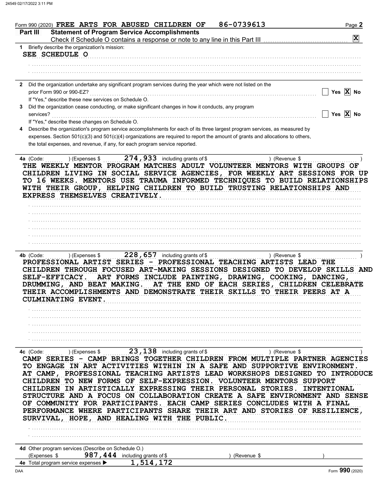|   | <b>Statement of Program Service Accomplishments</b><br>Part III                                                                                                                                                                                                                                                  | $\overline{\mathbf{x}}$ |
|---|------------------------------------------------------------------------------------------------------------------------------------------------------------------------------------------------------------------------------------------------------------------------------------------------------------------|-------------------------|
|   | 1 Briefly describe the organization's mission:                                                                                                                                                                                                                                                                   |                         |
|   | SEE SCHEDULE O                                                                                                                                                                                                                                                                                                   |                         |
|   |                                                                                                                                                                                                                                                                                                                  |                         |
|   |                                                                                                                                                                                                                                                                                                                  |                         |
|   |                                                                                                                                                                                                                                                                                                                  |                         |
|   | 2 Did the organization undertake any significant program services during the year which were not listed on the                                                                                                                                                                                                   |                         |
|   | prior Form 990 or 990-EZ?                                                                                                                                                                                                                                                                                        | Yes $X$ No              |
|   | If "Yes," describe these new services on Schedule O.                                                                                                                                                                                                                                                             |                         |
| 3 | Did the organization cease conducting, or make significant changes in how it conducts, any program                                                                                                                                                                                                               | Yes $\overline{X}$ No   |
|   | services?<br>If "Yes," describe these changes on Schedule O.                                                                                                                                                                                                                                                     |                         |
|   | Describe the organization's program service accomplishments for each of its three largest program services, as measured by                                                                                                                                                                                       |                         |
|   | expenses. Section $501(c)(3)$ and $501(c)(4)$ organizations are required to report the amount of grants and allocations to others,                                                                                                                                                                               |                         |
|   | the total expenses, and revenue, if any, for each program service reported.                                                                                                                                                                                                                                      |                         |
|   |                                                                                                                                                                                                                                                                                                                  |                         |
|   | THE WEEKLY MENTOR PROGRAM MATCHES ADULT VOLUNTEER MENTORS WITH GROUPS OF<br>CHILDREN LIVING IN SOCIAL SERVICE AGENCIES, FOR WEEKLY ART SESSIONS FOR UP<br>TO 16 WEEKS. MENTORS USE TRAUMA INFORMED TECHNIQUES TO BUILD RELATIONSHIPS<br>WITH THEIR GROUP, HELPING CHILDREN TO BUILD TRUSTING RELATIONSHIPS AND   |                         |
|   | EXPRESS THEMSELVES CREATIVELY.                                                                                                                                                                                                                                                                                   |                         |
|   |                                                                                                                                                                                                                                                                                                                  |                         |
|   |                                                                                                                                                                                                                                                                                                                  |                         |
|   |                                                                                                                                                                                                                                                                                                                  |                         |
|   |                                                                                                                                                                                                                                                                                                                  |                         |
|   |                                                                                                                                                                                                                                                                                                                  |                         |
|   |                                                                                                                                                                                                                                                                                                                  |                         |
|   | 228, 657 including grants of \$<br>4b (Code:<br>) (Expenses \$<br>) (Revenue \$<br>PROFESSIONAL ARTIST SERIES - PROFESSIONAL TEACHING ARTISTS LEAD THE                                                                                                                                                           |                         |
|   | CHILDREN THROUGH FOCUSED ART-MAKING SESSIONS DESIGNED TO DEVELOP SKILLS AND<br>ART FORMS INCLUDE PAINTING, DRAWING, COOKING, DANCING,<br>SELF-EFFICACY.<br>AT THE END OF EACH SERIES, CHILDREN CELEBRATE<br>DRUMMING, AND BEAT MAKING.<br>THEIR ACCOMPLISHMENTS AND DEMONSTRATE THEIR SKILLS TO THEIR PEERS AT A |                         |
|   | CIILMINATING EVENT                                                                                                                                                                                                                                                                                               |                         |
|   |                                                                                                                                                                                                                                                                                                                  |                         |
|   |                                                                                                                                                                                                                                                                                                                  |                         |
|   |                                                                                                                                                                                                                                                                                                                  |                         |
|   |                                                                                                                                                                                                                                                                                                                  |                         |
|   |                                                                                                                                                                                                                                                                                                                  |                         |
|   | 23, 138 including grants of \$<br>4c (Code:<br>) (Expenses \$<br>) (Revenue \$                                                                                                                                                                                                                                   |                         |
|   | CAMP SERIES - CAMP BRINGS TOGETHER CHILDREN FROM MULTIPLE PARTNER AGENCIES                                                                                                                                                                                                                                       |                         |
|   | TO ENGAGE IN ART ACTIVITIES WITHIN IN A SAFE AND SUPPORTIVE ENVIRONMENT                                                                                                                                                                                                                                          |                         |
|   | AT CAMP, PROFESSIONAL TEACHING ARTISTS LEAD WORKSHOPS DESIGNED TO INTRODUCE                                                                                                                                                                                                                                      |                         |
|   | CHILDREN TO NEW FORMS OF SELF-EXPRESSION. VOLUNTEER MENTORS SUPPORT                                                                                                                                                                                                                                              |                         |
|   | CHILDREN IN ARTISTICALLY EXPRESSING THEIR PERSONAL STORIES.<br>STRUCTURE AND A FOCUS ON COLLABORATION CREATE A SAFE ENVIRONMENT AND SENSE                                                                                                                                                                        | <b>INTENTIONAL</b>      |
|   | OF COMMUNITY FOR PARTICIPANTS. EACH CAMP SERIES CONCLUDES WITH A FINAL                                                                                                                                                                                                                                           |                         |
|   | PERFORMANCE WHERE PARTICIPANTS SHARE THEIR ART AND STORIES OF RESILIENCE,                                                                                                                                                                                                                                        |                         |
|   | SURVIVAL, HOPE, AND HEALING WITH THE PUBLIC.                                                                                                                                                                                                                                                                     |                         |
|   |                                                                                                                                                                                                                                                                                                                  |                         |
|   |                                                                                                                                                                                                                                                                                                                  |                         |
|   |                                                                                                                                                                                                                                                                                                                  |                         |
|   | 4d Other program services (Describe on Schedule O.)<br>987, 444 including grants of \$<br>(Expenses \$<br>(Revenue \$                                                                                                                                                                                            |                         |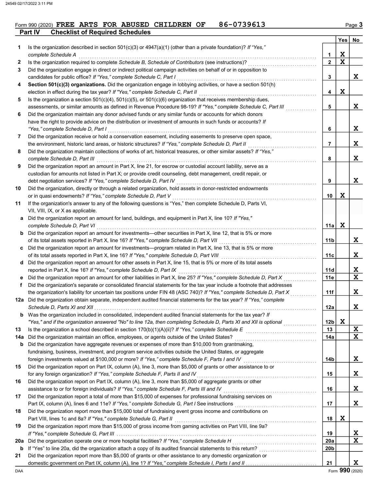## **Part IV** Checklist of Required Schedules Form 990 (2020) FREE ARTS FOR ABUSED CHILDREN OF  $86-0739613$  Page 3

|     |                                                                                                                                                                                                                                                  |                 | Yes         | No     |
|-----|--------------------------------------------------------------------------------------------------------------------------------------------------------------------------------------------------------------------------------------------------|-----------------|-------------|--------|
| 1   | Is the organization described in section $501(c)(3)$ or $4947(a)(1)$ (other than a private foundation)? If "Yes,"                                                                                                                                |                 |             |        |
|     | complete Schedule A                                                                                                                                                                                                                              | 1               | X           |        |
| 2   | Is the organization required to complete Schedule B, Schedule of Contributors (see instructions)?                                                                                                                                                | $\mathbf{2}$    | $\mathbf x$ |        |
| 3   | Did the organization engage in direct or indirect political campaign activities on behalf of or in opposition to                                                                                                                                 |                 |             |        |
|     | candidates for public office? If "Yes," complete Schedule C, Part I                                                                                                                                                                              | 3               |             | X.     |
| 4   | Section 501(c)(3) organizations. Did the organization engage in lobbying activities, or have a section 501(h)                                                                                                                                    |                 |             |        |
|     | election in effect during the tax year? If "Yes," complete Schedule C, Part II                                                                                                                                                                   | 4               | X           |        |
| 5   | Is the organization a section $501(c)(4)$ , $501(c)(5)$ , or $501(c)(6)$ organization that receives membership dues,                                                                                                                             |                 |             |        |
|     | assessments, or similar amounts as defined in Revenue Procedure 98-19? If "Yes," complete Schedule C, Part III                                                                                                                                   | 5               |             | X.     |
| 6   | Did the organization maintain any donor advised funds or any similar funds or accounts for which donors                                                                                                                                          |                 |             |        |
|     | have the right to provide advice on the distribution or investment of amounts in such funds or accounts? If                                                                                                                                      |                 |             |        |
|     | "Yes," complete Schedule D, Part I                                                                                                                                                                                                               | 6               |             | X.     |
| 7   | Did the organization receive or hold a conservation easement, including easements to preserve open space,                                                                                                                                        |                 |             |        |
|     | the environment, historic land areas, or historic structures? If "Yes," complete Schedule D, Part II                                                                                                                                             | $\overline{7}$  |             | X.     |
| 8   | Did the organization maintain collections of works of art, historical treasures, or other similar assets? If "Yes,"<br>complete Schedule D, Part III                                                                                             | 8               |             | X.     |
| 9   | Did the organization report an amount in Part X, line 21, for escrow or custodial account liability, serve as a                                                                                                                                  |                 |             |        |
|     | custodian for amounts not listed in Part X; or provide credit counseling, debt management, credit repair, or                                                                                                                                     |                 |             |        |
|     | debt negotiation services? If "Yes," complete Schedule D, Part IV                                                                                                                                                                                | 9               |             | X.     |
| 10  | Did the organization, directly or through a related organization, hold assets in donor-restricted endowments                                                                                                                                     |                 |             |        |
|     | or in quasi endowments? If "Yes," complete Schedule D, Part V                                                                                                                                                                                    | 10              | X           |        |
| 11  | If the organization's answer to any of the following questions is "Yes," then complete Schedule D, Parts VI,                                                                                                                                     |                 |             |        |
|     | VII, VIII, IX, or X as applicable.                                                                                                                                                                                                               |                 |             |        |
|     | a Did the organization report an amount for land, buildings, and equipment in Part X, line 10? If "Yes,"                                                                                                                                         |                 |             |        |
|     | complete Schedule D, Part VI                                                                                                                                                                                                                     | 11a             | X           |        |
|     | <b>b</b> Did the organization report an amount for investments—other securities in Part X, line 12, that is 5% or more                                                                                                                           |                 |             |        |
|     | of its total assets reported in Part X, line 16? If "Yes," complete Schedule D, Part VII                                                                                                                                                         | 11b             |             | X.     |
|     | c Did the organization report an amount for investments—program related in Part X, line 13, that is 5% or more                                                                                                                                   |                 |             |        |
|     | of its total assets reported in Part X, line 16? If "Yes," complete Schedule D, Part VIII                                                                                                                                                        | 11c             |             | X      |
|     | d Did the organization report an amount for other assets in Part X, line 15, that is 5% or more of its total assets                                                                                                                              |                 |             | X      |
|     | reported in Part X, line 16? If "Yes," complete Schedule D, Part IX                                                                                                                                                                              | 11d<br>11e      |             | X      |
| f   | Did the organization report an amount for other liabilities in Part X, line 25? If "Yes," complete Schedule D, Part X<br>Did the organization's separate or consolidated financial statements for the tax year include a footnote that addresses |                 |             |        |
|     | the organization's liability for uncertain tax positions under FIN 48 (ASC 740)? If "Yes," complete Schedule D, Part X                                                                                                                           | 11f             |             | X      |
|     | 12a Did the organization obtain separate, independent audited financial statements for the tax year? If "Yes," complete                                                                                                                          |                 |             |        |
|     |                                                                                                                                                                                                                                                  | 12a             |             | X      |
|     | Was the organization included in consolidated, independent audited financial statements for the tax year? If                                                                                                                                     |                 |             |        |
|     | "Yes," and if the organization answered "No" to line 12a, then completing Schedule D, Parts XI and XII is optional                                                                                                                               | 12 <sub>b</sub> | X           |        |
| 13  |                                                                                                                                                                                                                                                  | 13              |             | X      |
| 14a | Did the organization maintain an office, employees, or agents outside of the United States?                                                                                                                                                      | 14a             |             | X      |
| b   | Did the organization have aggregate revenues or expenses of more than \$10,000 from grantmaking,                                                                                                                                                 |                 |             |        |
|     | fundraising, business, investment, and program service activities outside the United States, or aggregate                                                                                                                                        |                 |             |        |
|     | foreign investments valued at \$100,000 or more? If "Yes," complete Schedule F, Parts I and IV                                                                                                                                                   | 14b             |             | X      |
| 15  | Did the organization report on Part IX, column (A), line 3, more than \$5,000 of grants or other assistance to or                                                                                                                                |                 |             |        |
|     | for any foreign organization? If "Yes," complete Schedule F, Parts II and IV                                                                                                                                                                     | 15              |             | X      |
| 16  | Did the organization report on Part IX, column (A), line 3, more than \$5,000 of aggregate grants or other                                                                                                                                       |                 |             |        |
|     | assistance to or for foreign individuals? If "Yes," complete Schedule F, Parts III and IV                                                                                                                                                        | 16              |             | X      |
| 17  | Did the organization report a total of more than \$15,000 of expenses for professional fundraising services on                                                                                                                                   |                 |             |        |
|     |                                                                                                                                                                                                                                                  | 17              |             | X.     |
| 18  | Did the organization report more than \$15,000 total of fundraising event gross income and contributions on                                                                                                                                      |                 |             |        |
|     | Part VIII, lines 1c and 8a? If "Yes," complete Schedule G, Part II                                                                                                                                                                               | 18              | X           |        |
| 19  | Did the organization report more than \$15,000 of gross income from gaming activities on Part VIII, line 9a?                                                                                                                                     |                 |             |        |
|     | 20a Did the organization operate one or more hospital facilities? If "Yes," complete Schedule H <sub>……………………………………</sub>                                                                                                                        | 19<br>20a       |             | X<br>X |
| b   |                                                                                                                                                                                                                                                  | 20b             |             |        |
| 21  | Did the organization report more than \$5,000 of grants or other assistance to any domestic organization or                                                                                                                                      |                 |             |        |
|     |                                                                                                                                                                                                                                                  | 21              |             | X      |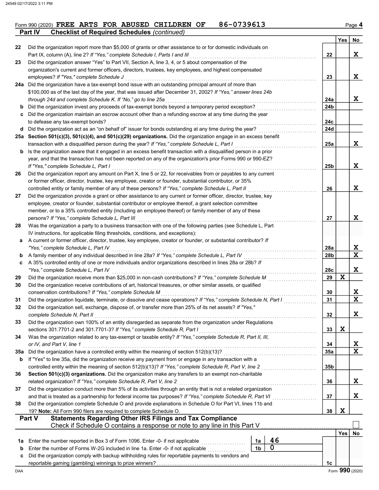## Form 990 (2020) FREE ARTS FOR ABUSED CHILDREN OF  $86-0739613$  Page 4 **Part IV** Checklist of Required Schedules (continued)

|        |                                                                                                                                                                                                                            |                |    |                 | Yes | No               |
|--------|----------------------------------------------------------------------------------------------------------------------------------------------------------------------------------------------------------------------------|----------------|----|-----------------|-----|------------------|
| 22     | Did the organization report more than \$5,000 of grants or other assistance to or for domestic individuals on                                                                                                              |                |    |                 |     |                  |
|        | Part IX, column (A), line 2? If "Yes," complete Schedule I, Parts I and III                                                                                                                                                |                |    | 22              |     | X                |
| 23     | Did the organization answer "Yes" to Part VII, Section A, line 3, 4, or 5 about compensation of the                                                                                                                        |                |    |                 |     |                  |
|        | organization's current and former officers, directors, trustees, key employees, and highest compensated                                                                                                                    |                |    |                 |     |                  |
|        | employees? If "Yes," complete Schedule J                                                                                                                                                                                   |                |    | 23              |     | X                |
|        | 24a Did the organization have a tax-exempt bond issue with an outstanding principal amount of more than                                                                                                                    |                |    |                 |     |                  |
|        | \$100,000 as of the last day of the year, that was issued after December 31, 2002? If "Yes," answer lines 24b                                                                                                              |                |    |                 |     |                  |
|        | through 24d and complete Schedule K. If "No," go to line 25a                                                                                                                                                               |                |    | 24a<br>24b      |     | X                |
| b<br>c | Did the organization invest any proceeds of tax-exempt bonds beyond a temporary period exception?<br>Did the organization maintain an escrow account other than a refunding escrow at any time during the year             |                |    |                 |     |                  |
|        | to defease any tax-exempt bonds?                                                                                                                                                                                           |                |    | 24c             |     |                  |
| d      | Did the organization act as an "on behalf of" issuer for bonds outstanding at any time during the year?                                                                                                                    |                |    | 24d             |     |                  |
|        | 25a Section 501(c)(3), 501(c)(4), and 501(c)(29) organizations. Did the organization engage in an excess benefit                                                                                                           |                |    |                 |     |                  |
|        | transaction with a disqualified person during the year? If "Yes," complete Schedule L, Part I                                                                                                                              |                |    | 25a             |     | X                |
|        | <b>b</b> Is the organization aware that it engaged in an excess benefit transaction with a disqualified person in a prior                                                                                                  |                |    |                 |     |                  |
|        | year, and that the transaction has not been reported on any of the organization's prior Forms 990 or 990-EZ?                                                                                                               |                |    |                 |     |                  |
|        | If "Yes," complete Schedule L, Part I                                                                                                                                                                                      |                |    | 25b             |     | X                |
| 26     | Did the organization report any amount on Part X, line 5 or 22, for receivables from or payables to any current                                                                                                            |                |    |                 |     |                  |
|        | or former officer, director, trustee, key employee, creator or founder, substantial contributor, or 35%                                                                                                                    |                |    |                 |     |                  |
|        | controlled entity or family member of any of these persons? If "Yes," complete Schedule L, Part II                                                                                                                         |                |    | 26              |     | X                |
| 27     | Did the organization provide a grant or other assistance to any current or former officer, director, trustee, key                                                                                                          |                |    |                 |     |                  |
|        | employee, creator or founder, substantial contributor or employee thereof, a grant selection committee                                                                                                                     |                |    |                 |     |                  |
|        | member, or to a 35% controlled entity (including an employee thereof) or family member of any of these                                                                                                                     |                |    |                 |     |                  |
|        | persons? If "Yes," complete Schedule L, Part III                                                                                                                                                                           |                |    | 27              |     | X                |
| 28     | Was the organization a party to a business transaction with one of the following parties (see Schedule L, Part                                                                                                             |                |    |                 |     |                  |
|        | IV instructions, for applicable filing thresholds, conditions, and exceptions):                                                                                                                                            |                |    |                 |     |                  |
| a      | A current or former officer, director, trustee, key employee, creator or founder, or substantial contributor? If                                                                                                           |                |    |                 |     |                  |
|        | "Yes," complete Schedule L, Part IV                                                                                                                                                                                        |                |    | <b>28a</b>      |     | X<br>$\mathbf x$ |
| b      | A family member of any individual described in line 28a? If "Yes," complete Schedule L, Part IV<br>A 35% controlled entity of one or more individuals and/or organizations described in lines 28a or 28b? If               |                |    | 28b             |     |                  |
| c      | "Yes," complete Schedule L, Part IV                                                                                                                                                                                        |                |    | 28c             |     | X                |
| 29     | Did the organization receive more than \$25,000 in non-cash contributions? If "Yes," complete Schedule M                                                                                                                   |                |    | 29              | X   |                  |
| 30     | Did the organization receive contributions of art, historical treasures, or other similar assets, or qualified                                                                                                             |                |    |                 |     |                  |
|        | conservation contributions? If "Yes," complete Schedule M                                                                                                                                                                  |                |    | 30              |     | X                |
| 31     | Did the organization liquidate, terminate, or dissolve and cease operations? If "Yes," complete Schedule N, Part I                                                                                                         |                |    | 31              |     | $\mathbf x$      |
| 32     | Did the organization sell, exchange, dispose of, or transfer more than 25% of its net assets? If "Yes,"                                                                                                                    |                |    |                 |     |                  |
|        | complete Schedule N, Part II                                                                                                                                                                                               |                |    | 32              |     | X                |
| 33     | Did the organization own 100% of an entity disregarded as separate from the organization under Regulations                                                                                                                 |                |    |                 |     |                  |
|        | sections 301.7701-2 and 301.7701-3? If "Yes," complete Schedule R, Part I                                                                                                                                                  |                |    | 33              | X   |                  |
| 34     | Was the organization related to any tax-exempt or taxable entity? If "Yes," complete Schedule R, Part II, III,                                                                                                             |                |    |                 |     |                  |
|        | or IV, and Part V, line 1                                                                                                                                                                                                  |                |    | 34              |     | X                |
| 35a    |                                                                                                                                                                                                                            |                |    | 35a             |     | $\mathbf x$      |
| b      | If "Yes" to line 35a, did the organization receive any payment from or engage in any transaction with a                                                                                                                    |                |    |                 |     |                  |
|        | controlled entity within the meaning of section 512(b)(13)? If "Yes," complete Schedule R, Part V, line 2                                                                                                                  |                |    | 35 <sub>b</sub> |     |                  |
| 36     | Section 501(c)(3) organizations. Did the organization make any transfers to an exempt non-charitable                                                                                                                       |                |    |                 |     |                  |
|        | related organization? If "Yes," complete Schedule R, Part V, line 2                                                                                                                                                        |                |    | 36              |     | X                |
| 37     | Did the organization conduct more than 5% of its activities through an entity that is not a related organization                                                                                                           |                |    |                 |     |                  |
| 38     | and that is treated as a partnership for federal income tax purposes? If "Yes," complete Schedule R, Part VI<br>Did the organization complete Schedule O and provide explanations in Schedule O for Part VI, lines 11b and |                | .  | 37              |     | X                |
|        | 19? Note: All Form 990 filers are required to complete Schedule O.                                                                                                                                                         |                |    | 38              | X   |                  |
|        | <b>Statements Regarding Other IRS Filings and Tax Compliance</b><br><b>Part V</b>                                                                                                                                          |                |    |                 |     |                  |
|        | Check if Schedule O contains a response or note to any line in this Part V                                                                                                                                                 |                |    |                 |     |                  |
|        |                                                                                                                                                                                                                            |                |    |                 | Yes | No               |
| 1а     | Enter the number reported in Box 3 of Form 1096. Enter -0- if not applicable                                                                                                                                               | 1a             | 46 |                 |     |                  |
| b      | Enter the number of Forms W-2G included in line 1a. Enter -0- if not applicable                                                                                                                                            | 1 <sub>b</sub> | 0  |                 |     |                  |
| c      | Did the organization comply with backup withholding rules for reportable payments to vendors and                                                                                                                           |                |    |                 |     |                  |
|        |                                                                                                                                                                                                                            |                |    | 1c              |     |                  |
| DAA    |                                                                                                                                                                                                                            |                |    |                 |     | Form 990 (2020)  |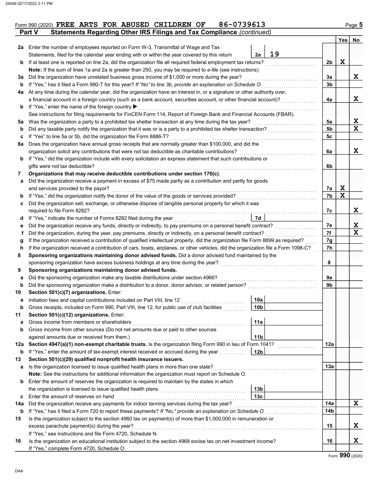|     | Statements Regarding Other IRS Filings and Tax Compliance (continued)<br>Part V                                                    |                 |    |                |             |                                 |
|-----|------------------------------------------------------------------------------------------------------------------------------------|-----------------|----|----------------|-------------|---------------------------------|
| 2a  | Enter the number of employees reported on Form W-3, Transmittal of Wage and Tax                                                    |                 |    |                | <b>Yes</b>  | No                              |
|     | Statements, filed for the calendar year ending with or within the year covered by this return                                      | 2a              | 19 |                |             |                                 |
|     | If at least one is reported on line 2a, did the organization file all required federal employment tax returns?                     |                 |    | 2b             | X           |                                 |
| b   |                                                                                                                                    |                 |    |                |             |                                 |
|     | Note: If the sum of lines 1a and 2a is greater than 250, you may be required to e-file (see instructions)                          |                 |    |                |             |                                 |
| За  | Did the organization have unrelated business gross income of \$1,000 or more during the year?                                      |                 |    | За             |             | X                               |
| b   | If "Yes," has it filed a Form 990-T for this year? If "No" to line 3b, provide an explanation on Schedule O                        |                 |    | 3 <sub>b</sub> |             |                                 |
| 4a  | At any time during the calendar year, did the organization have an interest in, or a signature or other authority over,            |                 |    |                |             |                                 |
|     | a financial account in a foreign country (such as a bank account, securities account, or other financial account)?                 |                 |    | 4a             |             | X                               |
| b   | If "Yes," enter the name of the foreign country ▶                                                                                  |                 |    |                |             |                                 |
|     | See instructions for filing requirements for FinCEN Form 114, Report of Foreign Bank and Financial Accounts (FBAR).                |                 |    |                |             |                                 |
| 5a  | Was the organization a party to a prohibited tax shelter transaction at any time during the tax year?                              |                 |    | 5a             |             | $rac{X}{X}$                     |
| b   | Did any taxable party notify the organization that it was or is a party to a prohibited tax shelter transaction?                   |                 |    | 5 <sub>b</sub> |             |                                 |
| c   | If "Yes" to line 5a or 5b, did the organization file Form 8886-T?                                                                  |                 |    | 5 <sub>c</sub> |             |                                 |
| 6a  | Does the organization have annual gross receipts that are normally greater than \$100,000, and did the                             |                 |    |                |             |                                 |
|     | organization solicit any contributions that were not tax deductible as charitable contributions?                                   |                 |    | 6a             |             | X                               |
| b   | If "Yes," did the organization include with every solicitation an express statement that such contributions or                     |                 |    |                |             |                                 |
|     | gifts were not tax deductible?                                                                                                     |                 |    | 6b             |             |                                 |
| 7   | Organizations that may receive deductible contributions under section 170(c).                                                      |                 |    |                |             |                                 |
| a   | Did the organization receive a payment in excess of \$75 made partly as a contribution and partly for goods                        |                 |    |                |             |                                 |
|     | and services provided to the payor?                                                                                                |                 |    | 7а             | X           |                                 |
| b   | If "Yes," did the organization notify the donor of the value of the goods or services provided?                                    |                 |    | 7b             | $\mathbf x$ |                                 |
| c   | Did the organization sell, exchange, or otherwise dispose of tangible personal property for which it was                           |                 |    |                |             |                                 |
|     | required to file Form 8282?                                                                                                        |                 |    | 7c             |             | X                               |
|     | If "Yes," indicate the number of Forms 8282 filed during the year                                                                  | 7d              |    |                |             |                                 |
| a   |                                                                                                                                    |                 |    |                |             |                                 |
| е   | Did the organization receive any funds, directly or indirectly, to pay premiums on a personal benefit contract?                    |                 |    | 7e<br>7f       |             | $\frac{\mathbf{X}}{\mathbf{X}}$ |
| f   | Did the organization, during the year, pay premiums, directly or indirectly, on a personal benefit contract?                       |                 |    |                |             |                                 |
| g   | If the organization received a contribution of qualified intellectual property, did the organization file Form 8899 as required?   |                 |    | 7g             |             |                                 |
| h   | If the organization received a contribution of cars, boats, airplanes, or other vehicles, did the organization file a Form 1098-C? |                 |    | 7h             |             |                                 |
| 8   | Sponsoring organizations maintaining donor advised funds. Did a donor advised fund maintained by the                               |                 |    |                |             |                                 |
|     | sponsoring organization have excess business holdings at any time during the year?                                                 |                 |    | 8              |             |                                 |
| 9   | Sponsoring organizations maintaining donor advised funds.                                                                          |                 |    |                |             |                                 |
| а   | Did the sponsoring organization make any taxable distributions under section 4966?                                                 |                 |    | 9а             |             |                                 |
| b   | Did the sponsoring organization make a distribution to a donor, donor advisor, or related person?                                  |                 |    | 9b             |             |                                 |
| 10  | Section 501(c)(7) organizations. Enter:                                                                                            |                 |    |                |             |                                 |
| а   | Initiation fees and capital contributions included on Part VIII, line 12 [11] [11] [12] [11] [12] [11] [12] [1                     | 10a             |    |                |             |                                 |
| b   | Gross receipts, included on Form 990, Part VIII, line 12, for public use of club facilities                                        | 10 <sub>b</sub> |    |                |             |                                 |
| 11  | Section 501(c)(12) organizations. Enter:                                                                                           |                 |    |                |             |                                 |
| а   | Gross income from members or shareholders                                                                                          | 11a             |    |                |             |                                 |
| b   | Gross income from other sources (Do not net amounts due or paid to other sources                                                   |                 |    |                |             |                                 |
|     | against amounts due or received from them.)                                                                                        | 11 <sub>b</sub> |    |                |             |                                 |
| 12a | Section 4947(a)(1) non-exempt charitable trusts. Is the organization filing Form 990 in lieu of Form 1041?                         |                 |    | 12a            |             |                                 |
| b   | If "Yes," enter the amount of tax-exempt interest received or accrued during the year                                              | 12 <sub>b</sub> |    |                |             |                                 |
| 13  | Section 501(c)(29) qualified nonprofit health insurance issuers.                                                                   |                 |    |                |             |                                 |
|     | Is the organization licensed to issue qualified health plans in more than one state?                                               |                 |    | 13a            |             |                                 |
| а   | Note: See the instructions for additional information the organization must report on Schedule O.                                  |                 |    |                |             |                                 |
|     |                                                                                                                                    |                 |    |                |             |                                 |
| b   | Enter the amount of reserves the organization is required to maintain by the states in which                                       | 13 <sub>b</sub> |    |                |             |                                 |
|     | the organization is licensed to issue qualified health plans                                                                       |                 |    |                |             |                                 |

|                                           | the organization is licensed to issue qualified health plans                                                       |  |  |  |  |  |  |  |  |  |
|-------------------------------------------|--------------------------------------------------------------------------------------------------------------------|--|--|--|--|--|--|--|--|--|
|                                           | <b>c</b> Enter the amount of reserves on hand<br>13 <sub>c</sub>                                                   |  |  |  |  |  |  |  |  |  |
|                                           | 14a Did the organization receive any payments for indoor tanning services during the tax year?                     |  |  |  |  |  |  |  |  |  |
|                                           | <b>b</b> If "Yes," has it filed a Form 720 to report these payments? If "No," provide an explanation on Schedule O |  |  |  |  |  |  |  |  |  |
| 15                                        | Is the organization subject to the section 4960 tax on payment(s) of more than \$1,000,000 in remuneration or      |  |  |  |  |  |  |  |  |  |
|                                           | excess parachute payment(s) during the year?                                                                       |  |  |  |  |  |  |  |  |  |
|                                           | If "Yes," see instructions and file Form 4720, Schedule N.                                                         |  |  |  |  |  |  |  |  |  |
| 16                                        | Is the organization an educational institution subject to the section 4968 excise tax on net investment income?    |  |  |  |  |  |  |  |  |  |
| If "Yes," complete Form 4720, Schedule O. |                                                                                                                    |  |  |  |  |  |  |  |  |  |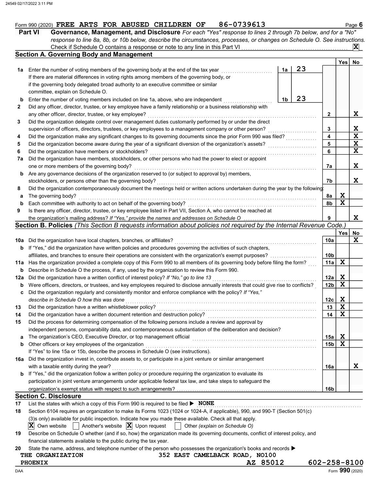|                |  |  | Form 990 (2020) FREE ARTS FOR ABUSED CHILDREN OF | 86-0739613                                                                                                 | Page 6 |
|----------------|--|--|--------------------------------------------------|------------------------------------------------------------------------------------------------------------|--------|
| <b>Part VI</b> |  |  |                                                  | Governance, Management, and Disclosure For each "Yes" response to lines 2 through 7b below, and for a "No" |        |

|              | response to line 8a, 8b, or 10b below, describe the circumstances, processes, or changes on Schedule O. See instructions.                                                                  |                 |             |                         |
|--------------|--------------------------------------------------------------------------------------------------------------------------------------------------------------------------------------------|-----------------|-------------|-------------------------|
|              | <b>Section A. Governing Body and Management</b>                                                                                                                                            |                 |             | X                       |
|              |                                                                                                                                                                                            |                 | <b>Yes</b>  | No                      |
| 1а           | 23<br>Enter the number of voting members of the governing body at the end of the tax year<br>1a                                                                                            |                 |             |                         |
|              | If there are material differences in voting rights among members of the governing body, or                                                                                                 |                 |             |                         |
|              | if the governing body delegated broad authority to an executive committee or similar                                                                                                       |                 |             |                         |
|              | committee, explain on Schedule O.                                                                                                                                                          |                 |             |                         |
| b            | 23<br>Enter the number of voting members included on line 1a, above, who are independent<br>1b                                                                                             |                 |             |                         |
| $\mathbf{2}$ | Did any officer, director, trustee, or key employee have a family relationship or a business relationship with                                                                             |                 |             |                         |
|              | any other officer, director, trustee, or key employee?                                                                                                                                     | $\mathbf{2}$    |             | X                       |
| 3            | Did the organization delegate control over management duties customarily performed by or under the direct                                                                                  |                 |             |                         |
|              | supervision of officers, directors, trustees, or key employees to a management company or other person?                                                                                    | 3               |             |                         |
| 4            | Did the organization make any significant changes to its governing documents since the prior Form 990 was filed?                                                                           | 4               |             |                         |
| 5            | Did the organization become aware during the year of a significant diversion of the organization's assets?                                                                                 | 5               |             | $rac{X}{X}$             |
| 6            | Did the organization have members or stockholders?                                                                                                                                         | 6               |             | $\overline{\mathbf{x}}$ |
| 7a           | Did the organization have members, stockholders, or other persons who had the power to elect or appoint                                                                                    |                 |             |                         |
|              | one or more members of the governing body?                                                                                                                                                 | 7а              |             | X                       |
| b            | Are any governance decisions of the organization reserved to (or subject to approval by) members,                                                                                          |                 |             |                         |
|              | stockholders, or persons other than the governing body?                                                                                                                                    | 7b              |             | X                       |
| 8            | Did the organization contemporaneously document the meetings held or written actions undertaken during the year by the following:                                                          |                 |             |                         |
| а            | The governing body?                                                                                                                                                                        | 8a              | X           |                         |
| b            | Each committee with authority to act on behalf of the governing body?                                                                                                                      | 8b              | $\mathbf x$ |                         |
| 9            | Is there any officer, director, trustee, or key employee listed in Part VII, Section A, who cannot be reached at                                                                           |                 |             |                         |
|              | the organization's mailing address? If "Yes," provide the names and addresses on Schedule O                                                                                                | 9               |             | X                       |
|              | Section B. Policies (This Section B requests information about policies not required by the Internal Revenue Code.)                                                                        |                 |             |                         |
|              |                                                                                                                                                                                            |                 | Yes         | No<br>X                 |
| 10a          | Did the organization have local chapters, branches, or affiliates?<br>If "Yes," did the organization have written policies and procedures governing the activities of such chapters,       | 10a             |             |                         |
| b            | affiliates, and branches to ensure their operations are consistent with the organization's exempt purposes?                                                                                | 10 <sub>b</sub> |             |                         |
| 11a          | Has the organization provided a complete copy of this Form 990 to all members of its governing body before filing the form?                                                                | 11a             | X           |                         |
| b            | Describe in Schedule O the process, if any, used by the organization to review this Form 990.                                                                                              |                 |             |                         |
| 12a          | Did the organization have a written conflict of interest policy? If "No," go to line 13                                                                                                    | 12a             | X           |                         |
| b            | Were officers, directors, or trustees, and key employees required to disclose annually interests that could give rise to conflicts?                                                        | 12 <sub>b</sub> | X           |                         |
| c            | Did the organization regularly and consistently monitor and enforce compliance with the policy? If "Yes,"                                                                                  |                 |             |                         |
|              | describe in Schedule O how this was done                                                                                                                                                   | 12c             | X           |                         |
| 13           | Did the organization have a written whistleblower policy?                                                                                                                                  | 13              | $\mathbf x$ |                         |
| 14           | Did the organization have a written document retention and destruction policy?                                                                                                             | 14              | $\mathbf x$ |                         |
| 15           | Did the process for determining compensation of the following persons include a review and approval by                                                                                     |                 |             |                         |
|              | independent persons, comparability data, and contemporaneous substantiation of the deliberation and decision?                                                                              |                 |             |                         |
| а            | The organization's CEO, Executive Director, or top management official                                                                                                                     | 15a             | X           |                         |
| b            | Other officers or key employees of the organization                                                                                                                                        | 15 <sub>b</sub> | $\mathbf X$ |                         |
|              | If "Yes" to line 15a or 15b, describe the process in Schedule O (see instructions).                                                                                                        |                 |             |                         |
| 16a          | Did the organization invest in, contribute assets to, or participate in a joint venture or similar arrangement                                                                             |                 |             |                         |
|              | with a taxable entity during the year?                                                                                                                                                     | 16a             |             | X                       |
| b            | If "Yes," did the organization follow a written policy or procedure requiring the organization to evaluate its                                                                             |                 |             |                         |
|              | participation in joint venture arrangements under applicable federal tax law, and take steps to safeguard the                                                                              |                 |             |                         |
|              |                                                                                                                                                                                            | 16b             |             |                         |
|              | <b>Section C. Disclosure</b>                                                                                                                                                               |                 |             |                         |
| 17           | List the states with which a copy of this Form 990 is required to be filed $\triangleright$ NONE<br>.                                                                                      |                 |             |                         |
| 18           | Section 6104 requires an organization to make its Forms 1023 (1024 or 1024-A, if applicable), 990, and 990-T (Section 501(c)                                                               |                 |             |                         |
|              | (3)s only) available for public inspection. Indicate how you made these available. Check all that apply.                                                                                   |                 |             |                         |
|              | Another's website $ \mathbf{X} $ Upon request<br>$\mathbf{X}$ Own website<br>Other (explain on Schedule O)<br>$\mathbf{1}$                                                                 |                 |             |                         |
| 19           | Describe on Schedule O whether (and if so, how) the organization made its governing documents, conflict of interest policy, and                                                            |                 |             |                         |
|              | financial statements available to the public during the tax year.                                                                                                                          |                 |             |                         |
| 20           | State the name, address, and telephone number of the person who possesses the organization's books and records $\blacktriangleright$<br>352 EAST CAMELBACK ROAD, NO100<br>THE ORGANIZATION |                 |             |                         |
|              | AZ 85012<br>602-258-8100<br><b>PHOENIX</b>                                                                                                                                                 |                 |             |                         |
|              |                                                                                                                                                                                            |                 |             |                         |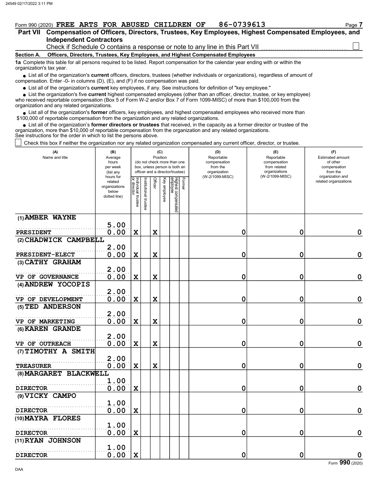| 86-0739613<br>Form 990 (2020) FREE ARTS FOR ABUSED CHILDREN OF                                                                                                                                                              | Page 7 |  |  |  |  |  |  |  |  |  |
|-----------------------------------------------------------------------------------------------------------------------------------------------------------------------------------------------------------------------------|--------|--|--|--|--|--|--|--|--|--|
| Part VII Compensation of Officers, Directors, Trustees, Key Employees, Highest Compensated Employees, and                                                                                                                   |        |  |  |  |  |  |  |  |  |  |
| <b>Independent Contractors</b>                                                                                                                                                                                              |        |  |  |  |  |  |  |  |  |  |
| Check if Schedule O contains a response or note to any line in this Part VII                                                                                                                                                |        |  |  |  |  |  |  |  |  |  |
| Officers, Directors, Trustees, Key Employees, and Highest Compensated Employees<br><b>Section A.</b>                                                                                                                        |        |  |  |  |  |  |  |  |  |  |
| 1a Complete this table for all persons required to be listed. Report compensation for the calendar year ending with or within the<br>organization's tax year.                                                               |        |  |  |  |  |  |  |  |  |  |
| • List all of the organization's current officers, directors, trustees (whether individuals or organizations), regardless of amount of<br>compensation. Enter -0- in columns (D), (E), and (F) if no compensation was paid. |        |  |  |  |  |  |  |  |  |  |

• List all of the organization's **current** key employees, if any. See instructions for definition of "key employee."

who received reportable compensation (Box 5 of Form W-2 and/or Box 7 of Form 1099-MISC) of more than \$100,000 from the organization and any related organizations. • List the organization's five **current** highest compensated employees (other than an officer, director, trustee, or key employee)<br>• received reportable compensation (Box 5 of Form W 2 and/or Box 7 of Form 1000 MISC) of m

List all of the organization's f**ormer** officers, key employees, and highest compensated employees who received more than • List all of the organization's former officers, key employees, and highest compensate \$100,000 of reportable compensation from the organization and any related organizations.

List all of the organization's former directors or trustees that received, in the capacity as a former director or trustee of the organization, more than \$10,000 of reportable compensation from the organization and any related organizations. See instructions for the order in which to list the persons above.  $\bullet$ 

Check this box if neither the organization nor any related organization compensated any current officer, director, or trustee.

| (A)<br>Name and title               | (B)<br>Average<br>hours<br>per week<br>(list any               |                                   |                      |                | (C)<br>Position | (do not check more than one<br>box, unless person is both an<br>officer and a director/trustee) |        | (D)<br>Reportable<br>compensation<br>from the<br>organization | (E)<br>Reportable<br>compensation<br>from related<br>organizations<br>(W-2/1099-MISC) | (F)<br>Estimated amount<br>of other<br>compensation<br>from the<br>organization and |
|-------------------------------------|----------------------------------------------------------------|-----------------------------------|----------------------|----------------|-----------------|-------------------------------------------------------------------------------------------------|--------|---------------------------------------------------------------|---------------------------------------------------------------------------------------|-------------------------------------------------------------------------------------|
|                                     | hours for<br>related<br>organizations<br>below<br>dotted line) | Individual trustee<br>or director | nstitutional trustee | <b>Officer</b> | Key employee    | Highest compensated<br>employee                                                                 | Former | (W-2/1099-MISC)                                               |                                                                                       | related organizations                                                               |
| (1) AMBER WAYNE                     |                                                                |                                   |                      |                |                 |                                                                                                 |        |                                                               |                                                                                       |                                                                                     |
| PRESIDENT                           | 5.00<br>0.00                                                   | $\mathbf x$                       |                      | $\mathbf x$    |                 |                                                                                                 |        | 0                                                             | 0                                                                                     | 0                                                                                   |
| (2) CHADWICK CAMPBELL               |                                                                |                                   |                      |                |                 |                                                                                                 |        |                                                               |                                                                                       |                                                                                     |
|                                     | 2.00                                                           |                                   |                      |                |                 |                                                                                                 |        |                                                               |                                                                                       |                                                                                     |
| PRESIDENT-ELECT                     | 0.00                                                           | $\mathbf x$                       |                      | $\mathbf x$    |                 |                                                                                                 |        | 0                                                             | 0                                                                                     | 0                                                                                   |
| (3) CATHY GRAHAM                    |                                                                |                                   |                      |                |                 |                                                                                                 |        |                                                               |                                                                                       |                                                                                     |
| VP OF GOVERNANCE                    | 2.00<br>0.00                                                   | $\mathbf x$                       |                      | $\mathbf x$    |                 |                                                                                                 |        | $\mathbf 0$                                                   | $\mathbf 0$                                                                           | $\mathbf 0$                                                                         |
| (4) ANDREW YOCOPIS                  |                                                                |                                   |                      |                |                 |                                                                                                 |        |                                                               |                                                                                       |                                                                                     |
|                                     | 2.00                                                           |                                   |                      |                |                 |                                                                                                 |        |                                                               |                                                                                       |                                                                                     |
| VP OF DEVELOPMENT                   | 0.00                                                           | $\mathbf x$                       |                      | $\mathbf x$    |                 |                                                                                                 |        | 0                                                             | 0                                                                                     | 0                                                                                   |
| (5) TED ANDERSON                    |                                                                |                                   |                      |                |                 |                                                                                                 |        |                                                               |                                                                                       |                                                                                     |
|                                     | 2.00                                                           |                                   |                      |                |                 |                                                                                                 |        |                                                               |                                                                                       |                                                                                     |
| VP OF MARKETING<br>(6) KAREN GRANDE | 0.00                                                           | $\mathbf x$                       |                      | $\mathbf x$    |                 |                                                                                                 |        | 0                                                             | 0                                                                                     | $\mathbf 0$                                                                         |
|                                     | 2.00                                                           |                                   |                      |                |                 |                                                                                                 |        |                                                               |                                                                                       |                                                                                     |
| VP OF OUTREACH                      | 0.00                                                           | $\mathbf x$                       |                      | $\mathbf x$    |                 |                                                                                                 |        | 0                                                             | 0                                                                                     | 0                                                                                   |
| (7) TIMOTHY A SMITH                 |                                                                |                                   |                      |                |                 |                                                                                                 |        |                                                               |                                                                                       |                                                                                     |
|                                     | 2.00                                                           |                                   |                      |                |                 |                                                                                                 |        |                                                               |                                                                                       |                                                                                     |
| <b>TREASURER</b>                    | 0.00                                                           | $\mathbf x$                       |                      | $\mathbf x$    |                 |                                                                                                 |        | 0                                                             | 0                                                                                     | 0                                                                                   |
| (8) MARGARET BLACKWELL              | 1.00                                                           |                                   |                      |                |                 |                                                                                                 |        |                                                               |                                                                                       |                                                                                     |
| <b>DIRECTOR</b>                     | 0.00                                                           | $\mathbf x$                       |                      |                |                 |                                                                                                 |        | 0                                                             | 0                                                                                     | $\mathbf 0$                                                                         |
| (9) VICKY CAMPO                     |                                                                |                                   |                      |                |                 |                                                                                                 |        |                                                               |                                                                                       |                                                                                     |
|                                     | 1.00                                                           |                                   |                      |                |                 |                                                                                                 |        |                                                               |                                                                                       |                                                                                     |
| <b>DIRECTOR</b>                     | 0.00                                                           | $\mathbf x$                       |                      |                |                 |                                                                                                 |        | $\mathbf 0$                                                   | $\mathbf 0$                                                                           | $\mathbf 0$                                                                         |
| (10) MAYRA FLORES                   | 1.00                                                           |                                   |                      |                |                 |                                                                                                 |        |                                                               |                                                                                       |                                                                                     |
| <b>DIRECTOR</b>                     | 0.00                                                           | $\mathbf x$                       |                      |                |                 |                                                                                                 |        | 0                                                             | 0                                                                                     | 0                                                                                   |
| (11) RYAN JOHNSON                   |                                                                |                                   |                      |                |                 |                                                                                                 |        |                                                               |                                                                                       |                                                                                     |
|                                     | 1.00                                                           |                                   |                      |                |                 |                                                                                                 |        |                                                               |                                                                                       |                                                                                     |
| <b>DIRECTOR</b>                     | 0.00                                                           | $\mathbf x$                       |                      |                |                 |                                                                                                 |        | 0                                                             | 0                                                                                     | O<br>Form 990 (2020)                                                                |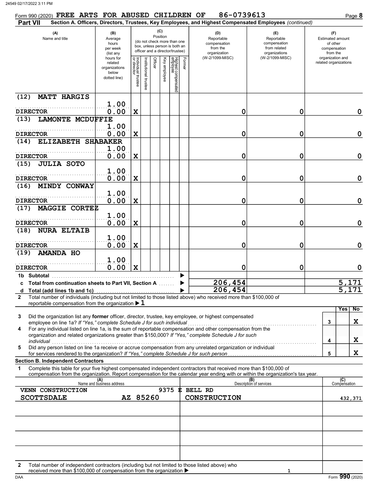| Form 990 (2020) FREE ARTS FOR ABUSED CHILDREN OF 86-0739613<br><b>Part VII</b>                                                                                                                                                                              |                                                                |                                        |                     |         |                 |                                                                                                 |        | Section A. Officers, Directors, Trustees, Key Employees, and Highest Compensated Employees (continued) |                                                                    |                                                                        | Page 8   |
|-------------------------------------------------------------------------------------------------------------------------------------------------------------------------------------------------------------------------------------------------------------|----------------------------------------------------------------|----------------------------------------|---------------------|---------|-----------------|-------------------------------------------------------------------------------------------------|--------|--------------------------------------------------------------------------------------------------------|--------------------------------------------------------------------|------------------------------------------------------------------------|----------|
| (A)<br>Name and title                                                                                                                                                                                                                                       | (B)<br>Average<br>hours<br>per week<br>(list any               |                                        |                     |         | (C)<br>Position | (do not check more than one<br>box, unless person is both an<br>officer and a director/trustee) |        | (D)<br>Reportable<br>compensation<br>from the<br>organization                                          | (E)<br>Reportable<br>compensation<br>from related<br>organizations | (F)<br><b>Estimated amount</b><br>of other<br>compensation<br>from the |          |
|                                                                                                                                                                                                                                                             | hours for<br>related<br>organizations<br>below<br>dotted line) | ٩<br>Individual trustee<br>or director | nstitutional truste | Officer | Key employee    | Highest compensated<br>employee                                                                 | Former | (W-2/1099-MISC)                                                                                        | (W-2/1099-MISC)                                                    | organization and<br>related organizations                              |          |
| <b>MATT HARGIS</b><br>(12)                                                                                                                                                                                                                                  | 1.00                                                           |                                        |                     |         |                 |                                                                                                 |        |                                                                                                        |                                                                    |                                                                        |          |
| <b>DIRECTOR</b>                                                                                                                                                                                                                                             | 0.00                                                           | X                                      |                     |         |                 |                                                                                                 |        | 0                                                                                                      | 0                                                                  |                                                                        | 0        |
| (13)<br><b>LAMONTE MCDUFFIE</b>                                                                                                                                                                                                                             |                                                                |                                        |                     |         |                 |                                                                                                 |        |                                                                                                        |                                                                    |                                                                        |          |
| <b>DIRECTOR</b>                                                                                                                                                                                                                                             | 1.00<br>0.00                                                   | $\mathbf x$                            |                     |         |                 |                                                                                                 |        | 0                                                                                                      | 0                                                                  |                                                                        | 0        |
| ELIZABETH SHABAKER<br>(14)                                                                                                                                                                                                                                  |                                                                |                                        |                     |         |                 |                                                                                                 |        |                                                                                                        |                                                                    |                                                                        |          |
| <b>DIRECTOR</b>                                                                                                                                                                                                                                             | 1.00<br>0.00                                                   | X                                      |                     |         |                 |                                                                                                 |        | 0                                                                                                      | 0                                                                  |                                                                        | 0        |
| <b>JULIA SOTO</b><br>(15)                                                                                                                                                                                                                                   |                                                                |                                        |                     |         |                 |                                                                                                 |        |                                                                                                        |                                                                    |                                                                        |          |
| <b>DIRECTOR</b>                                                                                                                                                                                                                                             | 1.00<br>0.00                                                   | X                                      |                     |         |                 |                                                                                                 |        | 0                                                                                                      | 0                                                                  |                                                                        | 0        |
| MINDY CONWAY<br>(16)                                                                                                                                                                                                                                        | 1.00                                                           |                                        |                     |         |                 |                                                                                                 |        |                                                                                                        |                                                                    |                                                                        |          |
| <b>DIRECTOR</b>                                                                                                                                                                                                                                             | 0.00                                                           | X                                      |                     |         |                 |                                                                                                 |        | 0                                                                                                      | 0                                                                  |                                                                        | 0        |
| MAGGIE CORTEZ<br>(17)                                                                                                                                                                                                                                       | 1.00                                                           |                                        |                     |         |                 |                                                                                                 |        |                                                                                                        |                                                                    |                                                                        |          |
| <b>DIRECTOR</b>                                                                                                                                                                                                                                             | 0.00                                                           | X                                      |                     |         |                 |                                                                                                 |        | 0                                                                                                      | 0                                                                  |                                                                        | 0        |
| <b>NURA ELTAIB</b><br>(18)                                                                                                                                                                                                                                  | 1.00                                                           |                                        |                     |         |                 |                                                                                                 |        |                                                                                                        |                                                                    |                                                                        |          |
| <b>DIRECTOR</b><br><b>AMANDA HO</b><br>(19)                                                                                                                                                                                                                 | 0.00                                                           | X                                      |                     |         |                 |                                                                                                 |        | 0                                                                                                      | 0                                                                  |                                                                        | 0        |
|                                                                                                                                                                                                                                                             | 1.00<br>0.00                                                   |                                        |                     |         |                 |                                                                                                 |        | 0                                                                                                      |                                                                    |                                                                        |          |
| <b>DIRECTOR</b><br>1b Subtotal                                                                                                                                                                                                                              |                                                                | X                                      |                     |         |                 |                                                                                                 |        |                                                                                                        | 0                                                                  |                                                                        | 0        |
| c Total from continuation sheets to Part VII, Section A                                                                                                                                                                                                     |                                                                |                                        |                     |         |                 |                                                                                                 |        | 206,454                                                                                                |                                                                    |                                                                        | 5,171    |
| Total (add lines 1b and 1c)<br>d                                                                                                                                                                                                                            |                                                                |                                        |                     |         |                 |                                                                                                 |        | 206, 454                                                                                               |                                                                    |                                                                        | 5,171    |
| Total number of individuals (including but not limited to those listed above) who received more than \$100,000 of<br>$\mathbf{2}$<br>reportable compensation from the organization $\blacktriangleright$ 1                                                  |                                                                |                                        |                     |         |                 |                                                                                                 |        |                                                                                                        |                                                                    |                                                                        | Yes   No |
| Did the organization list any <b>former</b> officer, director, trustee, key employee, or highest compensated<br>3                                                                                                                                           |                                                                |                                        |                     |         |                 |                                                                                                 |        |                                                                                                        |                                                                    |                                                                        |          |
| employee on line 1a? If "Yes," complete Schedule J for such individual<br>For any individual listed on line 1a, is the sum of reportable compensation and other compensation from the<br>4                                                                  |                                                                |                                        |                     |         |                 |                                                                                                 |        |                                                                                                        |                                                                    | 3                                                                      | X        |
| organization and related organizations greater than \$150,000? If "Yes," complete Schedule J for such<br>individual                                                                                                                                         |                                                                |                                        |                     |         |                 |                                                                                                 |        |                                                                                                        |                                                                    | 4                                                                      | X        |
| individual<br>Did any person listed on line 1a receive or accrue compensation from any unrelated organization or individual<br>5                                                                                                                            |                                                                |                                        |                     |         |                 |                                                                                                 |        |                                                                                                        |                                                                    | 5                                                                      | X        |
| <b>Section B. Independent Contractors</b>                                                                                                                                                                                                                   |                                                                |                                        |                     |         |                 |                                                                                                 |        |                                                                                                        |                                                                    |                                                                        |          |
| Complete this table for your five highest compensated independent contractors that received more than \$100,000 of<br>1<br>compensation from the organization. Report compensation for the calendar year ending with or within the organization's tax year. |                                                                |                                        |                     |         |                 |                                                                                                 |        |                                                                                                        |                                                                    |                                                                        |          |
|                                                                                                                                                                                                                                                             | (A)<br>Name and business address                               |                                        |                     |         |                 |                                                                                                 |        |                                                                                                        | (B)<br>Description of services                                     | (C)<br>Compensation                                                    |          |
| VENN CONSTRUCTION                                                                                                                                                                                                                                           |                                                                |                                        |                     |         | 9375            | E                                                                                               |        | <b>BELL RD</b>                                                                                         |                                                                    |                                                                        |          |
| <b>SCOTTSDALE</b>                                                                                                                                                                                                                                           | AZ 85260                                                       |                                        |                     |         |                 |                                                                                                 |        | <b>CONSTRUCTION</b>                                                                                    |                                                                    |                                                                        | 432,371  |
|                                                                                                                                                                                                                                                             |                                                                |                                        |                     |         |                 |                                                                                                 |        |                                                                                                        |                                                                    |                                                                        |          |
|                                                                                                                                                                                                                                                             |                                                                |                                        |                     |         |                 |                                                                                                 |        |                                                                                                        |                                                                    |                                                                        |          |
|                                                                                                                                                                                                                                                             |                                                                |                                        |                     |         |                 |                                                                                                 |        |                                                                                                        |                                                                    |                                                                        |          |
|                                                                                                                                                                                                                                                             |                                                                |                                        |                     |         |                 |                                                                                                 |        |                                                                                                        |                                                                    |                                                                        |          |
|                                                                                                                                                                                                                                                             |                                                                |                                        |                     |         |                 |                                                                                                 |        |                                                                                                        |                                                                    |                                                                        |          |
| Total number of independent contractors (including but not limited to those listed above) who<br>2<br>received more than \$100,000 of compensation from the organization ▶                                                                                  |                                                                |                                        |                     |         |                 |                                                                                                 |        |                                                                                                        | 1                                                                  | Form 990 (2020)                                                        |          |
| DAA                                                                                                                                                                                                                                                         |                                                                |                                        |                     |         |                 |                                                                                                 |        |                                                                                                        |                                                                    |                                                                        |          |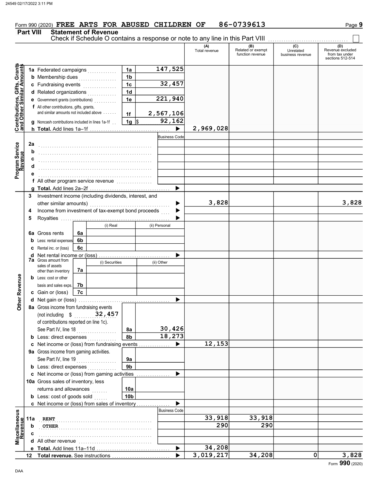Part VIII Statement of Revenue

### (A) (B) (C) (D) Total revenue Related or exempt Unrelated Revenue excluded function revenue business revenue from tax under sections 512-514 **1a** Federated campaigns **and Table 1 b** Membership dues <sub>.</sub> . . . . . . . . . . . . . . **c** Fundraising events **..............**... **d** Related organizations  $\ldots$ e Government grants (contributions) . . . . . . . . . . f All other contributions, gifts, grants, g Noncash contributions included in lines 1a-1f. h Total. Add lines 1a–1f . . . . . . . . . . . . . . . . . . . . . . . . . . . . . . . . . . . . and similar amounts not included above . . . . . . 1a 1b 1c 1d 1e 1f ▶ . . . . . . . . . . . . . . . . . . . . . . . . . . . . . . . . . . . . . . . . . . . . . . . . . . . . . . . . . . . . . . . . . . . . . . . . . . . . . . . . . . . . . . . . . . . . . . . . . . . . . . Revenue . . . . . . . . . . . . . . . . . . . . . . . . . . . . . . . . . . . . . . . . . . . . . . . . . . . . . . . . . . . . . . . . . . . . . . . . . . . . . . . . . . . . . . . . . . . . . . . . . . . . . . . . . . . . . . . . . . . . . . . . . . . . . . . . . . . . . . . . . . . . . . . . . . . . . . . . . 2a g Total. Add lines 2a-2f f All other program service revenue ................ e d c b  $\frac{$}{92,162}$ Total. Add lines 2a–2f . . . . . . . . . . . . . . . . . . . . . . . . . . . . . . . . . . . . Contributions, Gifts, Grants and Other Similar Amounts Program Service 3 Investment income (including dividends, interest, and 4 Income from investment of tax-exempt bond proceeds  $\frac{1}{1+\epsilon}$ 5 6a Gross rents **b** Less: rental expenses c Rental inc. or (loss) d Net rental income or (loss) . . . . . . . . . . . . . . . . . . . . . . . . . . . . . . . . other similar amounts) . . . . . . . . . . . . . . . . . . . . . . . . . . . . . . . . . . . . Royalties .... ь ▶ ▶ Business Code  $\blacktriangleright$ (i) Real (ii) Personal (i) Securities (ii) Other d Net gain or (loss) . . . . . . . . . . . . . . . . . . . . . . . . . . . . . . . . . . . . . . . . . c Gain or (loss) **b** Less: cost or other 7a Gross amount from sales of assets other than inventory basis and sales exps. ▶ 8a Gross income from fundraising events **b** Less: direct expenses  $\ldots$ **c** Net income or (loss) from fundraising events . . . . . . . . . . . . . (not including  $\quad$  \$  $\ldots$  . . . . . . . . . 45' of contributions reported on line 1c). See Part IV, line 18 . . . . . . . . . . . . . . . . . . 9a Gross income from gaming activities. See Part IV, line 19 . . . . . . . . . . . . . . . . . . **b** Less: direct expenses  $\ldots$ **c** Net income or (loss) from gaming activities  $\ldots$ ............ 10a Gross sales of inventory, less returns and allowances ....... **b** Less: cost of goods sold  $\ldots$ **c** Net income or (loss) from sales of inventory  $\ldots$ .......... 11a . . . . . . . . . . . . . . . . . . . . . . . . . . . . . . . . . . . . . . . . . . . . . . . . . . . b c d All other revenue . . . . . . . . . . . . . . . . . . . . . . . . . . . . . . . . . e Total. Add lines 11a–11d . . . . . . . . . . . . . . . . . . . . . . . . . . . . . . . . . Total revenue. See instructions  $\blacktriangleright$ ь 12 . . . . . . . . . . . . . . . . . . . . . . . . . . . . . . . . . . . . . . . . . . . . . . . . . . . . . . . . . . . . . . . . . . . . . . . . . . . . . . . . . . . . . . . . . . . . . . . . . . . . . . Business Code<br> **Business Code**<br> **Business Code**<br> **Business Code**<br> **Business Code**<br> **Business Code**<br> **Business Code**<br> **Business Code**<br> **Business Code**<br> **Business Code**<br> **Business Code**<br> **Business Code**  Other Revenue ь Check if Schedule O contains a response or note to any line in this Part VIII **PUBLIC CONTRESSERVE CONTRESSERVE CONTRESSERVE CONTRESSERVE CONTRESSERVE CONTRESSERVE CONTRESSERVE CONTRESSERVE CONTRESSERVE CONTRESSERVE CONTRESSERVE CONTRESSERVE CONTRESSERVE CONTRESSERVE CONTRESSERVE CONTRESSERVE CONTRE** 1g  $\vert$ \$ 6a 6b 6c 7a 7b 7c 8a 8b 9a 9b 10a 10b 147,525 32,457 221,940 2,567,106 2,969,028 3,828 3,828 32,457 30,426 18,273 12,153 RENT 33,918 33,918 34,208  $3,019,217$   $34,208$  0  $3,828$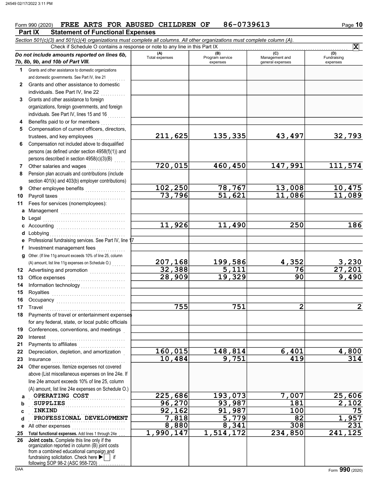# Form 990 (2020) FREE ARTS FOR ABUSED CHILDREN OF  $86-0739613$  Page 10

|                 | Part IX<br><b>Statement of Functional Expenses</b>                                                                                                                                                                             |                       |                                    |                                           |                                |
|-----------------|--------------------------------------------------------------------------------------------------------------------------------------------------------------------------------------------------------------------------------|-----------------------|------------------------------------|-------------------------------------------|--------------------------------|
|                 | Section 501(c)(3) and 501(c)(4) organizations must complete all columns. All other organizations must complete column (A).                                                                                                     |                       |                                    |                                           |                                |
|                 | Check if Schedule O contains a response or note to any line in this Part IX                                                                                                                                                    |                       |                                    |                                           | $\overline{\mathbf{x}}$        |
|                 | Do not include amounts reported on lines 6b,<br>7b, 8b, 9b, and 10b of Part VIII.                                                                                                                                              | (A)<br>Total expenses | (B)<br>Program service<br>expenses | (C)<br>Management and<br>general expenses | (D)<br>Fundraising<br>expenses |
| 1.              | Grants and other assistance to domestic organizations                                                                                                                                                                          |                       |                                    |                                           |                                |
|                 | and domestic governments. See Part IV, line 21                                                                                                                                                                                 |                       |                                    |                                           |                                |
| 2               | Grants and other assistance to domestic                                                                                                                                                                                        |                       |                                    |                                           |                                |
|                 | individuals. See Part IV, line 22                                                                                                                                                                                              |                       |                                    |                                           |                                |
| 3               | Grants and other assistance to foreign                                                                                                                                                                                         |                       |                                    |                                           |                                |
|                 | organizations, foreign governments, and foreign                                                                                                                                                                                |                       |                                    |                                           |                                |
|                 | individuals. See Part IV, lines 15 and 16<br>de de 200                                                                                                                                                                         |                       |                                    |                                           |                                |
| 4               | Benefits paid to or for members                                                                                                                                                                                                |                       |                                    |                                           |                                |
| 5               | Compensation of current officers, directors,                                                                                                                                                                                   |                       |                                    |                                           |                                |
|                 | trustees, and key employees                                                                                                                                                                                                    | 211,625               | 135,335                            | 43,497                                    | 32,793                         |
| 6               | Compensation not included above to disqualified                                                                                                                                                                                |                       |                                    |                                           |                                |
|                 | persons (as defined under section 4958(f)(1)) and                                                                                                                                                                              |                       |                                    |                                           |                                |
|                 | persons described in section 4958(c)(3)(B)                                                                                                                                                                                     |                       |                                    |                                           |                                |
| 7               | Other salaries and wages                                                                                                                                                                                                       | 720,015               | 460,450                            | 147,991                                   | 111,574                        |
| 8               | Pension plan accruals and contributions (include                                                                                                                                                                               |                       |                                    |                                           |                                |
|                 | section 401(k) and 403(b) employer contributions)                                                                                                                                                                              |                       |                                    |                                           |                                |
| 9               | Other employee benefits                                                                                                                                                                                                        | 102,250               | 78,767                             | 13,008                                    | 10,475                         |
| 10              | Payroll taxes                                                                                                                                                                                                                  | 73,796                | 51,621                             | 11,086                                    | 11,089                         |
| 11              | Fees for services (nonemployees):                                                                                                                                                                                              |                       |                                    |                                           |                                |
| a               | Management [111] Management                                                                                                                                                                                                    |                       |                                    |                                           |                                |
| b               | Legal                                                                                                                                                                                                                          |                       |                                    |                                           |                                |
| c               |                                                                                                                                                                                                                                | 11,926                | 11,490                             | 250                                       | 186                            |
| d               | Lobbying                                                                                                                                                                                                                       |                       |                                    |                                           |                                |
|                 | e Professional fundraising services. See Part IV, line 17                                                                                                                                                                      |                       |                                    |                                           |                                |
| f               | Investment management fees                                                                                                                                                                                                     |                       |                                    |                                           |                                |
|                 | g Other. (If line 11g amount exceeds 10% of line 25, column                                                                                                                                                                    |                       |                                    |                                           |                                |
|                 |                                                                                                                                                                                                                                | 207,168               | 199,586                            | 4,352                                     | 3,230                          |
| 12              | Advertising and promotion                                                                                                                                                                                                      | 32,388                | 5,111                              | $\overline{76}$                           | $\overline{27,201}$            |
| 13              |                                                                                                                                                                                                                                | 28,909                | 19,329                             | 90                                        | 9,490                          |
| 14              | Information technology<br>                                                                                                                                                                                                     |                       |                                    |                                           |                                |
| 15              |                                                                                                                                                                                                                                |                       |                                    |                                           |                                |
| 16              |                                                                                                                                                                                                                                |                       |                                    |                                           |                                |
| 17 <sub>1</sub> | Travel                                                                                                                                                                                                                         | 755                   | 751                                | $\mathbf{\Omega}$                         | っ                              |
|                 | 18 Payments of travel or entertainment expenses                                                                                                                                                                                |                       |                                    |                                           |                                |
|                 | for any federal, state, or local public officials                                                                                                                                                                              |                       |                                    |                                           |                                |
| 19              | Conferences, conventions, and meetings                                                                                                                                                                                         |                       |                                    |                                           |                                |
| 20              | Interest                                                                                                                                                                                                                       |                       |                                    |                                           |                                |
| 21              |                                                                                                                                                                                                                                |                       |                                    |                                           |                                |
| 22              | Depreciation, depletion, and amortization                                                                                                                                                                                      | 160,015               | 148,814                            | 6,401                                     | 4,800                          |
| 23              | Insurance with a continuum of the continuum of the continuum of the continuum of the continuum of the continuum of the continuum of the continuum of the continuum of the continuum of the continuum of the continuum of the c | 10,484                | 9,751                              | 419                                       | 314                            |
| 24              | Other expenses. Itemize expenses not covered                                                                                                                                                                                   |                       |                                    |                                           |                                |
|                 | above (List miscellaneous expenses on line 24e. If                                                                                                                                                                             |                       |                                    |                                           |                                |
|                 | line 24e amount exceeds 10% of line 25, column                                                                                                                                                                                 |                       |                                    |                                           |                                |
|                 | (A) amount, list line 24e expenses on Schedule O.)                                                                                                                                                                             |                       |                                    |                                           |                                |
| a               | OPERATING COST                                                                                                                                                                                                                 | 225,686               | 193,073                            | 7,007                                     | 25,606                         |
| b               | <b>SUPPLIES</b>                                                                                                                                                                                                                | 96,270                | 93,987                             | 181                                       | 2,102                          |
| C               | <b>INKIND</b>                                                                                                                                                                                                                  | 92,162                | 91,987                             | 100                                       | $\overline{75}$                |
| d               | PROFESSIONAL DEVELOPMENT                                                                                                                                                                                                       | 7,818                 | 5,779                              | 82                                        | 1,957                          |
| е               | All other expenses                                                                                                                                                                                                             | 8,880                 | 8,341                              | 308                                       | 231                            |
| 25              | .<br>Total functional expenses. Add lines 1 through 24e                                                                                                                                                                        | 1,990,147             | 1,514,172                          | 234,850                                   | 241, 125                       |
| 26              | Joint costs. Complete this line only if the                                                                                                                                                                                    |                       |                                    |                                           |                                |
|                 | organization reported in column (B) joint costs                                                                                                                                                                                |                       |                                    |                                           |                                |
|                 | from a combined educational campaign and                                                                                                                                                                                       |                       |                                    |                                           |                                |
|                 | fundraising solicitation. Check here $\blacktriangleright$<br>following SOP 98-2 (ASC 958-720)                                                                                                                                 |                       |                                    |                                           |                                |
|                 |                                                                                                                                                                                                                                |                       |                                    |                                           |                                |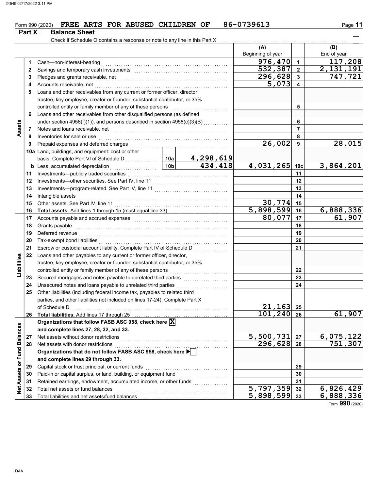# Form 990 (2020) FREE ARTS FOR ABUSED CHILDREN OF  $86-0739613$  Page 11

|                             | Part X   | <b>Balance Sheet</b>                                                                                                                                                                                                                                                                                                                                                                                                                                                                                                                      |                                          |           |                        |                 |                        |  |  |  |
|-----------------------------|----------|-------------------------------------------------------------------------------------------------------------------------------------------------------------------------------------------------------------------------------------------------------------------------------------------------------------------------------------------------------------------------------------------------------------------------------------------------------------------------------------------------------------------------------------------|------------------------------------------|-----------|------------------------|-----------------|------------------------|--|--|--|
|                             |          | Check if Schedule O contains a response or note to any line in this Part X                                                                                                                                                                                                                                                                                                                                                                                                                                                                |                                          |           |                        |                 |                        |  |  |  |
|                             |          |                                                                                                                                                                                                                                                                                                                                                                                                                                                                                                                                           |                                          |           | (A)                    |                 | (B)                    |  |  |  |
|                             |          |                                                                                                                                                                                                                                                                                                                                                                                                                                                                                                                                           |                                          |           | Beginning of year      |                 | End of year            |  |  |  |
|                             | 1        | $\textbf{Cash—non-interest-bearing} \label{q:task} \begin{minipage}[c]{0.9\textwidth} \begin{minipage}[c]{0.9\textwidth} \centering \begin{minipage}[c]{0.9\textwidth} \centering \end{minipage} \end{minipage} \begin{minipage}[c]{0.9\textwidth} \centering \begin{minipage}[c]{0.9\textwidth} \centering \end{minipage} \end{minipage} \begin{minipage}[c]{0.9\textwidth} \centering \begin{minipage}[c]{0.9\textwidth} \centering \end{minipage} \end{minipage} \begin{minipage}[c]{0.9\textwidth} \centering \begin{minipage}[c]{0.$ |                                          |           | 976,470                | $\mathbf{1}$    | 117,208                |  |  |  |
|                             | 2        |                                                                                                                                                                                                                                                                                                                                                                                                                                                                                                                                           |                                          |           | 532,387                | $\mathbf{2}$    | $\overline{2,131,191}$ |  |  |  |
|                             | 3        | Pledges and grants receivable, net <b>constructs</b> and a series and grants receivable.                                                                                                                                                                                                                                                                                                                                                                                                                                                  |                                          |           | 296,628                | $\mathbf{3}$    | 747,721                |  |  |  |
|                             | 4        | Accounts receivable, net                                                                                                                                                                                                                                                                                                                                                                                                                                                                                                                  |                                          |           | 5,073                  | 4               |                        |  |  |  |
|                             | 5        | Loans and other receivables from any current or former officer, director,                                                                                                                                                                                                                                                                                                                                                                                                                                                                 |                                          |           |                        |                 |                        |  |  |  |
|                             |          | trustee, key employee, creator or founder, substantial contributor, or 35%                                                                                                                                                                                                                                                                                                                                                                                                                                                                |                                          |           |                        |                 |                        |  |  |  |
|                             |          |                                                                                                                                                                                                                                                                                                                                                                                                                                                                                                                                           |                                          |           |                        | 5               |                        |  |  |  |
|                             | 6        | Loans and other receivables from other disqualified persons (as defined                                                                                                                                                                                                                                                                                                                                                                                                                                                                   |                                          |           |                        |                 |                        |  |  |  |
|                             |          | under section 4958(f)(1)), and persons described in section 4958(c)(3)(B)                                                                                                                                                                                                                                                                                                                                                                                                                                                                 |                                          |           |                        | 6               |                        |  |  |  |
| Assets                      | 7        | Notes and loans receivable, net <b>consider the constant of the constant of the constant of the constant of the constant of the constant of the constant of the constant of the constant of the constant of the constant of the </b>                                                                                                                                                                                                                                                                                                      |                                          |           |                        | $\overline{7}$  |                        |  |  |  |
|                             | 8        | Inventories for sale or use                                                                                                                                                                                                                                                                                                                                                                                                                                                                                                               |                                          |           |                        | 8               |                        |  |  |  |
|                             | 9        |                                                                                                                                                                                                                                                                                                                                                                                                                                                                                                                                           |                                          |           | 26,002                 | 9               | 28,015                 |  |  |  |
|                             |          | 10a Land, buildings, and equipment: cost or other                                                                                                                                                                                                                                                                                                                                                                                                                                                                                         |                                          |           |                        |                 |                        |  |  |  |
|                             |          |                                                                                                                                                                                                                                                                                                                                                                                                                                                                                                                                           |                                          | 4,298,619 | 4,031,265              | 10 <sub>c</sub> | 3,864,201              |  |  |  |
|                             |          | <b>b</b> Less: accumulated depreciation                                                                                                                                                                                                                                                                                                                                                                                                                                                                                                   | $\overline{434, 418}$<br>10 <sub>b</sub> |           |                        |                 |                        |  |  |  |
|                             | 11       |                                                                                                                                                                                                                                                                                                                                                                                                                                                                                                                                           |                                          |           | 11                     |                 |                        |  |  |  |
|                             | 12       |                                                                                                                                                                                                                                                                                                                                                                                                                                                                                                                                           |                                          |           | 12                     |                 |                        |  |  |  |
|                             | 13       |                                                                                                                                                                                                                                                                                                                                                                                                                                                                                                                                           |                                          |           | 13                     |                 |                        |  |  |  |
|                             | 14       | Intangible assets                                                                                                                                                                                                                                                                                                                                                                                                                                                                                                                         |                                          |           | 14                     |                 |                        |  |  |  |
|                             | 15       |                                                                                                                                                                                                                                                                                                                                                                                                                                                                                                                                           |                                          |           | 30,774                 | 15              |                        |  |  |  |
|                             | 16       |                                                                                                                                                                                                                                                                                                                                                                                                                                                                                                                                           |                                          |           | 5,898,599              | 16              | 6,888,336              |  |  |  |
|                             | 17       |                                                                                                                                                                                                                                                                                                                                                                                                                                                                                                                                           |                                          | 80,077    | 17                     | 61,907          |                        |  |  |  |
|                             | 18       | Grants payable                                                                                                                                                                                                                                                                                                                                                                                                                                                                                                                            |                                          |           | 18                     |                 |                        |  |  |  |
|                             | 19       | Deferred revenue <b>construction and the construction of the construction of the construction</b>                                                                                                                                                                                                                                                                                                                                                                                                                                         |                                          |           |                        | 19              |                        |  |  |  |
|                             | 20       |                                                                                                                                                                                                                                                                                                                                                                                                                                                                                                                                           |                                          |           |                        | 20              |                        |  |  |  |
|                             | 21       |                                                                                                                                                                                                                                                                                                                                                                                                                                                                                                                                           |                                          |           |                        | 21              |                        |  |  |  |
| Liabilities                 | 22       | Loans and other payables to any current or former officer, director,                                                                                                                                                                                                                                                                                                                                                                                                                                                                      |                                          |           |                        |                 |                        |  |  |  |
|                             |          | trustee, key employee, creator or founder, substantial contributor, or 35%                                                                                                                                                                                                                                                                                                                                                                                                                                                                |                                          |           |                        |                 |                        |  |  |  |
|                             |          | controlled entity or family member of any of these persons                                                                                                                                                                                                                                                                                                                                                                                                                                                                                |                                          |           |                        | 22              |                        |  |  |  |
|                             | 23       | Secured mortgages and notes payable to unrelated third parties<br>[[[[[[[[[[[[[[[[[[[[]]]]]]                                                                                                                                                                                                                                                                                                                                                                                                                                              |                                          |           |                        | 23<br>24        |                        |  |  |  |
|                             | 24<br>25 | Unsecured notes and loans payable to unrelated third parties<br>Other liabilities (including federal income tax, payables to related third                                                                                                                                                                                                                                                                                                                                                                                                |                                          |           |                        |                 |                        |  |  |  |
|                             |          | parties, and other liabilities not included on lines 17-24). Complete Part X                                                                                                                                                                                                                                                                                                                                                                                                                                                              |                                          |           |                        |                 |                        |  |  |  |
|                             |          | of Schedule D                                                                                                                                                                                                                                                                                                                                                                                                                                                                                                                             |                                          |           | <u>21,163 </u>         | 25              |                        |  |  |  |
|                             | 26       |                                                                                                                                                                                                                                                                                                                                                                                                                                                                                                                                           |                                          |           | 101, 240               | 26              | 61,907                 |  |  |  |
|                             |          | Organizations that follow FASB ASC 958, check here X                                                                                                                                                                                                                                                                                                                                                                                                                                                                                      |                                          |           |                        |                 |                        |  |  |  |
|                             |          | and complete lines 27, 28, 32, and 33.                                                                                                                                                                                                                                                                                                                                                                                                                                                                                                    |                                          |           |                        |                 |                        |  |  |  |
|                             | 27       | Net assets without donor restrictions                                                                                                                                                                                                                                                                                                                                                                                                                                                                                                     |                                          |           | 5,500,731              | 27              | 6,075,122              |  |  |  |
|                             | 28       | Net assets with donor restrictions                                                                                                                                                                                                                                                                                                                                                                                                                                                                                                        |                                          |           | $\overline{296}$ , 628 | 28              | 751,307                |  |  |  |
|                             |          | Organizations that do not follow FASB ASC 958, check here                                                                                                                                                                                                                                                                                                                                                                                                                                                                                 |                                          |           |                        |                 |                        |  |  |  |
|                             |          | and complete lines 29 through 33.                                                                                                                                                                                                                                                                                                                                                                                                                                                                                                         |                                          |           |                        |                 |                        |  |  |  |
|                             | 29       | Capital stock or trust principal, or current funds                                                                                                                                                                                                                                                                                                                                                                                                                                                                                        |                                          |           |                        | 29              |                        |  |  |  |
|                             | 30       | Paid-in or capital surplus, or land, building, or equipment fund [[[[[[[[[[[[[[[[[[[[[[[[[[[[[[[[[[[                                                                                                                                                                                                                                                                                                                                                                                                                                      |                                          |           |                        | 30              |                        |  |  |  |
|                             | 31       | Retained earnings, endowment, accumulated income, or other funds                                                                                                                                                                                                                                                                                                                                                                                                                                                                          |                                          |           |                        | 31              |                        |  |  |  |
| Net Assets or Fund Balances | 32       | Total net assets or fund balances                                                                                                                                                                                                                                                                                                                                                                                                                                                                                                         |                                          |           | 5,797,359              | 32              | 6,826,429              |  |  |  |
|                             | 33       |                                                                                                                                                                                                                                                                                                                                                                                                                                                                                                                                           |                                          |           | $\overline{5,898,599}$ | 33              | 6,888,336              |  |  |  |

Form 990 (2020)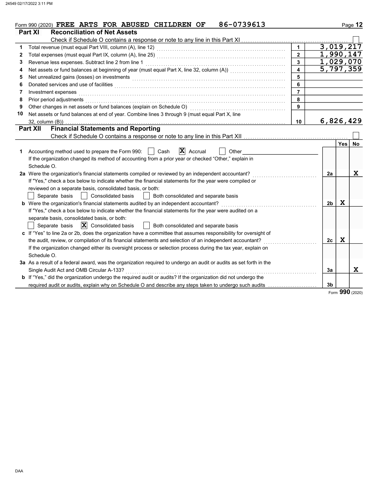|    | 86-0739613<br>Form 990 (2020) FREE ARTS FOR ABUSED CHILDREN OF                                                                                                                                                                 |                         |                        |     | Page 12         |
|----|--------------------------------------------------------------------------------------------------------------------------------------------------------------------------------------------------------------------------------|-------------------------|------------------------|-----|-----------------|
|    | <b>Reconciliation of Net Assets</b><br>Part XI                                                                                                                                                                                 |                         |                        |     |                 |
|    | Check if Schedule O contains a response or note to any line in this Part XI                                                                                                                                                    |                         |                        |     |                 |
| 1  |                                                                                                                                                                                                                                |                         | 3,019,217              |     |                 |
| 2  |                                                                                                                                                                                                                                | $\overline{2}$          | 1,990,147              |     |                 |
| 3  | Revenue less expenses. Subtract line 2 from line 1                                                                                                                                                                             | $\overline{3}$          | 1,029,070              |     |                 |
| 4  |                                                                                                                                                                                                                                | $\overline{\mathbf{4}}$ | $\overline{5,797,359}$ |     |                 |
| 5  | Net unrealized gains (losses) on investments [11] with the content of the content of the content of the content of the content of the content of the content of the content of the content of the content of the content of th | 5                       |                        |     |                 |
| 6  | Donated services and use of facilities <b>constructs</b> and the service of the service of the services and use of facilities                                                                                                  | 6                       |                        |     |                 |
| 7  | Investment expenses                                                                                                                                                                                                            | $\overline{7}$          |                        |     |                 |
| 8  | Prior period adjustments                                                                                                                                                                                                       | 8                       |                        |     |                 |
| 9  | Other changes in net assets or fund balances (explain on Schedule O)                                                                                                                                                           | 9                       |                        |     |                 |
| 10 | Net assets or fund balances at end of year. Combine lines 3 through 9 (must equal Part X, line                                                                                                                                 |                         |                        |     |                 |
|    | 32, column (B))                                                                                                                                                                                                                | 10                      | 6,826,429              |     |                 |
|    | <b>Financial Statements and Reporting</b><br><b>Part XII</b>                                                                                                                                                                   |                         |                        |     |                 |
|    | Check if Schedule O contains a response or note to any line in this Part XII                                                                                                                                                   |                         |                        |     |                 |
|    |                                                                                                                                                                                                                                |                         |                        | Yes | No              |
| 1  | $ \mathbf{X} $ Accrual<br>Accounting method used to prepare the Form 990:<br>Cash<br>Other                                                                                                                                     |                         |                        |     |                 |
|    | If the organization changed its method of accounting from a prior year or checked "Other," explain in                                                                                                                          |                         |                        |     |                 |
|    | Schedule O.                                                                                                                                                                                                                    |                         |                        |     |                 |
|    | 2a Were the organization's financial statements compiled or reviewed by an independent accountant?                                                                                                                             |                         | 2a                     |     | X               |
|    | If "Yes," check a box below to indicate whether the financial statements for the year were compiled or                                                                                                                         |                         |                        |     |                 |
|    | reviewed on a separate basis, consolidated basis, or both:                                                                                                                                                                     |                         |                        |     |                 |
|    | Separate basis<br>Consolidated basis<br>Both consolidated and separate basis                                                                                                                                                   |                         |                        |     |                 |
|    | b Were the organization's financial statements audited by an independent accountant?                                                                                                                                           |                         | 2 <sub>b</sub>         | X   |                 |
|    | If "Yes," check a box below to indicate whether the financial statements for the year were audited on a                                                                                                                        |                         |                        |     |                 |
|    | separate basis, consolidated basis, or both:                                                                                                                                                                                   |                         |                        |     |                 |
|    | $ \mathbf{X} $ Consolidated basis<br>Both consolidated and separate basis<br>Separate basis                                                                                                                                    |                         |                        |     |                 |
|    | c If "Yes" to line 2a or 2b, does the organization have a committee that assumes responsibility for oversight of                                                                                                               |                         |                        |     |                 |
|    | the audit, review, or compilation of its financial statements and selection of an independent accountant?                                                                                                                      |                         | 2c                     | X   |                 |
|    | If the organization changed either its oversight process or selection process during the tax year, explain on                                                                                                                  |                         |                        |     |                 |
|    | Schedule O.                                                                                                                                                                                                                    |                         |                        |     |                 |
|    | 3a As a result of a federal award, was the organization required to undergo an audit or audits as set forth in the                                                                                                             |                         |                        |     |                 |
|    | Single Audit Act and OMB Circular A-133?                                                                                                                                                                                       |                         | 3a                     |     | X               |
|    | <b>b</b> If "Yes," did the organization undergo the required audit or audits? If the organization did not undergo the                                                                                                          |                         |                        |     |                 |
|    | required audit or audits, explain why on Schedule O and describe any steps taken to undergo such audits                                                                                                                        |                         | 3b                     |     |                 |
|    |                                                                                                                                                                                                                                |                         |                        |     | Form 990 (2020) |

DAA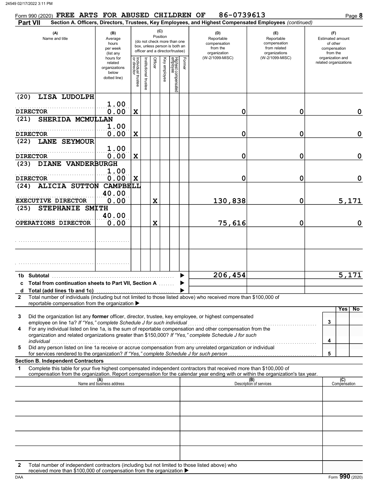| Form 990 (2020) FREE ARTS FOR ABUSED CHILDREN OF                                                                                                                                                                                                                                                    |                                                                |                                   |                      |         |                 |                                                                                                 |        | 86-0739613                                                                                             |                                                                    |   | Page 8                                                                 |
|-----------------------------------------------------------------------------------------------------------------------------------------------------------------------------------------------------------------------------------------------------------------------------------------------------|----------------------------------------------------------------|-----------------------------------|----------------------|---------|-----------------|-------------------------------------------------------------------------------------------------|--------|--------------------------------------------------------------------------------------------------------|--------------------------------------------------------------------|---|------------------------------------------------------------------------|
| <b>Part VII</b>                                                                                                                                                                                                                                                                                     |                                                                |                                   |                      |         |                 |                                                                                                 |        | Section A. Officers, Directors, Trustees, Key Employees, and Highest Compensated Employees (continued) |                                                                    |   |                                                                        |
| (A)<br>Name and title                                                                                                                                                                                                                                                                               | (B)<br>Average<br>hours<br>per week<br>(list any               |                                   |                      |         | (C)<br>Position | (do not check more than one<br>box, unless person is both an<br>officer and a director/trustee) |        | (D)<br>Reportable<br>compensation<br>from the<br>organization                                          | (E)<br>Reportable<br>compensation<br>from related<br>organizations |   | (F)<br><b>Estimated amount</b><br>of other<br>compensation<br>from the |
|                                                                                                                                                                                                                                                                                                     | hours for<br>related<br>organizations<br>below<br>dotted line) | Individual trustee<br>or director | nstitutional trustee | Officer | Key employee    | Highest compensated<br>employee                                                                 | Former | (W-2/1099-MISC)                                                                                        | (W-2/1099-MISC)                                                    |   | organization and<br>related organizations                              |
| LISA LUDOLPH<br>(20)                                                                                                                                                                                                                                                                                |                                                                |                                   |                      |         |                 |                                                                                                 |        |                                                                                                        |                                                                    |   |                                                                        |
| <b>DIRECTOR</b>                                                                                                                                                                                                                                                                                     | 1.00<br>0.00                                                   | X                                 |                      |         |                 |                                                                                                 |        | 0                                                                                                      | 0                                                                  |   | 0                                                                      |
| SHERIDA MCMULLAN<br>(21)                                                                                                                                                                                                                                                                            |                                                                |                                   |                      |         |                 |                                                                                                 |        |                                                                                                        |                                                                    |   |                                                                        |
| <b>DIRECTOR</b>                                                                                                                                                                                                                                                                                     | 1.00<br>0.00                                                   | X                                 |                      |         |                 |                                                                                                 |        | 0                                                                                                      | 0                                                                  |   | 0                                                                      |
| <b>LANE SEYMOUR</b><br>(22)                                                                                                                                                                                                                                                                         |                                                                |                                   |                      |         |                 |                                                                                                 |        |                                                                                                        |                                                                    |   |                                                                        |
| <b>DIRECTOR</b>                                                                                                                                                                                                                                                                                     | 1.00<br>0.00                                                   | X                                 |                      |         |                 |                                                                                                 |        | 0                                                                                                      | 0                                                                  |   | 0                                                                      |
| DIANE VANDERBURGH<br>(23)                                                                                                                                                                                                                                                                           |                                                                |                                   |                      |         |                 |                                                                                                 |        |                                                                                                        |                                                                    |   |                                                                        |
| <b>DIRECTOR</b>                                                                                                                                                                                                                                                                                     | 1.00<br>0.00                                                   | X                                 |                      |         |                 |                                                                                                 |        | 0                                                                                                      | 0                                                                  |   | 0                                                                      |
| <b>ALICIA SUTTON</b><br>(24)                                                                                                                                                                                                                                                                        | CAMPBELL                                                       |                                   |                      |         |                 |                                                                                                 |        |                                                                                                        |                                                                    |   |                                                                        |
| EXECUTIVE DIRECTOR                                                                                                                                                                                                                                                                                  | 40.00<br>0.00                                                  |                                   |                      | X       |                 |                                                                                                 |        | 130,838                                                                                                | 0                                                                  |   |                                                                        |
| (25)<br>STEPHANIE SMITH                                                                                                                                                                                                                                                                             |                                                                |                                   |                      |         |                 |                                                                                                 |        |                                                                                                        |                                                                    |   | 5,171                                                                  |
| OPERATIONS DIRECTOR                                                                                                                                                                                                                                                                                 | 40.00<br>0.00                                                  |                                   |                      | X       |                 |                                                                                                 |        | 75,616                                                                                                 | 0                                                                  |   | 0                                                                      |
|                                                                                                                                                                                                                                                                                                     |                                                                |                                   |                      |         |                 |                                                                                                 |        |                                                                                                        |                                                                    |   |                                                                        |
|                                                                                                                                                                                                                                                                                                     |                                                                |                                   |                      |         |                 |                                                                                                 |        | 206,454                                                                                                |                                                                    |   | 5,171                                                                  |
| c Total from continuation sheets to Part VII, Section A<br>a                                                                                                                                                                                                                                        |                                                                |                                   |                      |         |                 |                                                                                                 |        |                                                                                                        |                                                                    |   |                                                                        |
| Total number of individuals (including but not limited to those listed above) who received more than \$100,000 of<br>$\mathbf{2}$<br>reportable compensation from the organization ▶                                                                                                                |                                                                |                                   |                      |         |                 |                                                                                                 |        |                                                                                                        |                                                                    |   |                                                                        |
| Did the organization list any former officer, director, trustee, key employee, or highest compensated<br>3                                                                                                                                                                                          |                                                                |                                   |                      |         |                 |                                                                                                 |        |                                                                                                        |                                                                    |   | Yes<br>No.                                                             |
| employee on line 1a? If "Yes," complete Schedule J for such individual<br>For any individual listed on line 1a, is the sum of reportable compensation and other compensation from the<br>4<br>organization and related organizations greater than \$150,000? If "Yes," complete Schedule J for such |                                                                |                                   |                      |         |                 |                                                                                                 |        |                                                                                                        |                                                                    | 3 |                                                                        |
| individual                                                                                                                                                                                                                                                                                          |                                                                |                                   |                      |         |                 |                                                                                                 |        |                                                                                                        |                                                                    | 4 |                                                                        |
| Did any person listed on line 1a receive or accrue compensation from any unrelated organization or individual<br>5                                                                                                                                                                                  |                                                                |                                   |                      |         |                 |                                                                                                 |        |                                                                                                        |                                                                    | 5 |                                                                        |
| <b>Section B. Independent Contractors</b><br>Complete this table for your five highest compensated independent contractors that received more than \$100,000 of<br>1                                                                                                                                |                                                                |                                   |                      |         |                 |                                                                                                 |        |                                                                                                        |                                                                    |   |                                                                        |
| compensation from the organization. Report compensation for the calendar year ending with or within the organization's tax year.                                                                                                                                                                    | (A)<br>Name and business address                               |                                   |                      |         |                 |                                                                                                 |        |                                                                                                        | (B)<br>Description of services                                     |   | (C)<br>Compensation                                                    |
|                                                                                                                                                                                                                                                                                                     |                                                                |                                   |                      |         |                 |                                                                                                 |        |                                                                                                        |                                                                    |   |                                                                        |
|                                                                                                                                                                                                                                                                                                     |                                                                |                                   |                      |         |                 |                                                                                                 |        |                                                                                                        |                                                                    |   |                                                                        |
|                                                                                                                                                                                                                                                                                                     |                                                                |                                   |                      |         |                 |                                                                                                 |        |                                                                                                        |                                                                    |   |                                                                        |
|                                                                                                                                                                                                                                                                                                     |                                                                |                                   |                      |         |                 |                                                                                                 |        |                                                                                                        |                                                                    |   |                                                                        |
|                                                                                                                                                                                                                                                                                                     |                                                                |                                   |                      |         |                 |                                                                                                 |        |                                                                                                        |                                                                    |   |                                                                        |
| Total number of independent contractors (including but not limited to those listed above) who<br>$\mathbf{2}$<br>received more than \$100,000 of compensation from the organization ▶                                                                                                               |                                                                |                                   |                      |         |                 |                                                                                                 |        |                                                                                                        |                                                                    |   |                                                                        |
| DAA                                                                                                                                                                                                                                                                                                 |                                                                |                                   |                      |         |                 |                                                                                                 |        |                                                                                                        |                                                                    |   | Form 990 (2020)                                                        |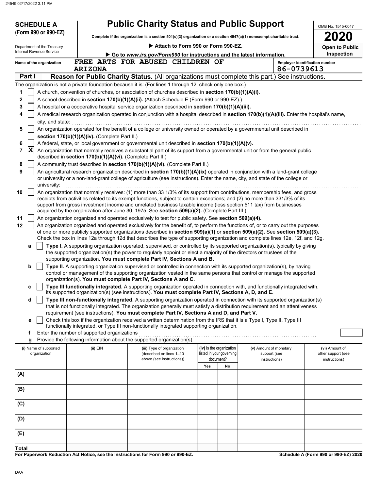| <b>SCHEDULE A</b>                     |                                                            | <b>Public Charity Status and Public Support</b>                                                                                                                                                                                                                 |                                                      |                                        | OMB No. 1545-0047                     |
|---------------------------------------|------------------------------------------------------------|-----------------------------------------------------------------------------------------------------------------------------------------------------------------------------------------------------------------------------------------------------------------|------------------------------------------------------|----------------------------------------|---------------------------------------|
| (Form 990 or 990-EZ)                  |                                                            | Complete if the organization is a section 501(c)(3) organization or a section 4947(a)(1) nonexempt charitable trust.                                                                                                                                            |                                                      |                                        |                                       |
| Department of the Treasury            |                                                            | Attach to Form 990 or Form 990-EZ.                                                                                                                                                                                                                              |                                                      |                                        | <b>Open to Public</b>                 |
| Internal Revenue Service              |                                                            | Go to www.irs.gov/Form990 for instructions and the latest information.                                                                                                                                                                                          |                                                      |                                        | Inspection                            |
| Name of the organization              |                                                            | FREE ARTS FOR ABUSED CHILDREN OF                                                                                                                                                                                                                                |                                                      |                                        | <b>Employer identification number</b> |
|                                       | <b>ARIZONA</b>                                             |                                                                                                                                                                                                                                                                 |                                                      | 86-0739613                             |                                       |
| Part I                                |                                                            | Reason for Public Charity Status. (All organizations must complete this part.) See instructions.                                                                                                                                                                |                                                      |                                        |                                       |
|                                       |                                                            | The organization is not a private foundation because it is: (For lines 1 through 12, check only one box.)                                                                                                                                                       |                                                      |                                        |                                       |
| 1                                     |                                                            | A church, convention of churches, or association of churches described in section 170(b)(1)(A)(i).                                                                                                                                                              |                                                      |                                        |                                       |
| 2<br>3                                |                                                            | A school described in section 170(b)(1)(A)(ii). (Attach Schedule E (Form 990 or 990-EZ).)<br>A hospital or a cooperative hospital service organization described in section 170(b)(1)(A)(iii).                                                                  |                                                      |                                        |                                       |
| 4                                     |                                                            | A medical research organization operated in conjunction with a hospital described in section 170(b)(1)(A)(iii). Enter the hospital's name,                                                                                                                      |                                                      |                                        |                                       |
| city, and state:                      |                                                            |                                                                                                                                                                                                                                                                 |                                                      |                                        |                                       |
| 5                                     |                                                            | An organization operated for the benefit of a college or university owned or operated by a governmental unit described in                                                                                                                                       |                                                      |                                        |                                       |
|                                       | section 170(b)(1)(A)(iv). (Complete Part II.)              |                                                                                                                                                                                                                                                                 |                                                      |                                        |                                       |
| 6<br>$\vert \mathbf{X} \vert$         |                                                            | A federal, state, or local government or governmental unit described in section 170(b)(1)(A)(v).                                                                                                                                                                |                                                      |                                        |                                       |
| 7                                     | described in section 170(b)(1)(A)(vi). (Complete Part II.) | An organization that normally receives a substantial part of its support from a governmental unit or from the general public                                                                                                                                    |                                                      |                                        |                                       |
| 8                                     |                                                            | A community trust described in section 170(b)(1)(A)(vi). (Complete Part II.)                                                                                                                                                                                    |                                                      |                                        |                                       |
| 9<br>university:                      |                                                            | An agricultural research organization described in section 170(b)(1)(A)(ix) operated in conjunction with a land-grant college<br>or university or a non-land-grant college of agriculture (see instructions). Enter the name, city, and state of the college or |                                                      |                                        |                                       |
| 10                                    |                                                            | An organization that normally receives: (1) more than 33 1/3% of its support from contributions, membership fees, and gross                                                                                                                                     |                                                      |                                        |                                       |
|                                       |                                                            | receipts from activities related to its exempt functions, subject to certain exceptions; and (2) no more than 331/3% of its                                                                                                                                     |                                                      |                                        |                                       |
|                                       |                                                            | support from gross investment income and unrelated business taxable income (less section 511 tax) from businesses<br>acquired by the organization after June 30, 1975. See section 509(a)(2). (Complete Part III.)                                              |                                                      |                                        |                                       |
| 11                                    |                                                            | An organization organized and operated exclusively to test for public safety. See section 509(a)(4).                                                                                                                                                            |                                                      |                                        |                                       |
| 12                                    |                                                            | An organization organized and operated exclusively for the benefit of, to perform the functions of, or to carry out the purposes                                                                                                                                |                                                      |                                        |                                       |
|                                       |                                                            | of one or more publicly supported organizations described in section 509(a)(1) or section 509(a)(2). See section 509(a)(3).<br>Check the box in lines 12a through 12d that describes the type of supporting organization and complete lines 12e, 12f, and 12g.  |                                                      |                                        |                                       |
| а                                     |                                                            | Type I. A supporting organization operated, supervised, or controlled by its supported organization(s), typically by giving                                                                                                                                     |                                                      |                                        |                                       |
|                                       |                                                            | the supported organization(s) the power to regularly appoint or elect a majority of the directors or trustees of the                                                                                                                                            |                                                      |                                        |                                       |
|                                       |                                                            | supporting organization. You must complete Part IV, Sections A and B.                                                                                                                                                                                           |                                                      |                                        |                                       |
| b                                     |                                                            | Type II. A supporting organization supervised or controlled in connection with its supported organization(s), by having<br>control or management of the supporting organization vested in the same persons that control or manage the supported                 |                                                      |                                        |                                       |
|                                       |                                                            | organization(s). You must complete Part IV, Sections A and C.                                                                                                                                                                                                   |                                                      |                                        |                                       |
| c                                     |                                                            | Type III functionally integrated. A supporting organization operated in connection with, and functionally integrated with,<br>its supported organization(s) (see instructions). You must complete Part IV, Sections A, D, and E.                                |                                                      |                                        |                                       |
| d                                     |                                                            | Type III non-functionally integrated. A supporting organization operated in connection with its supported organization(s)                                                                                                                                       |                                                      |                                        |                                       |
|                                       |                                                            | that is not functionally integrated. The organization generally must satisfy a distribution requirement and an attentiveness                                                                                                                                    |                                                      |                                        |                                       |
|                                       |                                                            | requirement (see instructions). You must complete Part IV, Sections A and D, and Part V.                                                                                                                                                                        |                                                      |                                        |                                       |
| е                                     |                                                            | Check this box if the organization received a written determination from the IRS that it is a Type I, Type II, Type III<br>functionally integrated, or Type III non-functionally integrated supporting organization.                                            |                                                      |                                        |                                       |
| f                                     | Enter the number of supported organizations                |                                                                                                                                                                                                                                                                 |                                                      |                                        |                                       |
|                                       |                                                            | Provide the following information about the supported organization(s).                                                                                                                                                                                          |                                                      |                                        |                                       |
| (i) Name of supported<br>organization | (ii) EIN                                                   | (iii) Type of organization<br>(described on lines 1-10                                                                                                                                                                                                          | (iv) Is the organization<br>listed in your governing | (v) Amount of monetary<br>support (see | (vi) Amount of<br>other support (see  |
|                                       |                                                            | above (see instructions))                                                                                                                                                                                                                                       | document?                                            | instructions)                          | instructions)                         |
|                                       |                                                            |                                                                                                                                                                                                                                                                 | Yes<br>No                                            |                                        |                                       |
| (A)                                   |                                                            |                                                                                                                                                                                                                                                                 |                                                      |                                        |                                       |
| (B)                                   |                                                            |                                                                                                                                                                                                                                                                 |                                                      |                                        |                                       |
|                                       |                                                            |                                                                                                                                                                                                                                                                 |                                                      |                                        |                                       |
| (C)                                   |                                                            |                                                                                                                                                                                                                                                                 |                                                      |                                        |                                       |
| (D)                                   |                                                            |                                                                                                                                                                                                                                                                 |                                                      |                                        |                                       |
|                                       |                                                            |                                                                                                                                                                                                                                                                 |                                                      |                                        |                                       |
| (E)                                   |                                                            |                                                                                                                                                                                                                                                                 |                                                      |                                        |                                       |
| <b>Total</b>                          |                                                            |                                                                                                                                                                                                                                                                 |                                                      |                                        |                                       |

For Paperwork Reduction Act Notice, see the Instructions for Form 990 or 990-EZ.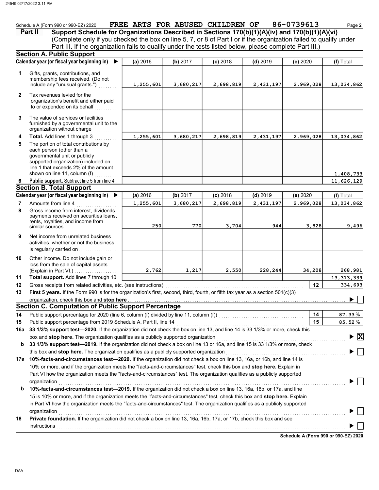|              | Schedule A (Form 990 or 990-EZ) 2020<br>Part II<br>Support Schedule for Organizations Described in Sections 170(b)(1)(A)(iv) and 170(b)(1)(A)(vi)<br>(Complete only if you checked the box on line 5, 7, or 8 of Part I or if the organization failed to qualify under | FREE ARTS FOR ABUSED CHILDREN OF |           |            |            | 86-0739613 | Page 2       |
|--------------|------------------------------------------------------------------------------------------------------------------------------------------------------------------------------------------------------------------------------------------------------------------------|----------------------------------|-----------|------------|------------|------------|--------------|
|              | Part III. If the organization fails to qualify under the tests listed below, please complete Part III.)                                                                                                                                                                |                                  |           |            |            |            |              |
|              | <b>Section A. Public Support</b>                                                                                                                                                                                                                                       |                                  |           |            |            |            |              |
|              | Calendar year (or fiscal year beginning in)<br>▶                                                                                                                                                                                                                       | (a) 2016                         | (b) 2017  | $(c)$ 2018 | $(d)$ 2019 | (e) 2020   | (f) Total    |
| 1            | Gifts, grants, contributions, and<br>membership fees received. (Do not<br>include any "unusual grants.")                                                                                                                                                               | 1,255,601                        | 3,680,217 | 2,698,819  | 2,431,197  | 2,969,028  | 13,034,862   |
| $\mathbf{2}$ | Tax revenues levied for the<br>organization's benefit and either paid<br>to or expended on its behalf                                                                                                                                                                  |                                  |           |            |            |            |              |
| 3            | The value of services or facilities<br>furnished by a governmental unit to the<br>organization without charge                                                                                                                                                          |                                  |           |            |            |            |              |
| 4            | Total. Add lines 1 through 3                                                                                                                                                                                                                                           | 1,255,601                        | 3,680,217 | 2,698,819  | 2,431,197  | 2,969,028  | 13,034,862   |
| 5            | The portion of total contributions by<br>each person (other than a<br>governmental unit or publicly<br>supported organization) included on<br>line 1 that exceeds 2% of the amount<br>shown on line 11, column (f)                                                     |                                  |           |            |            |            | 1,408,733    |
| 6            | Public support. Subtract line 5 from line 4                                                                                                                                                                                                                            |                                  |           |            |            |            | 11,626,129   |
|              | <b>Section B. Total Support</b>                                                                                                                                                                                                                                        |                                  |           |            |            |            |              |
|              | Calendar year (or fiscal year beginning in)<br>▶                                                                                                                                                                                                                       | (a) 2016                         | (b) 2017  | $(c)$ 2018 | $(d)$ 2019 | (e) 2020   | (f) Total    |
| 7            | Amounts from line 4                                                                                                                                                                                                                                                    | 1,255,601                        | 3,680,217 | 2,698,819  | 2,431,197  | 2,969,028  | 13,034,862   |
| 8            | Gross income from interest, dividends.<br>payments received on securities loans,<br>rents, royalties, and income from<br>similar sources                                                                                                                               | 250                              | 770       | 3,704      | 944        | 3,828      | 9,496        |
| 9            | Net income from unrelated business<br>activities, whether or not the business<br>is regularly carried on                                                                                                                                                               |                                  |           |            |            |            |              |
| 10           | Other income. Do not include gain or<br>loss from the sale of capital assets<br>(Explain in Part VI.)                                                                                                                                                                  | 2,762                            | 1,217     | 2,550      | 228,244    | 34,208     | 268,981      |
| 11           | Total support. Add lines 7 through 10                                                                                                                                                                                                                                  |                                  |           |            |            |            | 13, 313, 339 |
| 12           | Gross receipts from related activities, etc. (see instructions)                                                                                                                                                                                                        |                                  |           |            |            | 12         | 334,693      |

| <b>IZ</b> Gross receipts from related activities, etc. (see instructions)                                                          | 14 | ,,,,,,,, |  |
|------------------------------------------------------------------------------------------------------------------------------------|----|----------|--|
| 13 First 5 years. If the Form 990 is for the organization's first, second, third, fourth, or fifth tax year as a section 501(c)(3) |    |          |  |
| organization, check this box and <b>stop here</b>                                                                                  |    |          |  |
| <b>Section C. Computation of Public Support Percentage</b>                                                                         |    |          |  |

| 14  | Public support percentage for 2020 (line 6, column (f) divided by line 11, column (f))                                                                                                                                                                                                                                                                                                                     | 14 | $87.33\%$                       |
|-----|------------------------------------------------------------------------------------------------------------------------------------------------------------------------------------------------------------------------------------------------------------------------------------------------------------------------------------------------------------------------------------------------------------|----|---------------------------------|
| 15  | Public support percentage from 2019 Schedule A, Part II, line 14                                                                                                                                                                                                                                                                                                                                           | 15 | 85.52%                          |
| 16а | 33 1/3% support test—2020. If the organization did not check the box on line 13, and line 14 is 33 1/3% or more, check this<br>box and stop here. The organization qualifies as a publicly supported organization                                                                                                                                                                                          |    | $\blacktriangleright$ $\vert$ X |
| b   | 33 1/3% support test-2019. If the organization did not check a box on line 13 or 16a, and line 15 is 33 1/3% or more, check<br>this box and <b>stop here.</b> The organization qualifies as a publicly supported organization                                                                                                                                                                              |    |                                 |
| 17a | 10%-facts-and-circumstances test-2020. If the organization did not check a box on line 13, 16a, or 16b, and line 14 is<br>10% or more, and if the organization meets the "facts-and-circumstances" test, check this box and <b>stop here.</b> Explain in<br>Part VI how the organization meets the "facts-and-circumstances" test. The organization qualifies as a publicly supported<br>organization      |    |                                 |
| b   | 10%-facts-and-circumstances test-2019. If the organization did not check a box on line 13, 16a, 16b, or 17a, and line<br>15 is 10% or more, and if the organization meets the "facts-and-circumstances" test, check this box and <b>stop here.</b> Explain<br>in Part VI how the organization meets the "facts-and-circumstances" test. The organization qualifies as a publicly supported<br>organization |    |                                 |
| 18  | <b>Private foundation.</b> If the organization did not check a box on line 13, 16a, 16b, 17a, or 17b, check this box and see<br>instructions                                                                                                                                                                                                                                                               |    |                                 |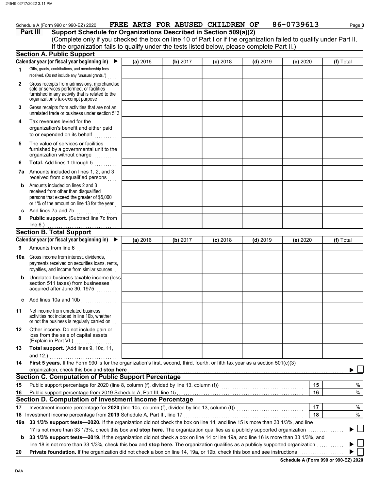| Schedule A (Form 990 or 990-EZ) 2020 | FREE | <b>ARTS FOR</b> | . ABUSED CHILDREN | 86-0739613<br>OF | Page 3 |
|--------------------------------------|------|-----------------|-------------------|------------------|--------|
| .<br>                                |      |                 |                   |                  |        |

### Part III Support Schedule for Organizations Described in Section 509(a)(2)

(Complete only if you checked the box on line 10 of Part I or if the organization failed to qualify under Part II. If the organization fails to qualify under the tests listed below, please complete Part II.)

|     | <b>Section A. Public Support</b>                                                                                                                                                                            |          |          |            |            |          |    |           |
|-----|-------------------------------------------------------------------------------------------------------------------------------------------------------------------------------------------------------------|----------|----------|------------|------------|----------|----|-----------|
|     | Calendar year (or fiscal year beginning in)<br>▶                                                                                                                                                            | (a) 2016 | (b) 2017 | $(c)$ 2018 | $(d)$ 2019 | (e) 2020 |    | (f) Total |
| 1   | Gifts, grants, contributions, and membership fees<br>received. (Do not include any "unusual grants.")                                                                                                       |          |          |            |            |          |    |           |
| 2   | Gross receipts from admissions, merchandise<br>sold or services performed, or facilities<br>furnished in any activity that is related to the<br>organization's tax-exempt purpose                           |          |          |            |            |          |    |           |
| 3   | Gross receipts from activities that are not an<br>unrelated trade or business under section 513                                                                                                             |          |          |            |            |          |    |           |
| 4   | Tax revenues levied for the<br>organization's benefit and either paid<br>to or expended on its behalf                                                                                                       |          |          |            |            |          |    |           |
| 5   | The value of services or facilities<br>furnished by a governmental unit to the<br>organization without charge                                                                                               |          |          |            |            |          |    |           |
| 6   | Total. Add lines 1 through 5                                                                                                                                                                                |          |          |            |            |          |    |           |
|     | <b>7a</b> Amounts included on lines 1, 2, and 3<br>received from disqualified persons                                                                                                                       |          |          |            |            |          |    |           |
| b   | Amounts included on lines 2 and 3<br>received from other than disqualified<br>persons that exceed the greater of \$5,000<br>or 1% of the amount on line 13 for the year                                     |          |          |            |            |          |    |           |
| C   | Add lines 7a and 7b                                                                                                                                                                                         |          |          |            |            |          |    |           |
| 8   | Public support. (Subtract line 7c from                                                                                                                                                                      |          |          |            |            |          |    |           |
|     | line $6.$ )                                                                                                                                                                                                 |          |          |            |            |          |    |           |
|     | <b>Section B. Total Support</b><br>Calendar year (or fiscal year beginning in) ▶                                                                                                                            |          |          |            |            |          |    |           |
|     |                                                                                                                                                                                                             | (a) 2016 | (b) 2017 | $(c)$ 2018 | $(d)$ 2019 | (e) 2020 |    | (f) Total |
| 9   | Amounts from line 6                                                                                                                                                                                         |          |          |            |            |          |    |           |
| 10a | Gross income from interest, dividends,<br>payments received on securities loans, rents,<br>royalties, and income from similar sources.                                                                      |          |          |            |            |          |    |           |
| b   | Unrelated business taxable income (less<br>section 511 taxes) from businesses<br>acquired after June 30, 1975                                                                                               |          |          |            |            |          |    |           |
| C   | Add lines 10a and 10b                                                                                                                                                                                       |          |          |            |            |          |    |           |
| 11  | Net income from unrelated business<br>activities not included in line 10b, whether<br>or not the business is regularly carried on                                                                           |          |          |            |            |          |    |           |
| 12  | Other income. Do not include gain or<br>loss from the sale of capital assets<br>(Explain in Part VI.)                                                                                                       |          |          |            |            |          |    |           |
| 13  | Total support. (Add lines 9, 10c, 11,                                                                                                                                                                       |          |          |            |            |          |    |           |
|     | and 12.)                                                                                                                                                                                                    |          |          |            |            |          |    |           |
| 14  | First 5 years. If the Form 990 is for the organization's first, second, third, fourth, or fifth tax year as a section 501(c)(3)                                                                             |          |          |            |            |          |    |           |
|     | organization, check this box and stop here                                                                                                                                                                  |          |          |            |            |          |    |           |
|     | <b>Section C. Computation of Public Support Percentage</b>                                                                                                                                                  |          |          |            |            |          |    |           |
| 15  | Public support percentage for 2020 (line 8, column (f), divided by line 13, column (f)) [[[[[[[[[[[[[[[[[[[[[                                                                                               |          |          |            |            |          | 15 | %         |
| 16  |                                                                                                                                                                                                             |          |          |            |            |          | 16 | %         |
|     | Section D. Computation of Investment Income Percentage                                                                                                                                                      |          |          |            |            |          | 17 |           |
| 17  |                                                                                                                                                                                                             |          |          |            |            |          | 18 | %<br>%    |
|     | 18 Investment income percentage from 2019 Schedule A, Part III, line 17<br>19a 33 1/3% support tests—2020. If the organization did not check the box on line 14, and line 15 is more than 33 1/3%, and line |          |          |            |            |          |    |           |
|     | 17 is not more than 33 1/3%, check this box and stop here. The organization qualifies as a publicly supported organization                                                                                  |          |          |            |            |          |    |           |
| b   | 33 1/3% support tests-2019. If the organization did not check a box on line 14 or line 19a, and line 16 is more than 33 1/3%, and                                                                           |          |          |            |            |          |    |           |
|     | line 18 is not more than 33 1/3%, check this box and stop here. The organization qualifies as a publicly supported organization                                                                             |          |          |            |            |          |    |           |
| 20  |                                                                                                                                                                                                             |          |          |            |            |          |    |           |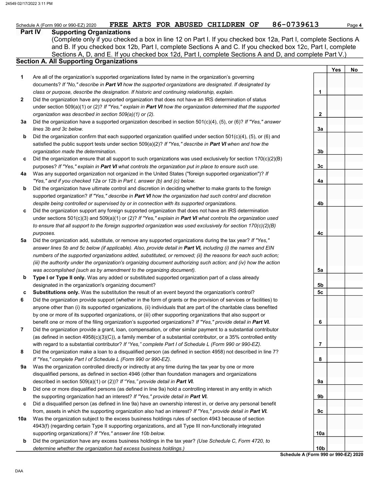# Schedule A (Form 990 or 990-EZ) 2020 FREE ARTS FOR ABUSED CHILDREN OF  $86-0739613$  Page 4

### Part IV Supporting Organizations

Sections A, D, and E. If you checked box 12d, Part I, complete Sections A and D, and complete Part V.) (Complete only if you checked a box in line 12 on Part I. If you checked box 12a, Part I, complete Sections A and B. If you checked box 12b, Part I, complete Sections A and C. If you checked box 12c, Part I, complete

## Section A. All Supporting Organizations

- Are all of the organization's supported organizations listed by name in the organization's governing documents? If "No," describe in Part VI how the supported organizations are designated. If designated by class or purpose, describe the designation. If historic and continuing relationship, explain. 1
- Did the organization have any supported organization that does not have an IRS determination of status under section 509(a)(1) or (2)? If "Yes," explain in Part VI how the organization determined that the supported organization was described in section 509(a)(1) or (2). 2
- **3a** Did the organization have a supported organization described in section 501(c)(4), (5), or (6)? If "Yes," answer lines 3b and 3c below.
- b Did the organization confirm that each supported organization qualified under section 501(c)(4), (5), or (6) and satisfied the public support tests under section  $509(a)(2)$ ? If "Yes," describe in Part VI when and how the organization made the determination.
- c Did the organization ensure that all support to such organizations was used exclusively for section 170(c)(2)(B) purposes? If "Yes," explain in Part VI what controls the organization put in place to ensure such use.
- 4a Was any supported organization not organized in the United States ("foreign supported organization")? If "Yes," and if you checked 12a or 12b in Part I, answer (b) and (c) below.
- b Did the organization have ultimate control and discretion in deciding whether to make grants to the foreign supported organization? If "Yes," describe in Part VI how the organization had such control and discretion despite being controlled or supervised by or in connection with its supported organizations.
- c Did the organization support any foreign supported organization that does not have an IRS determination under sections  $501(c)(3)$  and  $509(a)(1)$  or (2)? If "Yes," explain in Part VI what controls the organization used to ensure that all support to the foreign supported organization was used exclusively for section 170(c)(2)(B) purposes.
- 5a Did the organization add, substitute, or remove any supported organizations during the tax year? If "Yes," answer lines 5b and 5c below (if applicable). Also, provide detail in Part VI, including (i) the names and EIN numbers of the supported organizations added, substituted, or removed; (ii) the reasons for each such action; (iii) the authority under the organization's organizing document authorizing such action; and (iv) how the action was accomplished (such as by amendment to the organizing document).
- b Type I or Type II only. Was any added or substituted supported organization part of a class already designated in the organization's organizing document?
- c Substitutions only. Was the substitution the result of an event beyond the organization's control?
- 6 Did the organization provide support (whether in the form of grants or the provision of services or facilities) to anyone other than (i) its supported organizations, (ii) individuals that are part of the charitable class benefited by one or more of its supported organizations, or (iii) other supporting organizations that also support or benefit one or more of the filing organization's supported organizations? If "Yes," provide detail in Part VI.
- 7 Did the organization provide a grant, loan, compensation, or other similar payment to a substantial contributor (as defined in section  $4958(c)(3)(C)$ ), a family member of a substantial contributor, or a 35% controlled entity with regard to a substantial contributor? If "Yes," complete Part I of Schedule L (Form 990 or 990-EZ).
- 8 Did the organization make a loan to a disqualified person (as defined in section 4958) not described in line 7? If "Yes," complete Part I of Schedule L (Form 990 or 990-EZ).
- 9a Was the organization controlled directly or indirectly at any time during the tax year by one or more disqualified persons, as defined in section 4946 (other than foundation managers and organizations described in section 509(a)(1) or (2))? If "Yes," provide detail in Part VI.
- b Did one or more disqualified persons (as defined in line 9a) hold a controlling interest in any entity in which the supporting organization had an interest? If "Yes," provide detail in Part VI.
- c Did a disqualified person (as defined in line 9a) have an ownership interest in, or derive any personal benefit from, assets in which the supporting organization also had an interest? If "Yes," provide detail in Part VI.
- 10a Was the organization subject to the excess business holdings rules of section 4943 because of section 4943(f) (regarding certain Type II supporting organizations, and all Type III non-functionally integrated supporting organizations)? If "Yes," answer line 10b below.
- b Did the organization have any excess business holdings in the tax year? (Use Schedule C, Form 4720, to determine whether the organization had excess business holdings.)

Yes | No 1 2 3a 3b 3c 4a 4b 4c 5a 5b 5c 6 7 8 9a 9b 9c 10a 10b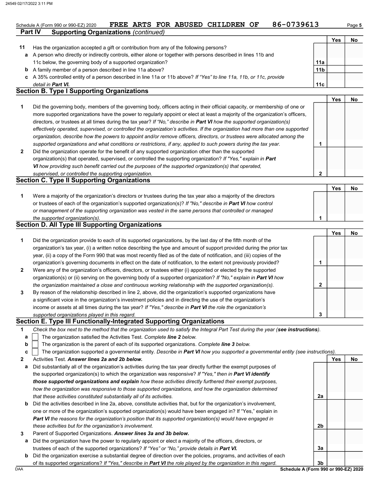### Part IV Supporting Organizations (continued) Schedule A (Form 990 or 990-EZ) 2020 FREE ARTS FOR ABUSED CHILDREN OF  $86-0739613$  Page 5

|    |                                                                                                                      |                 | /es | No |
|----|----------------------------------------------------------------------------------------------------------------------|-----------------|-----|----|
| 11 | Has the organization accepted a gift or contribution from any of the following persons?                              |                 |     |    |
|    | a A person who directly or indirectly controls, either alone or together with persons described in lines 11b and     |                 |     |    |
|    | 11c below, the governing body of a supported organization?                                                           | 11a             |     |    |
|    | <b>b</b> A family member of a person described in line 11a above?                                                    | 11 <sub>b</sub> |     |    |
|    | c A 35% controlled entity of a person described in line 11a or 11b above? If "Yes" to line 11a, 11b, or 11c, provide |                 |     |    |
|    | detail in <b>Part VI.</b>                                                                                            | 11c             |     |    |

### Section B. Type I Supporting Organizations

|                |                                                                                                                                | Yes | No. |
|----------------|--------------------------------------------------------------------------------------------------------------------------------|-----|-----|
| $\mathbf 1$    | Did the governing body, members of the governing body, officers acting in their official capacity, or membership of one or     |     |     |
|                | more supported organizations have the power to regularly appoint or elect at least a majority of the organization's officers,  |     |     |
|                | directors, or trustees at all times during the tax year? If "No," describe in Part VI how the supported organization(s)        |     |     |
|                | effectively operated, supervised, or controlled the organization's activities. If the organization had more than one supported |     |     |
|                | organization, describe how the powers to appoint and/or remove officers, directors, or trustees were allocated among the       |     |     |
|                | supported organizations and what conditions or restrictions, if any, applied to such powers during the tax year.               |     |     |
| $\overline{2}$ | Did the organization operate for the benefit of any supported organization other than the supported                            |     |     |
|                | organization(s) that operated, supervised, or controlled the supporting organization? If "Yes," explain in Part                |     |     |
|                | VI how providing such benefit carried out the purposes of the supported organization(s) that operated,                         |     |     |

### supervised, or controlled the supporting organization. Section C. Type II Supporting Organizations

|                                                                                                                      |  | - Nc |
|----------------------------------------------------------------------------------------------------------------------|--|------|
| Were a majority of the organization's directors or trustees during the tax year also a majority of the directors     |  |      |
| or trustees of each of the organization's supported organization(s)? If "No," describe in <b>Part VI</b> how control |  |      |
| or management of the supporting organization was vested in the same persons that controlled or managed               |  |      |
| the supported organization(s).                                                                                       |  |      |

### Section D. All Type III Supporting Organizations

|                |                                                                                                                        |   | Yes | No |
|----------------|------------------------------------------------------------------------------------------------------------------------|---|-----|----|
| 1              | Did the organization provide to each of its supported organizations, by the last day of the fifth month of the         |   |     |    |
|                | organization's tax year, (i) a written notice describing the type and amount of support provided during the prior tax  |   |     |    |
|                | year, (ii) a copy of the Form 990 that was most recently filed as of the date of notification, and (iii) copies of the |   |     |    |
|                | organization's governing documents in effect on the date of notification, to the extent not previously provided?       |   |     |    |
| $\overline{2}$ | Were any of the organization's officers, directors, or trustees either (i) appointed or elected by the supported       |   |     |    |
|                | organization(s) or (ii) serving on the governing body of a supported organization? If "No," explain in Part VI how     |   |     |    |
|                | the organization maintained a close and continuous working relationship with the supported organization(s).            | າ |     |    |
| 3              | By reason of the relationship described in line 2, above, did the organization's supported organizations have          |   |     |    |
|                | a significant voice in the organization's investment policies and in directing the use of the organization's           |   |     |    |
|                | income or assets at all times during the tax year? If "Yes," describe in Part VI the role the organization's           |   |     |    |
|                | supported organizations played in this regard.                                                                         | 3 |     |    |

### Section E. Type III Functionally-Integrated Supporting Organizations

| Check the box next to the method that the organization used to satisfy the Integral Part Test during the year (see instructions). |  |
|-----------------------------------------------------------------------------------------------------------------------------------|--|
|-----------------------------------------------------------------------------------------------------------------------------------|--|

- The organization satisfied the Activities Test. Complete line 2 below. a
- The organization is the parent of each of its supported organizations. Complete line 3 below. b

|  |  | ∠   The organization supported a governmental entity. Describe in Part VI how you supported a governmental entity (see instructions) |  |  |  |  |  |
|--|--|--------------------------------------------------------------------------------------------------------------------------------------|--|--|--|--|--|
|--|--|--------------------------------------------------------------------------------------------------------------------------------------|--|--|--|--|--|

- 2 Activities Test. Answer lines 2a and 2b below.
- a Did substantially all of the organization's activities during the tax year directly further the exempt purposes of the supported organization(s) to which the organization was responsive? If "Yes," then in Part VI identify those supported organizations and explain how these activities directly furthered their exempt purposes, how the organization was responsive to those supported organizations, and how the organization determined that these activities constituted substantially all of its activities.
- b Did the activities described in line 2a, above, constitute activities that, but for the organization's involvement, one or more of the organization's supported organization(s) would have been engaged in? If "Yes," explain in Part VI the reasons for the organization's position that its supported organization(s) would have engaged in these activities but for the organization's involvement.
- 3 Parent of Supported Organizations. Answer lines 3a and 3b below.
	- a Did the organization have the power to regularly appoint or elect a majority of the officers, directors, or trustees of each of the supported organizations? If "Yes" or "No," provide details in Part VI.
	- b Did the organization exercise a substantial degree of direction over the policies, programs, and activities of each of its supported organizations? If "Yes," describe in Part VI the role played by the organization in this regard.

2a

2b

3a

Yes No

2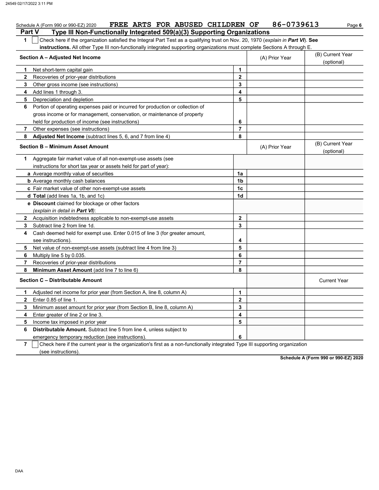| <b>Part V</b><br>Type III Non-Functionally Integrated 509(a)(3) Supporting Organizations                                                       |                |                |                                |
|------------------------------------------------------------------------------------------------------------------------------------------------|----------------|----------------|--------------------------------|
| Check here if the organization satisfied the Integral Part Test as a qualifying trust on Nov. 20, 1970 (explain in Part VI). See<br>1          |                |                |                                |
| instructions. All other Type III non-functionally integrated supporting organizations must complete Sections A through E.                      |                |                |                                |
| Section A - Adjusted Net Income                                                                                                                |                | (A) Prior Year | (B) Current Year<br>(optional) |
| Net short-term capital gain<br>1.                                                                                                              | 1              |                |                                |
| Recoveries of prior-year distributions<br>$\mathbf{2}$                                                                                         | 2              |                |                                |
| Other gross income (see instructions)<br>3                                                                                                     | 3              |                |                                |
| Add lines 1 through 3.<br>4                                                                                                                    | 4              |                |                                |
| Depreciation and depletion<br>5                                                                                                                | 5              |                |                                |
| Portion of operating expenses paid or incurred for production or collection of<br>6                                                            |                |                |                                |
| gross income or for management, conservation, or maintenance of property                                                                       |                |                |                                |
| held for production of income (see instructions)                                                                                               | 6              |                |                                |
| Other expenses (see instructions)<br>7                                                                                                         | $\overline{7}$ |                |                                |
| 8<br>Adjusted Net Income (subtract lines 5, 6, and 7 from line 4)                                                                              | 8              |                |                                |
| <b>Section B - Minimum Asset Amount</b>                                                                                                        |                | (A) Prior Year | (B) Current Year<br>(optional) |
| 1 Aggregate fair market value of all non-exempt-use assets (see                                                                                |                |                |                                |
| instructions for short tax year or assets held for part of year):                                                                              |                |                |                                |
| a Average monthly value of securities                                                                                                          | 1a             |                |                                |
| <b>b</b> Average monthly cash balances                                                                                                         | 1 <sub>b</sub> |                |                                |
| c Fair market value of other non-exempt-use assets                                                                                             | 1 <sub>c</sub> |                |                                |
| d Total (add lines 1a, 1b, and 1c)                                                                                                             | 1d             |                |                                |
| e Discount claimed for blockage or other factors                                                                                               |                |                |                                |
| (explain in detail in Part VI):                                                                                                                |                |                |                                |
| Acquisition indebtedness applicable to non-exempt-use assets<br>$\mathbf{2}$                                                                   | 2              |                |                                |
| Subtract line 2 from line 1d.<br>3                                                                                                             | 3              |                |                                |
| Cash deemed held for exempt use. Enter 0.015 of line 3 (for greater amount,<br>4                                                               |                |                |                                |
| see instructions).                                                                                                                             | 4              |                |                                |
| Net value of non-exempt-use assets (subtract line 4 from line 3)<br>5                                                                          | 5              |                |                                |
| Multiply line 5 by 0.035.<br>6                                                                                                                 | 6              |                |                                |
| 7<br>Recoveries of prior-year distributions                                                                                                    | $\overline{7}$ |                |                                |
| Minimum Asset Amount (add line 7 to line 6)<br>8                                                                                               | 8              |                |                                |
| <b>Section C - Distributable Amount</b>                                                                                                        |                |                | <b>Current Year</b>            |
| Adjusted net income for prior year (from Section A, line 8, column A)<br>1.                                                                    | 1              |                |                                |
| Enter 0.85 of line 1.<br>2                                                                                                                     | 2              |                |                                |
| Minimum asset amount for prior year (from Section B, line 8, column A)<br>3                                                                    | 3              |                |                                |
| Enter greater of line 2 or line 3.<br>4                                                                                                        | 4              |                |                                |
| Income tax imposed in prior year<br>5                                                                                                          | 5              |                |                                |
| Distributable Amount. Subtract line 5 from line 4, unless subject to<br>6                                                                      |                |                |                                |
| emergency temporary reduction (see instructions).                                                                                              | 6              |                |                                |
| $\overline{7}$<br>Check here if the current year is the organization's first as a non-functionally integrated Type III supporting organization |                |                |                                |

(see instructions).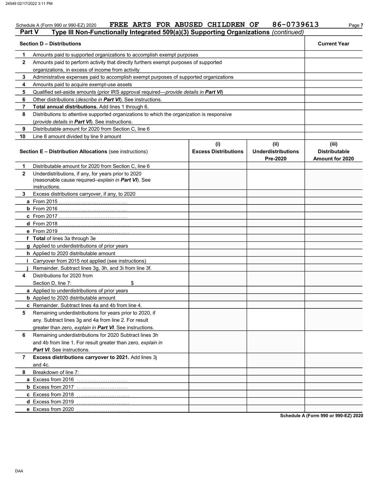### Schedule A (Form 990 or 990-EZ) 2020 FREE ARTS FOR ABUSED CHILDREN OF  $86-0739613$  Page 7 Part V Type III Non-Functionally Integrated 509(a)(3) Supporting Organizations (continued) Section D – Distributions Current Year 1 2 3 4 5 6 7 8 9 10 Amounts paid to supported organizations to accomplish exempt purposes Amounts paid to perform activity that directly furthers exempt purposes of supported organizations, in excess of income from activity Administrative expenses paid to accomplish exempt purposes of supported organizations Amounts paid to acquire exempt-use assets Qualified set-aside amounts (prior IRS approval required—provide details in Part VI) Other distributions (describe in Part VI). See instructions. Total annual distributions. Add lines 1 through 6. Distributions to attentive supported organizations to which the organization is responsive (provide details in Part VI). See instructions. Distributable amount for 2020 from Section C, line 6 Line 8 amount divided by line 9 amount Section E – Distribution Allocations (see instructions) Excess Distributions (i) (ii) Underdistributions Pre-2020 (iii) Distributable Amount for 2020 3 2 1 a From 2015 . . . . . . . . . . . . . . . . . . . . . . . . . . . . . . . b From 2016 . . . . . . . . . . . . . . . . . . . . . . . . . . . . . . . c From 2017 . . . . . . . . . . . . . . . . . . . . . . . . . . . . . . . d From 2018 . . . . . . . . . . . . . . . . . . . . . . . . . . . . . . . . e From 2019 . . . . . . . . . . . . . . . . . . . . . . . . . . . . . . . . f Total of lines 3a through 3e g Applied to underdistributions of prior years h Applied to 2020 distributable amount Distributable amount for 2020 from Section C, line 6 Underdistributions, if any, for years prior to 2020 (reasonable cause required–explain in Part VI). See Excess distributions carryover, if any, to 2020 instructions.

8

and 4c.

7

5

4

6 Remaining underdistributions for 2020 Subtract lines 3h

and 4b from line 1. For result greater than zero, explain in

Excess distributions carryover to 2021. Add lines 3j

Remaining underdistributions for years prior to 2020, if any. Subtract lines 3g and 4a from line 2. For result greater than zero, explain in Part VI. See instructions.

i Carryover from 2015 not applied (see instructions) j Remainder. Subtract lines 3g, 3h, and 3i from line 3f.

a Applied to underdistributions of prior years **b** Applied to 2020 distributable amount

Distributions for 2020 from

Part VI. See instructions.

Breakdown of line 7:

a Excess from 2016 ........................ **b** Excess from 2017 ........................ c Excess from 2018 . . . . . . . . . . . . . . . . . . . . . . . . d Excess from 2019 ......................... e Excess from 2020 . . . . . . . . . . . . . . . . . . . . . . . .

c Remainder. Subtract lines 4a and 4b from line 4.

Section D, line 7: \$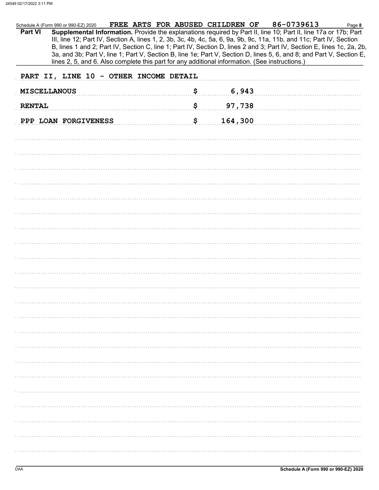| Schedule A (Form 990 or 990-EZ) 2020<br>Supplemental Information. Provide the explanations required by Part II, line 10; Part II, line 17a or 17b; Part<br><b>Part VI</b><br>III, line 12; Part IV, Section A, lines 1, 2, 3b, 3c, 4b, 4c, 5a, 6, 9a, 9b, 9c, 11a, 11b, and 11c; Part IV, Section<br>B, lines 1 and 2; Part IV, Section C, line 1; Part IV, Section D, lines 2 and 3; Part IV, Section E, lines 1c, 2a, 2b,<br>3a, and 3b; Part V, line 1; Part V, Section B, line 1e; Part V, Section D, lines 5, 6, and 8; and Part V, Section E,<br>lines 2, 5, and 6. Also complete this part for any additional information. (See instructions.) | FREE ARTS FOR ABUSED CHILDREN OF |         | 86-0739613<br>Page 8 |
|-------------------------------------------------------------------------------------------------------------------------------------------------------------------------------------------------------------------------------------------------------------------------------------------------------------------------------------------------------------------------------------------------------------------------------------------------------------------------------------------------------------------------------------------------------------------------------------------------------------------------------------------------------|----------------------------------|---------|----------------------|
| PART II, LINE 10 - OTHER INCOME DETAIL                                                                                                                                                                                                                                                                                                                                                                                                                                                                                                                                                                                                                |                                  |         |                      |
| <b>MISCELLANOUS</b>                                                                                                                                                                                                                                                                                                                                                                                                                                                                                                                                                                                                                                   | \$                               | 6,943   |                      |
| <b>RENTAL</b>                                                                                                                                                                                                                                                                                                                                                                                                                                                                                                                                                                                                                                         | \$                               | 97,738  |                      |
| PPP LOAN FORGIVENESS                                                                                                                                                                                                                                                                                                                                                                                                                                                                                                                                                                                                                                  | \$                               | 164,300 |                      |
|                                                                                                                                                                                                                                                                                                                                                                                                                                                                                                                                                                                                                                                       |                                  |         |                      |
|                                                                                                                                                                                                                                                                                                                                                                                                                                                                                                                                                                                                                                                       |                                  |         |                      |
|                                                                                                                                                                                                                                                                                                                                                                                                                                                                                                                                                                                                                                                       |                                  |         |                      |
|                                                                                                                                                                                                                                                                                                                                                                                                                                                                                                                                                                                                                                                       |                                  |         |                      |
|                                                                                                                                                                                                                                                                                                                                                                                                                                                                                                                                                                                                                                                       |                                  |         |                      |
|                                                                                                                                                                                                                                                                                                                                                                                                                                                                                                                                                                                                                                                       |                                  |         |                      |
|                                                                                                                                                                                                                                                                                                                                                                                                                                                                                                                                                                                                                                                       |                                  |         |                      |
|                                                                                                                                                                                                                                                                                                                                                                                                                                                                                                                                                                                                                                                       |                                  |         |                      |
|                                                                                                                                                                                                                                                                                                                                                                                                                                                                                                                                                                                                                                                       |                                  |         |                      |
|                                                                                                                                                                                                                                                                                                                                                                                                                                                                                                                                                                                                                                                       |                                  |         |                      |
|                                                                                                                                                                                                                                                                                                                                                                                                                                                                                                                                                                                                                                                       |                                  |         |                      |
|                                                                                                                                                                                                                                                                                                                                                                                                                                                                                                                                                                                                                                                       |                                  |         |                      |
|                                                                                                                                                                                                                                                                                                                                                                                                                                                                                                                                                                                                                                                       |                                  |         |                      |
|                                                                                                                                                                                                                                                                                                                                                                                                                                                                                                                                                                                                                                                       |                                  |         |                      |
|                                                                                                                                                                                                                                                                                                                                                                                                                                                                                                                                                                                                                                                       |                                  |         |                      |
|                                                                                                                                                                                                                                                                                                                                                                                                                                                                                                                                                                                                                                                       |                                  |         |                      |
|                                                                                                                                                                                                                                                                                                                                                                                                                                                                                                                                                                                                                                                       |                                  |         |                      |
|                                                                                                                                                                                                                                                                                                                                                                                                                                                                                                                                                                                                                                                       |                                  |         |                      |
|                                                                                                                                                                                                                                                                                                                                                                                                                                                                                                                                                                                                                                                       |                                  |         |                      |
|                                                                                                                                                                                                                                                                                                                                                                                                                                                                                                                                                                                                                                                       |                                  |         |                      |
|                                                                                                                                                                                                                                                                                                                                                                                                                                                                                                                                                                                                                                                       |                                  |         |                      |
|                                                                                                                                                                                                                                                                                                                                                                                                                                                                                                                                                                                                                                                       |                                  |         |                      |
|                                                                                                                                                                                                                                                                                                                                                                                                                                                                                                                                                                                                                                                       |                                  |         |                      |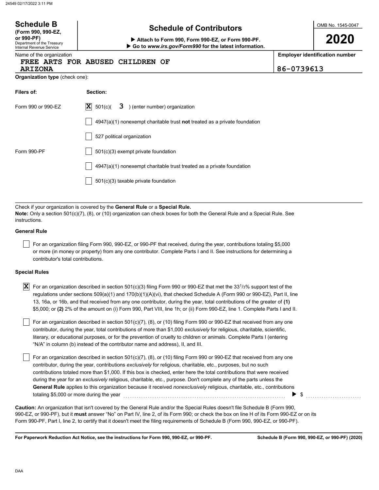| <b>Schedule B</b><br>(Form 990, 990-EZ,                                     | <b>Schedule of Contributors</b>                                                                           |            | OMB No. 1545-0047                     |
|-----------------------------------------------------------------------------|-----------------------------------------------------------------------------------------------------------|------------|---------------------------------------|
| or 990-PF)<br>Department of the Treasury<br><b>Internal Revenue Service</b> | Attach to Form 990, Form 990-EZ, or Form 990-PF.<br>Go to www.irs.gov/Form990 for the latest information. | 2020       |                                       |
| Name of the organization                                                    | FREE ARTS FOR ABUSED CHILDREN OF                                                                          |            | <b>Employer identification number</b> |
| <b>ARIZONA</b>                                                              |                                                                                                           | 86-0739613 |                                       |
| Organization type (check one):                                              |                                                                                                           |            |                                       |
| Filers of:                                                                  | Section:                                                                                                  |            |                                       |
| Form 990 or 990-EZ                                                          | $ \mathbf{X} $ 501(c)(<br>3 ) (enter number) organization                                                 |            |                                       |
|                                                                             | $4947(a)(1)$ nonexempt charitable trust <b>not</b> treated as a private foundation                        |            |                                       |
|                                                                             | 527 political organization                                                                                |            |                                       |
| Form 990-PF                                                                 | 501(c)(3) exempt private foundation                                                                       |            |                                       |
| $4947(a)(1)$ nonexempt charitable trust treated as a private foundation     |                                                                                                           |            |                                       |
|                                                                             | 501(c)(3) taxable private foundation                                                                      |            |                                       |
|                                                                             |                                                                                                           |            |                                       |
|                                                                             | Check if your organization is covered by the General Rule or a Special Rule.                              |            |                                       |

Note: Only a section 501(c)(7), (8), or (10) organization can check boxes for both the General Rule and a Special Rule. See instructions.

### General Rule

For an organization filing Form 990, 990-EZ, or 990-PF that received, during the year, contributions totaling \$5,000 or more (in money or property) from any one contributor. Complete Parts I and II. See instructions for determining a contributor's total contributions.

### Special Rules

| $\overline{\textbf{X}}$ For an organization described in section 501(c)(3) filing Form 990 or 990-EZ that met the 33 <sup>1</sup> /3% support test of the |
|-----------------------------------------------------------------------------------------------------------------------------------------------------------|
| regulations under sections 509(a)(1) and 170(b)(1)(A)(vi), that checked Schedule A (Form 990 or 990-EZ), Part II, line                                    |
| 13, 16a, or 16b, and that received from any one contributor, during the year, total contributions of the greater of (1)                                   |
| \$5,000; or (2) 2% of the amount on (i) Form 990, Part VIII, line 1h; or (ii) Form 990-EZ, line 1. Complete Parts I and II.                               |

literary, or educational purposes, or for the prevention of cruelty to children or animals. Complete Parts I (entering For an organization described in section 501(c)(7), (8), or (10) filing Form 990 or 990-EZ that received from any one contributor, during the year, total contributions of more than \$1,000 exclusively for religious, charitable, scientific, "N/A" in column (b) instead of the contributor name and address), II, and III.

For an organization described in section  $501(c)(7)$ ,  $(8)$ , or  $(10)$  filing Form 990 or 990-EZ that received from any one contributor, during the year, contributions exclusively for religious, charitable, etc., purposes, but no such contributions totaled more than \$1,000. If this box is checked, enter here the total contributions that were received during the year for an exclusively religious, charitable, etc., purpose. Don't complete any of the parts unless the General Rule applies to this organization because it received nonexclusively religious, charitable, etc., contributions  $\text{totaling }$  \$5,000 or more during the year  $\ldots$   $\ldots$   $\ldots$   $\ldots$   $\ldots$   $\ldots$   $\ldots$   $\ldots$   $\ldots$   $\ldots$   $\blacksquare$ 

990-EZ, or 990-PF), but it must answer "No" on Part IV, line 2, of its Form 990; or check the box on line H of its Form 990-EZ or on its Form 990-PF, Part I, line 2, to certify that it doesn't meet the filing requirements of Schedule B (Form 990, 990-EZ, or 990-PF). Caution: An organization that isn't covered by the General Rule and/or the Special Rules doesn't file Schedule B (Form 990,

For Paperwork Reduction Act Notice, see the instructions for Form 990, 990-EZ, or 990-PF.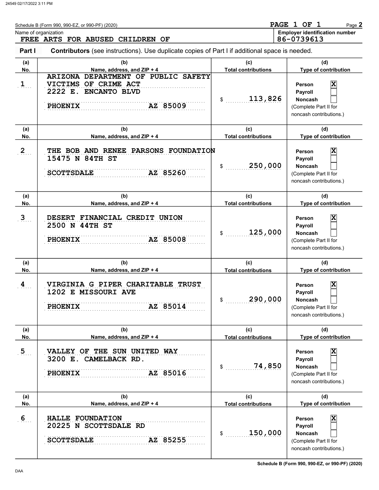|                       | Schedule B (Form 990, 990-EZ, or 990-PF) (2020)                                                                   |                                            | PAGE 1 OF 1<br>Page 2                                                                                              |
|-----------------------|-------------------------------------------------------------------------------------------------------------------|--------------------------------------------|--------------------------------------------------------------------------------------------------------------------|
|                       | Name of organization<br>FREE ARTS FOR ABUSED CHILDREN OF                                                          |                                            | <b>Employer identification number</b><br>86-0739613                                                                |
| Part I                | <b>Contributors</b> (see instructions). Use duplicate copies of Part I if additional space is needed.             |                                            |                                                                                                                    |
| (a)<br>No.            | (b)<br>Name, address, and ZIP + 4<br>ARIZONA DEPARTMENT OF PUBLIC SAFETY                                          | (c)<br><b>Total contributions</b>          | (d)<br>Type of contribution                                                                                        |
| $1$                   | VICTIMS OF CRIME ACT<br>2222 E. ENCANTO BLVD<br><b>PHOENIX</b><br>AZ 85009                                        | 113,826<br>\$                              | $\overline{\mathbf{x}}$<br>Person<br><b>Payroll</b><br>Noncash<br>(Complete Part II for<br>noncash contributions.) |
| (a)<br>No.            | (b)<br>Name, address, and ZIP + 4                                                                                 | (c)<br><b>Total contributions</b>          | (d)<br>Type of contribution                                                                                        |
| 2 <sub>1</sub>        | THE BOB AND RENEE PARSONS FOUNDATION<br>15475 N 84TH ST<br>AZ 85260<br><b>SCOTTSDALE</b>                          | 250,000<br>\$                              | $\overline{\textbf{x}}$<br>Person<br><b>Payroll</b><br>Noncash<br>(Complete Part II for<br>noncash contributions.) |
| (a)<br>No.            | (b)<br>Name, address, and ZIP + 4                                                                                 | (c)<br><b>Total contributions</b>          | (d)<br>Type of contribution                                                                                        |
| $\mathbf{3}$          | DESERT FINANCIAL CREDIT UNION<br>2500 N 44TH ST<br>AZ 85008<br><b>PHOENIX</b>                                     | 125,000<br>\$                              | $\overline{\textbf{x}}$<br>Person<br>Payroll<br>Noncash<br>(Complete Part II for<br>noncash contributions.)        |
| (a)<br>No.            | (b)<br>Name, address, and ZIP + 4                                                                                 | (c)<br><b>Total contributions</b>          | (d)<br>Type of contribution                                                                                        |
| 4                     | VIRGINIA G PIPER CHARITABLE TRUST<br>1202 E MISSOURI AVE<br>AZ 85014<br><b>PHOENIX</b>                            | 290,000                                    | $\overline{\mathbf{x}}$<br>Person<br><b>Payroll</b><br>Noncash<br>(Complete Part II for<br>noncash contributions.) |
| (a)                   | (b)                                                                                                               | (c)                                        | (d)                                                                                                                |
| No.<br>$\overline{5}$ | Name, address, and ZIP + 4<br>VALLEY OF THE SUN UNITED WAY<br>3200 E. CAMELBACK RD.<br>AZ 85016<br><b>PHOENIX</b> | <b>Total contributions</b><br>74,850<br>\$ | Type of contribution<br>X<br>Person<br>Payroll<br>Noncash<br>(Complete Part II for<br>noncash contributions.)      |
| (a)<br>No.            | (b)<br>Name, address, and ZIP + 4                                                                                 | (c)<br><b>Total contributions</b>          | (d)<br>Type of contribution                                                                                        |
| 6 <sub>1</sub>        | HALLE FOUNDATION<br>20225 N SCOTTSDALE RD<br>AZ 85255<br><b>SCOTTSDALE</b>                                        | 150,000<br>\$                              | X<br>Person<br>Payroll<br>Noncash<br>(Complete Part II for<br>noncash contributions.)                              |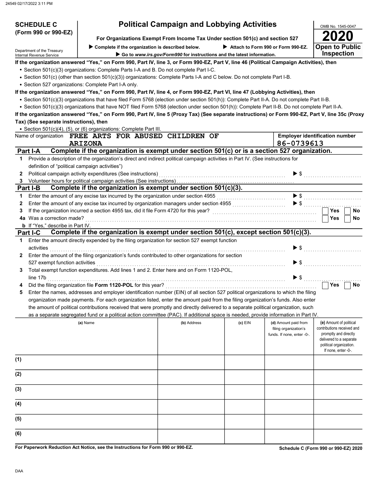| <b>SCHEDULE C</b>                                      |                                                                                                                                                                                                                                                                                                     | <b>Political Campaign and Lobbying Activities</b>                             |           | OMB No. 1545-0047                  |                                                  |  |  |  |  |
|--------------------------------------------------------|-----------------------------------------------------------------------------------------------------------------------------------------------------------------------------------------------------------------------------------------------------------------------------------------------------|-------------------------------------------------------------------------------|-----------|------------------------------------|--------------------------------------------------|--|--|--|--|
| (Form 990 or 990-EZ)                                   |                                                                                                                                                                                                                                                                                                     | For Organizations Exempt From Income Tax Under section 501(c) and section 527 |           |                                    | 2020                                             |  |  |  |  |
|                                                        | Complete if the organization is described below.                                                                                                                                                                                                                                                    |                                                                               |           | Attach to Form 990 or Form 990-EZ. | <b>Open to Public</b>                            |  |  |  |  |
| Department of the Treasury<br>Internal Revenue Service |                                                                                                                                                                                                                                                                                                     | Go to www.irs.gov/Form990 for instructions and the latest information.        |           |                                    | <b>Inspection</b>                                |  |  |  |  |
|                                                        | If the organization answered "Yes," on Form 990, Part IV, line 3, or Form 990-EZ, Part V, line 46 (Political Campaign Activities), then                                                                                                                                                             |                                                                               |           |                                    |                                                  |  |  |  |  |
|                                                        | • Section 501(c)(3) organizations: Complete Parts I-A and B. Do not complete Part I-C.                                                                                                                                                                                                              |                                                                               |           |                                    |                                                  |  |  |  |  |
|                                                        | • Section 501(c) (other than section 501(c)(3)) organizations: Complete Parts I-A and C below. Do not complete Part I-B.                                                                                                                                                                            |                                                                               |           |                                    |                                                  |  |  |  |  |
|                                                        | • Section 527 organizations: Complete Part I-A only.                                                                                                                                                                                                                                                |                                                                               |           |                                    |                                                  |  |  |  |  |
|                                                        | If the organization answered "Yes," on Form 990, Part IV, line 4, or Form 990-EZ, Part VI, line 47 (Lobbying Activities), then                                                                                                                                                                      |                                                                               |           |                                    |                                                  |  |  |  |  |
|                                                        | . Section 501(c)(3) organizations that have filed Form 5768 (election under section 501(h)): Complete Part II-A. Do not complete Part II-B.                                                                                                                                                         |                                                                               |           |                                    |                                                  |  |  |  |  |
|                                                        | . Section 501(c)(3) organizations that have NOT filed Form 5768 (election under section 501(h)): Complete Part II-B. Do not complete Part II-A.<br>If the organization answered "Yes," on Form 990, Part IV, line 5 (Proxy Tax) (See separate instructions) or Form 990-EZ, Part V, line 35c (Proxy |                                                                               |           |                                    |                                                  |  |  |  |  |
| Tax) (See separate instructions), then                 |                                                                                                                                                                                                                                                                                                     |                                                                               |           |                                    |                                                  |  |  |  |  |
|                                                        | • Section 501(c)(4), (5), or (6) organizations: Complete Part III.                                                                                                                                                                                                                                  |                                                                               |           |                                    |                                                  |  |  |  |  |
|                                                        | Name of organization FREE ARTS FOR ABUSED CHILDREN OF                                                                                                                                                                                                                                               |                                                                               |           |                                    | <b>Employer identification number</b>            |  |  |  |  |
|                                                        | <b>ARIZONA</b>                                                                                                                                                                                                                                                                                      |                                                                               |           | 86-0739613                         |                                                  |  |  |  |  |
| Part I-A                                               | Complete if the organization is exempt under section 501(c) or is a section 527 organization.                                                                                                                                                                                                       |                                                                               |           |                                    |                                                  |  |  |  |  |
| 1                                                      | Provide a description of the organization's direct and indirect political campaign activities in Part IV. (See instructions for                                                                                                                                                                     |                                                                               |           |                                    |                                                  |  |  |  |  |
|                                                        | definition of "political campaign activities")                                                                                                                                                                                                                                                      |                                                                               |           |                                    |                                                  |  |  |  |  |
| 2                                                      | Political campaign activity expenditures (See instructions)                                                                                                                                                                                                                                         |                                                                               |           |                                    |                                                  |  |  |  |  |
| 3                                                      |                                                                                                                                                                                                                                                                                                     |                                                                               |           |                                    |                                                  |  |  |  |  |
| Part I-B                                               | Complete if the organization is exempt under section 501(c)(3).                                                                                                                                                                                                                                     |                                                                               |           |                                    |                                                  |  |  |  |  |
| 1<br>2                                                 | Enter the amount of any excise tax incurred by the organization under section 4955<br>Enter the amount of any excise tax incurred by organization managers under section 4955                                                                                                                       |                                                                               |           |                                    | $\blacktriangleright$ \$                         |  |  |  |  |
| 3                                                      | If the organization incurred a section 4955 tax, did it file Form 4720 for this year?                                                                                                                                                                                                               |                                                                               |           |                                    | Yes<br><b>No</b>                                 |  |  |  |  |
| 4a Was a correction made?                              |                                                                                                                                                                                                                                                                                                     |                                                                               |           |                                    | Yes<br>No                                        |  |  |  |  |
| <b>b</b> If "Yes," describe in Part IV.                |                                                                                                                                                                                                                                                                                                     |                                                                               |           |                                    |                                                  |  |  |  |  |
| Part I-C                                               | Complete if the organization is exempt under section 501(c), except section 501(c)(3).                                                                                                                                                                                                              |                                                                               |           |                                    |                                                  |  |  |  |  |
| 1.                                                     | Enter the amount directly expended by the filing organization for section 527 exempt function                                                                                                                                                                                                       |                                                                               |           |                                    |                                                  |  |  |  |  |
| activities                                             |                                                                                                                                                                                                                                                                                                     |                                                                               | .         | $\blacktriangleright$ \$           |                                                  |  |  |  |  |
| 2                                                      | Enter the amount of the filing organization's funds contributed to other organizations for section                                                                                                                                                                                                  |                                                                               |           |                                    |                                                  |  |  |  |  |
| 527 exempt function activities                         |                                                                                                                                                                                                                                                                                                     |                                                                               |           | $\blacktriangleright$ s            |                                                  |  |  |  |  |
| 3                                                      | Total exempt function expenditures. Add lines 1 and 2. Enter here and on Form 1120-POL,                                                                                                                                                                                                             |                                                                               |           |                                    |                                                  |  |  |  |  |
| line 17b                                               |                                                                                                                                                                                                                                                                                                     |                                                                               |           | $\blacktriangleright$ \$           |                                                  |  |  |  |  |
|                                                        | Enter the names, addresses and employer identification number (EIN) of all section 527 political organizations to which the filing                                                                                                                                                                  |                                                                               |           |                                    | Yes<br>No.                                       |  |  |  |  |
|                                                        | organization made payments. For each organization listed, enter the amount paid from the filing organization's funds. Also enter                                                                                                                                                                    |                                                                               |           |                                    |                                                  |  |  |  |  |
|                                                        | the amount of political contributions received that were promptly and directly delivered to a separate political organization, such                                                                                                                                                                 |                                                                               |           |                                    |                                                  |  |  |  |  |
|                                                        | as a separate segregated fund or a political action committee (PAC). If additional space is needed, provide information in Part IV.                                                                                                                                                                 |                                                                               |           |                                    |                                                  |  |  |  |  |
|                                                        | (a) Name                                                                                                                                                                                                                                                                                            | (b) Address                                                                   | $(c)$ EIN | (d) Amount paid from               | (e) Amount of political                          |  |  |  |  |
|                                                        |                                                                                                                                                                                                                                                                                                     |                                                                               |           | filing organization's              | contributions received and                       |  |  |  |  |
|                                                        |                                                                                                                                                                                                                                                                                                     |                                                                               |           | funds. If none, enter -0-.         | promptly and directly<br>delivered to a separate |  |  |  |  |
|                                                        |                                                                                                                                                                                                                                                                                                     |                                                                               |           |                                    | political organization.                          |  |  |  |  |
|                                                        |                                                                                                                                                                                                                                                                                                     |                                                                               |           |                                    | If none, enter -0-.                              |  |  |  |  |
| (1)                                                    |                                                                                                                                                                                                                                                                                                     |                                                                               |           |                                    |                                                  |  |  |  |  |
|                                                        |                                                                                                                                                                                                                                                                                                     |                                                                               |           |                                    |                                                  |  |  |  |  |
| (2)                                                    |                                                                                                                                                                                                                                                                                                     |                                                                               |           |                                    |                                                  |  |  |  |  |
| (3)                                                    |                                                                                                                                                                                                                                                                                                     |                                                                               |           |                                    |                                                  |  |  |  |  |
|                                                        |                                                                                                                                                                                                                                                                                                     |                                                                               |           |                                    |                                                  |  |  |  |  |
| (4)                                                    |                                                                                                                                                                                                                                                                                                     |                                                                               |           |                                    |                                                  |  |  |  |  |
|                                                        |                                                                                                                                                                                                                                                                                                     |                                                                               |           |                                    |                                                  |  |  |  |  |
| (5)                                                    |                                                                                                                                                                                                                                                                                                     |                                                                               |           |                                    |                                                  |  |  |  |  |
|                                                        |                                                                                                                                                                                                                                                                                                     |                                                                               |           |                                    |                                                  |  |  |  |  |
| (6)                                                    |                                                                                                                                                                                                                                                                                                     |                                                                               |           |                                    |                                                  |  |  |  |  |

For Paperwork Reduction Act Notice, see the Instructions for Form 990 or 990-EZ.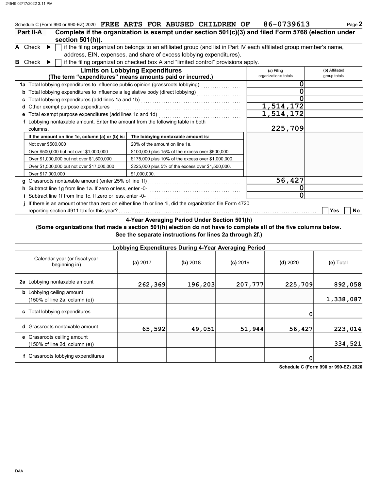|   | Schedule C (Form 990 or 990-EZ) 2020 FREE ARTS FOR ABUSED CHILDREN OF                                                                                                        |                               |                                    |                                                    |  | 86-0739613 | Page 2 |  |
|---|------------------------------------------------------------------------------------------------------------------------------------------------------------------------------|-------------------------------|------------------------------------|----------------------------------------------------|--|------------|--------|--|
|   | Complete if the organization is exempt under section 501(c)(3) and filed Form 5768 (election under<br>Part II-A                                                              |                               |                                    |                                                    |  |            |        |  |
|   | section 501(h)).                                                                                                                                                             |                               |                                    |                                                    |  |            |        |  |
|   | if the filing organization belongs to an affiliated group (and list in Part IV each affiliated group member's name,<br>A Check $\blacktriangleright$                         |                               |                                    |                                                    |  |            |        |  |
|   | address, EIN, expenses, and share of excess lobbying expenditures).                                                                                                          |                               |                                    |                                                    |  |            |        |  |
| в | if the filing organization checked box A and "limited control" provisions apply.<br>Check $\blacktriangleright$                                                              |                               |                                    |                                                    |  |            |        |  |
|   | <b>Limits on Lobbying Expenditures</b><br>(b) Affiliated<br>(a) Filing<br>organization's totals<br>(The term "expenditures" means amounts paid or incurred.)<br>group totals |                               |                                    |                                                    |  |            |        |  |
|   | <b>1a</b> Total lobbying expenditures to influence public opinion (grassroots lobbying)                                                                                      |                               |                                    |                                                    |  | 0          |        |  |
|   | b                                                                                                                                                                            |                               |                                    |                                                    |  | 0          |        |  |
|   | c                                                                                                                                                                            |                               |                                    |                                                    |  | ი          |        |  |
|   | <b>d</b> Other exempt purpose expenditures                                                                                                                                   |                               |                                    |                                                    |  | 1,514,172  |        |  |
|   | e Total exempt purpose expenditures (add lines 1c and 1d)                                                                                                                    |                               |                                    |                                                    |  | 1,514,172  |        |  |
|   | f Lobbying nontaxable amount. Enter the amount from the following table in both                                                                                              |                               |                                    |                                                    |  |            |        |  |
|   | columns.                                                                                                                                                                     |                               |                                    |                                                    |  | 225,709    |        |  |
|   | If the amount on line 1e, column (a) or (b) is:                                                                                                                              |                               | The lobbying nontaxable amount is: |                                                    |  |            |        |  |
|   | Not over \$500,000                                                                                                                                                           | 20% of the amount on line 1e. |                                    |                                                    |  |            |        |  |
|   | Over \$500,000 but not over \$1,000,000                                                                                                                                      |                               |                                    | \$100,000 plus 15% of the excess over \$500,000.   |  |            |        |  |
|   | Over \$1,000,000 but not over \$1,500,000                                                                                                                                    |                               |                                    | \$175,000 plus 10% of the excess over \$1,000,000. |  |            |        |  |
|   | Over \$1,500,000 but not over \$17,000,000                                                                                                                                   |                               |                                    | \$225,000 plus 5% of the excess over \$1,500,000.  |  |            |        |  |
|   | Over \$17,000,000                                                                                                                                                            | \$1.000.000.                  |                                    |                                                    |  |            |        |  |
|   | Grassroots nontaxable amount (enter 25% of line 1f)<br>a                                                                                                                     |                               |                                    |                                                    |  | 56,427     |        |  |
|   |                                                                                                                                                                              |                               |                                    |                                                    |  | 0          |        |  |
|   | Subtract line 1f from line 1c. If zero or less, enter -0-                                                                                                                    |                               |                                    |                                                    |  | 0          |        |  |
|   | j If there is an amount other than zero on either line 1h or line 1i, did the organization file Form 4720                                                                    |                               |                                    |                                                    |  |            |        |  |
|   |                                                                                                                                                                              | Yes<br>No.                    |                                    |                                                    |  |            |        |  |

4-Year Averaging Period Under Section 501(h)

### (Some organizations that made a section 501(h) election do not have to complete all of the five columns below. See the separate instructions for lines 2a through 2f.)

| Lobbying Expenditures During 4-Year Averaging Period                                   |          |          |            |            |           |  |  |  |  |  |
|----------------------------------------------------------------------------------------|----------|----------|------------|------------|-----------|--|--|--|--|--|
| Calendar year (or fiscal year<br>beginning in)                                         | (a) 2017 | (b) 2018 | $(c)$ 2019 | $(d)$ 2020 | (e) Total |  |  |  |  |  |
| 2a Lobbying nontaxable amount                                                          | 262,369  | 196,203  | 207,777    | 225,709    | 892,058   |  |  |  |  |  |
| <b>b</b> Lobbying ceiling amount<br>$(150\% \text{ of line } 2a, \text{ column } (e))$ |          |          |            |            | 1,338,087 |  |  |  |  |  |
| c Total lobbying expenditures                                                          |          |          |            |            |           |  |  |  |  |  |
| <b>d</b> Grassroots nontaxable amount                                                  | 65,592   | 49,051   | 51,944     | 56,427     | 223,014   |  |  |  |  |  |
| e Grassroots ceiling amount<br>$(150\% \text{ of line 2d, column (e))}$                |          |          |            |            | 334,521   |  |  |  |  |  |
| f Grassroots lobbying expenditures                                                     |          |          |            |            |           |  |  |  |  |  |

Schedule C (Form 990 or 990-EZ) 2020

DAA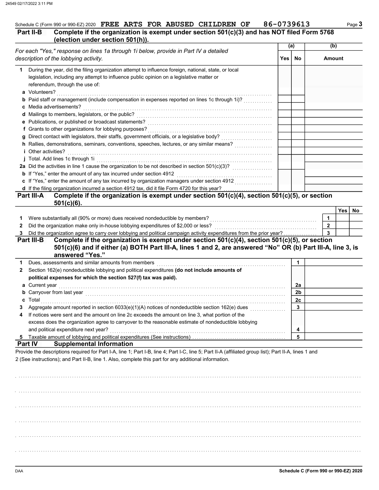### Schedule C (Form 990 or 990-EZ) 2020 FREE ARTS FOR ABUSED CHILDREN OF  $86-0739613$  Page 3 Part II-B Complete if the organization is exempt under section 501(c)(3) and has NOT filed Form 5768 (election under section 501(h)).

|                                                                                                                                                                                                                                                             |     | (a) |        | (b)        |    |
|-------------------------------------------------------------------------------------------------------------------------------------------------------------------------------------------------------------------------------------------------------------|-----|-----|--------|------------|----|
| For each "Yes," response on lines 1a through 1i below, provide in Part IV a detailed<br>description of the lobbying activity.                                                                                                                               | Yes | No  | Amount |            |    |
| During the year, did the filing organization attempt to influence foreign, national, state, or local<br>1.<br>legislation, including any attempt to influence public opinion on a legislative matter or<br>referendum, through the use of:<br>a Volunteers? |     |     |        |            |    |
| <b>b</b> Paid staff or management (include compensation in expenses reported on lines 1c through 1i)?<br>c Media advertisements?                                                                                                                            |     |     |        |            |    |
| <b>d</b> Mailings to members, legislators, or the public?<br>f Grants to other organizations for lobbying purposes?                                                                                                                                         |     |     |        |            |    |
| <i>i</i> Other activities?                                                                                                                                                                                                                                  |     |     |        |            |    |
| j Total. Add lines 1c through 1i                                                                                                                                                                                                                            |     |     |        |            |    |
| 2a Did the activities in line 1 cause the organization to be not described in section 501(c)(3)?<br><b>b</b> If "Yes," enter the amount of any tax incurred under section 4912                                                                              |     |     |        |            |    |
| c If "Yes," enter the amount of any tax incurred by organization managers under section 4912<br>d If the filing organization incurred a section 4912 tax, did it file Form 4720 for this year?                                                              |     |     |        |            |    |
| Complete if the organization is exempt under section 501(c)(4), section 501(c)(5), or section<br>Part III-A<br>501(c)(6).                                                                                                                                   |     |     |        |            |    |
| Were substantially all (90% or more) dues received nondeductible by members?                                                                                                                                                                                |     |     | 1      | <b>Yes</b> | No |

| Were substantially all (90% or more) dues received nondeductible by members?                                        |  |  |  |
|---------------------------------------------------------------------------------------------------------------------|--|--|--|
| Did the organization make only in-house lobbying expenditures of \$2,000 or less?                                   |  |  |  |
| Did the organization agree to carry over lobbying and political campaign activity expenditures from the prior year? |  |  |  |

| Part III-B<br>Complete if the organization is exempt under section $501(c)(4)$ , section $501(c)(5)$ , or section<br>501(c)(6) and if either (a) BOTH Part III-A, lines 1 and 2, are answered "No" OR (b) Part III-A, line 3, is<br>answered "Yes." |    |  |  |  |  |
|-----------------------------------------------------------------------------------------------------------------------------------------------------------------------------------------------------------------------------------------------------|----|--|--|--|--|
| Dues, assessments and similar amounts from members                                                                                                                                                                                                  |    |  |  |  |  |
| Section 162(e) nondeductible lobbying and political expenditures (do not include amounts of<br>2                                                                                                                                                    |    |  |  |  |  |
| political expenses for which the section 527(f) tax was paid).                                                                                                                                                                                      |    |  |  |  |  |
| <b>a</b> Current year                                                                                                                                                                                                                               | 2a |  |  |  |  |

|    | <b>b</b> Carryover from last year                                                                    |    |  |
|----|------------------------------------------------------------------------------------------------------|----|--|
|    | c Total                                                                                              | 2с |  |
|    | 3 Aggregate amount reported in section 6033(e)(1)(A) notices of nondeductible section 162(e) dues    |    |  |
|    | 4 If notices were sent and the amount on line 2c exceeds the amount on line 3, what portion of the   |    |  |
|    | excess does the organization agree to carryover to the reasonable estimate of nondeductible lobbying |    |  |
|    | and political expenditure next year?                                                                 |    |  |
| 5. | Taxable amount of lobbying and political expenditures (See instructions)                             |    |  |

## **Part IV** Supplemental Information

Provide the descriptions required for Part I-A, line 1; Part I-B, line 4; Part I-C, line 5; Part II-A (affiliated group list); Part II-A, lines 1 and 2 (See instructions); and Part II-B, line 1. Also, complete this part for any additional information.

. . . . . . . . . . . . . . . . . . . . . . . . . . . . . . . . . . . . . . . . . . . . . . . . . . . . . . . . . . . . . . . . . . . . . . . . . . . . . . . . . . . . . . . . . . . . . . . . . . . . . . . . . . . . . . . . . . . . . . . . . . . . . . . . . . . . . . . . . . . . . . . . . . . . . . . . . . . . . . . . . . . . . . . . . . . . . . . . . . . . . . . . . . . . . . . . . . . . . . . . . . . . . . . . . . . . . . . . . . . . . . . . . . . . . . . . . . . . . . . . . . . . . . . . . . . . . . . . . . . . . . . . . . . . . . . . . . . . . . . . . . . . . . . . . . . . . . . . . . . . . . . . . . . . . . . . . . . . . . . . . . . . . . . . . . . . . . . . . . . . . . . . . . . . . . . . . . . . . . . . . . . . . . . . . . . . . . . . . . . . . . . . . . . . . . . . . . . . . . . . . . . . . . . . . . . . . . . . . . . . . . . . . . . . . . . . . . . . . . . . . . . . . . . . . . . . . . . . . . . . . . . . . . . . . . . . . . . . . . . . . . . . . . . . . . . . . . . . . . . . . . . . . . . . . . . . . . . . . . . . . . . . . . . . . . . . . . . . . . . . . . . . . . . . . . . . . . . . . . . . . . . . . . . . . . . . . . . . . . . . . . . . . . . . . . . . . . . . . . . . . . . . . . . . . . . . . . . . . . . . . . . . . . . . . . . . . . . . . . . . . . . . . . . . . . . . . . . . . . . . . . . . . . . . . . . . . . . . . . . . . . . . . . . . . . . . . . . . . . . . . . . . . . . . . . . . . . . . . . . . . . . . . . . . . . . . . . . . . . . . . . . . . . . . . . . . . . . . . . . . . . . . . . . . . . . . . . . . . . . . . . . . . . . . . . . . . . . . . . . . . . . . . . . . . . . . . . . . . . . . . . . . . . . . . . . . . . . . . . . . . . . . . . . . . . . . . . . . . . . . . . . . . . . . . . . . . . . . . . . . . . . . . . . . . . . . . . . . . . . . . . . . . . . . . . . . . . . . . . . . . . . . . . . . . .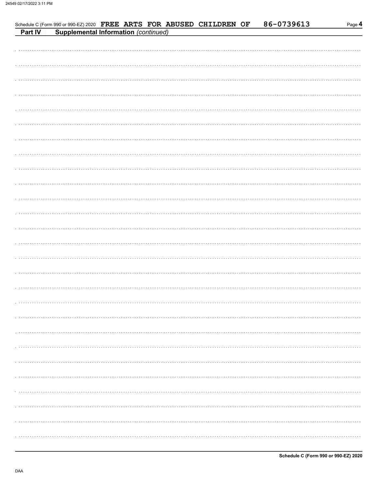| Schedule C (Form 990 or 990-EZ) 2020 FREE ARTS FOR ABUSED CHILDREN OF Part IV Supplemental Information (continued) |  |  | 86-0739613 | Page 4 |
|--------------------------------------------------------------------------------------------------------------------|--|--|------------|--------|
|                                                                                                                    |  |  |            |        |
|                                                                                                                    |  |  |            |        |
|                                                                                                                    |  |  |            |        |
|                                                                                                                    |  |  |            |        |
|                                                                                                                    |  |  |            |        |
|                                                                                                                    |  |  |            |        |
|                                                                                                                    |  |  |            |        |
|                                                                                                                    |  |  |            |        |
|                                                                                                                    |  |  |            |        |
|                                                                                                                    |  |  |            |        |
|                                                                                                                    |  |  |            |        |
|                                                                                                                    |  |  |            |        |
|                                                                                                                    |  |  |            |        |
|                                                                                                                    |  |  |            |        |
|                                                                                                                    |  |  |            |        |
|                                                                                                                    |  |  |            |        |
|                                                                                                                    |  |  |            |        |
|                                                                                                                    |  |  |            |        |
|                                                                                                                    |  |  |            |        |
|                                                                                                                    |  |  |            |        |
|                                                                                                                    |  |  |            |        |
|                                                                                                                    |  |  |            |        |
|                                                                                                                    |  |  |            |        |
|                                                                                                                    |  |  |            |        |
|                                                                                                                    |  |  |            |        |
|                                                                                                                    |  |  |            |        |
|                                                                                                                    |  |  |            |        |
|                                                                                                                    |  |  |            |        |
|                                                                                                                    |  |  |            |        |
|                                                                                                                    |  |  |            |        |
|                                                                                                                    |  |  |            |        |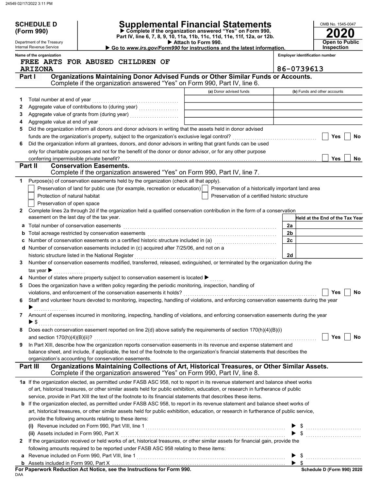| <b>SCHEDULE D</b> |                                           |                                                                                                                                                                                            |                     |                                                                            |                | OMB No. 1545-0047                                                                                                                                                                                                                                                                                                                                                                                  |
|-------------------|-------------------------------------------|--------------------------------------------------------------------------------------------------------------------------------------------------------------------------------------------|---------------------|----------------------------------------------------------------------------|----------------|----------------------------------------------------------------------------------------------------------------------------------------------------------------------------------------------------------------------------------------------------------------------------------------------------------------------------------------------------------------------------------------------------|
|                   | (Form 990)                                | Supplemental Financial Statements<br>$\triangleright$ Complete if the organization answered "Yes" on Form 990,<br>Part IV, line 6, 7, 8, 9, 10, 11a, 11b, 11c, 11d, 11e, 11f, 12a, or 12b. |                     |                                                                            |                |                                                                                                                                                                                                                                                                                                                                                                                                    |
|                   | Department of the Treasury                |                                                                                                                                                                                            | Attach to Form 990. | <b>Open to Public</b>                                                      |                |                                                                                                                                                                                                                                                                                                                                                                                                    |
|                   | Internal Revenue Service                  | Go to www.irs.gov/Form990 for instructions and the latest information.                                                                                                                     |                     |                                                                            | Inspection     |                                                                                                                                                                                                                                                                                                                                                                                                    |
|                   | Name of the organization                  | <b>Employer identification number</b>                                                                                                                                                      |                     |                                                                            |                |                                                                                                                                                                                                                                                                                                                                                                                                    |
|                   | <b>ARIZONA</b>                            | FREE ARTS FOR ABUSED CHILDREN OF                                                                                                                                                           |                     |                                                                            | 86-0739613     |                                                                                                                                                                                                                                                                                                                                                                                                    |
|                   | Part I                                    | Organizations Maintaining Donor Advised Funds or Other Similar Funds or Accounts.                                                                                                          |                     |                                                                            |                |                                                                                                                                                                                                                                                                                                                                                                                                    |
|                   |                                           | Complete if the organization answered "Yes" on Form 990, Part IV, line 6.                                                                                                                  |                     |                                                                            |                |                                                                                                                                                                                                                                                                                                                                                                                                    |
|                   |                                           |                                                                                                                                                                                            |                     | (a) Donor advised funds                                                    |                | (b) Funds and other accounts                                                                                                                                                                                                                                                                                                                                                                       |
| 1                 | Total number at end of year               |                                                                                                                                                                                            |                     |                                                                            |                |                                                                                                                                                                                                                                                                                                                                                                                                    |
| 2                 |                                           | Aggregate value of contributions to (during year)<br>                                                                                                                                      |                     | the control of the control of the control of the control of the control of |                |                                                                                                                                                                                                                                                                                                                                                                                                    |
| 3                 |                                           |                                                                                                                                                                                            |                     | the control of the control of the control of the control of the control of |                |                                                                                                                                                                                                                                                                                                                                                                                                    |
| 4                 | Aggregate value at end of year            |                                                                                                                                                                                            |                     |                                                                            |                |                                                                                                                                                                                                                                                                                                                                                                                                    |
| 5                 |                                           | Did the organization inform all donors and donor advisors in writing that the assets held in donor advised                                                                                 |                     |                                                                            |                |                                                                                                                                                                                                                                                                                                                                                                                                    |
|                   |                                           | funds are the organization's property, subject to the organization's exclusive legal control? [[[[[[[[[[[[[[[[                                                                             |                     |                                                                            |                | Yes<br>No                                                                                                                                                                                                                                                                                                                                                                                          |
| 6                 |                                           | Did the organization inform all grantees, donors, and donor advisors in writing that grant funds can be used                                                                               |                     |                                                                            |                |                                                                                                                                                                                                                                                                                                                                                                                                    |
|                   |                                           | only for charitable purposes and not for the benefit of the donor or donor advisor, or for any other purpose                                                                               |                     |                                                                            |                |                                                                                                                                                                                                                                                                                                                                                                                                    |
|                   | conferring impermissible private benefit? |                                                                                                                                                                                            |                     |                                                                            |                | <b>Yes</b><br>No                                                                                                                                                                                                                                                                                                                                                                                   |
|                   | Part II                                   | <b>Conservation Easements.</b><br>Complete if the organization answered "Yes" on Form 990, Part IV, line 7.                                                                                |                     |                                                                            |                |                                                                                                                                                                                                                                                                                                                                                                                                    |
|                   |                                           | Purpose(s) of conservation easements held by the organization (check all that apply).                                                                                                      |                     |                                                                            |                |                                                                                                                                                                                                                                                                                                                                                                                                    |
| 1                 |                                           | Preservation of land for public use (for example, recreation or education)                                                                                                                 |                     | Preservation of a historically important land area                         |                |                                                                                                                                                                                                                                                                                                                                                                                                    |
|                   | Protection of natural habitat             |                                                                                                                                                                                            |                     | Preservation of a certified historic structure                             |                |                                                                                                                                                                                                                                                                                                                                                                                                    |
|                   | Preservation of open space                |                                                                                                                                                                                            |                     |                                                                            |                |                                                                                                                                                                                                                                                                                                                                                                                                    |
| 2                 |                                           | Complete lines 2a through 2d if the organization held a qualified conservation contribution in the form of a conservation                                                                  |                     |                                                                            |                |                                                                                                                                                                                                                                                                                                                                                                                                    |
|                   | easement on the last day of the tax year. |                                                                                                                                                                                            |                     |                                                                            |                | Held at the End of the Tax Year                                                                                                                                                                                                                                                                                                                                                                    |
|                   | a Total number of conservation easements  |                                                                                                                                                                                            |                     |                                                                            | 2a             |                                                                                                                                                                                                                                                                                                                                                                                                    |
| b                 |                                           |                                                                                                                                                                                            |                     |                                                                            | 2 <sub>b</sub> |                                                                                                                                                                                                                                                                                                                                                                                                    |
| C                 |                                           | Number of conservation easements on a certified historic structure included in (a) [[[[[[[[[[[[[[[[[[[[[[[[[]]                                                                             |                     |                                                                            | 2c             |                                                                                                                                                                                                                                                                                                                                                                                                    |
|                   |                                           | d Number of conservation easements included in (c) acquired after 7/25/06, and not on a                                                                                                    |                     |                                                                            |                |                                                                                                                                                                                                                                                                                                                                                                                                    |
|                   |                                           | historic structure listed in the National Register                                                                                                                                         |                     |                                                                            | 2d             |                                                                                                                                                                                                                                                                                                                                                                                                    |
| 3                 |                                           | Number of conservation easements modified, transferred, released, extinguished, or terminated by the organization during the                                                               |                     |                                                                            |                |                                                                                                                                                                                                                                                                                                                                                                                                    |
|                   | tax year $\blacktriangleright$            |                                                                                                                                                                                            |                     |                                                                            |                |                                                                                                                                                                                                                                                                                                                                                                                                    |
|                   |                                           | Number of states where property subject to conservation easement is located ▶                                                                                                              |                     |                                                                            |                |                                                                                                                                                                                                                                                                                                                                                                                                    |
| 5                 |                                           | Does the organization have a written policy regarding the periodic monitoring, inspection, handling of                                                                                     |                     |                                                                            |                |                                                                                                                                                                                                                                                                                                                                                                                                    |
|                   |                                           |                                                                                                                                                                                            |                     |                                                                            |                | $\Box$ Yes $\Box$ No                                                                                                                                                                                                                                                                                                                                                                               |
| 6                 |                                           | Staff and volunteer hours devoted to monitoring, inspecting, handling of violations, and enforcing conservation easements during the year                                                  |                     |                                                                            |                |                                                                                                                                                                                                                                                                                                                                                                                                    |
|                   |                                           |                                                                                                                                                                                            |                     |                                                                            |                |                                                                                                                                                                                                                                                                                                                                                                                                    |
| 7                 |                                           | Amount of expenses incurred in monitoring, inspecting, handling of violations, and enforcing conservation easements during the year                                                        |                     |                                                                            |                |                                                                                                                                                                                                                                                                                                                                                                                                    |
|                   | $\blacktriangleright$ \$                  |                                                                                                                                                                                            |                     |                                                                            |                |                                                                                                                                                                                                                                                                                                                                                                                                    |
| 8                 |                                           | Does each conservation easement reported on line 2(d) above satisfy the requirements of section 170(h)(4)(B)(i)                                                                            |                     |                                                                            |                |                                                                                                                                                                                                                                                                                                                                                                                                    |
| 9                 |                                           | In Part XIII, describe how the organization reports conservation easements in its revenue and expense statement and                                                                        |                     |                                                                            |                | Yes<br>No                                                                                                                                                                                                                                                                                                                                                                                          |
|                   |                                           | balance sheet, and include, if applicable, the text of the footnote to the organization's financial statements that describes the                                                          |                     |                                                                            |                |                                                                                                                                                                                                                                                                                                                                                                                                    |
|                   |                                           | organization's accounting for conservation easements.                                                                                                                                      |                     |                                                                            |                |                                                                                                                                                                                                                                                                                                                                                                                                    |
|                   | Part III                                  | Organizations Maintaining Collections of Art, Historical Treasures, or Other Similar Assets.                                                                                               |                     |                                                                            |                |                                                                                                                                                                                                                                                                                                                                                                                                    |
|                   |                                           | Complete if the organization answered "Yes" on Form 990, Part IV, line 8.                                                                                                                  |                     |                                                                            |                |                                                                                                                                                                                                                                                                                                                                                                                                    |
|                   |                                           | 1a If the organization elected, as permitted under FASB ASC 958, not to report in its revenue statement and balance sheet works                                                            |                     |                                                                            |                |                                                                                                                                                                                                                                                                                                                                                                                                    |
|                   |                                           | of art, historical treasures, or other similar assets held for public exhibition, education, or research in furtherance of public                                                          |                     |                                                                            |                |                                                                                                                                                                                                                                                                                                                                                                                                    |
|                   |                                           | service, provide in Part XIII the text of the footnote to its financial statements that describes these items.                                                                             |                     |                                                                            |                |                                                                                                                                                                                                                                                                                                                                                                                                    |
|                   |                                           | b If the organization elected, as permitted under FASB ASC 958, to report in its revenue statement and balance sheet works of                                                              |                     |                                                                            |                |                                                                                                                                                                                                                                                                                                                                                                                                    |
|                   |                                           | art, historical treasures, or other similar assets held for public exhibition, education, or research in furtherance of public service,                                                    |                     |                                                                            |                |                                                                                                                                                                                                                                                                                                                                                                                                    |
|                   |                                           | provide the following amounts relating to these items:                                                                                                                                     |                     |                                                                            |                |                                                                                                                                                                                                                                                                                                                                                                                                    |
|                   |                                           |                                                                                                                                                                                            |                     |                                                                            |                | $\begin{array}{ll}\n\text{\$}\n&\text{\$}\n&\text{\$}\n&\text{\$}\n&\text{\$}\n&\text{\$}\n&\text{\$}\n&\text{\$}\n&\text{\$}\n&\text{\$}\n&\text{\$}\n&\text{\$}\n&\text{\$}\n&\text{\$}\n&\text{\$}\n&\text{\$}\n&\text{\$}\n&\text{\$}\n&\text{\$}\n&\text{\$}\n&\text{\$}\n&\text{\$}\n&\text{\$}\n&\text{\$}\n&\text{\$}\n&\text{\$}\n&\text{\$}\n&\text{\$}\n&\text{\$}\n&\text{\$}\n&\text$ |
|                   |                                           | (ii) Assets included in Form 990, Part X [11] Martham Martin Martha 1991, Martha 1991, Martha 1991, Martha 199                                                                             |                     |                                                                            |                |                                                                                                                                                                                                                                                                                                                                                                                                    |
| 2                 |                                           | If the organization received or held works of art, historical treasures, or other similar assets for financial gain, provide the                                                           |                     |                                                                            |                |                                                                                                                                                                                                                                                                                                                                                                                                    |
|                   |                                           | following amounts required to be reported under FASB ASC 958 relating to these items:                                                                                                      |                     |                                                                            |                |                                                                                                                                                                                                                                                                                                                                                                                                    |
| a                 |                                           | Revenue included on Form 990, Part VIII, line 1 [1] CONDING CONDITIONS AND REVENUES A REVENUES And REVENUES A                                                                              |                     |                                                                            |                |                                                                                                                                                                                                                                                                                                                                                                                                    |
|                   |                                           |                                                                                                                                                                                            |                     |                                                                            |                |                                                                                                                                                                                                                                                                                                                                                                                                    |
|                   |                                           | For Paperwork Reduction Act Notice, see the Instructions for Form 990.                                                                                                                     |                     |                                                                            |                | Schedule D (Form 990) 2020                                                                                                                                                                                                                                                                                                                                                                         |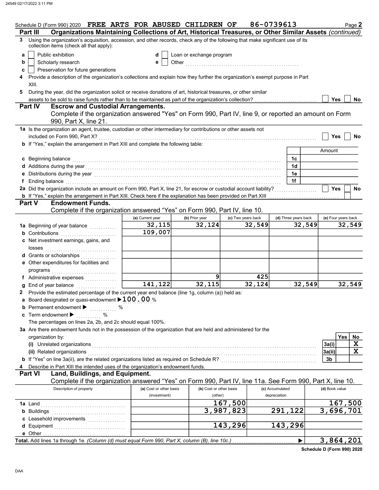|    | Schedule D (Form 990) 2020 FREE ARTS FOR ABUSED CHILDREN OF<br>Organizations Maintaining Collections of Art, Historical Treasures, or Other Similar Assets (continued)                                                         |                         |                          |                    | 86-0739613      |                      | Page 2              |  |  |  |  |  |
|----|--------------------------------------------------------------------------------------------------------------------------------------------------------------------------------------------------------------------------------|-------------------------|--------------------------|--------------------|-----------------|----------------------|---------------------|--|--|--|--|--|
| 3  | Part III<br>Using the organization's acquisition, accession, and other records, check any of the following that make significant use of its                                                                                    |                         |                          |                    |                 |                      |                     |  |  |  |  |  |
|    | collection items (check all that apply):                                                                                                                                                                                       |                         |                          |                    |                 |                      |                     |  |  |  |  |  |
| a  | Public exhibition<br>Scholarly research                                                                                                                                                                                        | d                       | Loan or exchange program |                    |                 |                      |                     |  |  |  |  |  |
| b  |                                                                                                                                                                                                                                | е                       |                          |                    |                 |                      |                     |  |  |  |  |  |
|    | Preservation for future generations<br>c                                                                                                                                                                                       |                         |                          |                    |                 |                      |                     |  |  |  |  |  |
|    | Provide a description of the organization's collections and explain how they further the organization's exempt purpose in Part<br>XIII.                                                                                        |                         |                          |                    |                 |                      |                     |  |  |  |  |  |
| 5  | During the year, did the organization solicit or receive donations of art, historical treasures, or other similar                                                                                                              |                         |                          |                    |                 |                      |                     |  |  |  |  |  |
|    | Yes<br>No                                                                                                                                                                                                                      |                         |                          |                    |                 |                      |                     |  |  |  |  |  |
|    | <b>Escrow and Custodial Arrangements.</b><br><b>Part IV</b>                                                                                                                                                                    |                         |                          |                    |                 |                      |                     |  |  |  |  |  |
|    | Complete if the organization answered "Yes" on Form 990, Part IV, line 9, or reported an amount on Form<br>990, Part X, line 21.                                                                                               |                         |                          |                    |                 |                      |                     |  |  |  |  |  |
|    | 1a Is the organization an agent, trustee, custodian or other intermediary for contributions or other assets not                                                                                                                |                         |                          |                    |                 |                      |                     |  |  |  |  |  |
|    | included on Form 990, Part X?                                                                                                                                                                                                  |                         |                          |                    |                 |                      | <b>Yes</b><br>No    |  |  |  |  |  |
|    | <b>b</b> If "Yes," explain the arrangement in Part XIII and complete the following table:                                                                                                                                      |                         |                          |                    |                 |                      |                     |  |  |  |  |  |
|    |                                                                                                                                                                                                                                |                         |                          |                    |                 |                      | Amount              |  |  |  |  |  |
|    | c Beginning balance                                                                                                                                                                                                            |                         |                          |                    |                 | 1c                   |                     |  |  |  |  |  |
|    |                                                                                                                                                                                                                                |                         |                          |                    |                 | 1d                   |                     |  |  |  |  |  |
|    | Distributions during the year material contact the set of the year material contact the year material contact the year material contact the year material contact the year material contact the year of the year and year and  |                         |                          |                    |                 | 1e                   |                     |  |  |  |  |  |
| f. | Ending balance with a continuum and contact the contract of the contract of the contract of the contract of the contract of the contract of the contract of the contract of the contract of the contract of the contract of th |                         |                          |                    |                 | 1f                   |                     |  |  |  |  |  |
|    | 2a Did the organization include an amount on Form 990, Part X, line 21, for escrow or custodial account liability?                                                                                                             |                         |                          |                    |                 |                      | Yes<br>No           |  |  |  |  |  |
|    |                                                                                                                                                                                                                                |                         |                          |                    |                 |                      |                     |  |  |  |  |  |
|    | <b>Part V</b><br><b>Endowment Funds.</b>                                                                                                                                                                                       |                         |                          |                    |                 |                      |                     |  |  |  |  |  |
|    | Complete if the organization answered "Yes" on Form 990, Part IV, line 10.                                                                                                                                                     |                         |                          |                    |                 |                      |                     |  |  |  |  |  |
|    |                                                                                                                                                                                                                                | (a) Current year        | (b) Prior year           | (c) Two years back |                 | (d) Three years back | (e) Four years back |  |  |  |  |  |
|    | 1a Beginning of year balance                                                                                                                                                                                                   | 32,115                  | 32,124                   |                    | 32,549          | 32,549               | 32,549              |  |  |  |  |  |
|    | <b>b</b> Contributions <b>contributions</b>                                                                                                                                                                                    | $\overline{109,007}$    |                          |                    |                 |                      |                     |  |  |  |  |  |
|    | c Net investment earnings, gains, and                                                                                                                                                                                          |                         |                          |                    |                 |                      |                     |  |  |  |  |  |
|    |                                                                                                                                                                                                                                |                         |                          |                    |                 |                      |                     |  |  |  |  |  |
|    | d Grants or scholarships                                                                                                                                                                                                       |                         |                          |                    |                 |                      |                     |  |  |  |  |  |
|    | e Other expenditures for facilities and                                                                                                                                                                                        |                         |                          |                    |                 |                      |                     |  |  |  |  |  |
|    |                                                                                                                                                                                                                                |                         |                          |                    |                 |                      |                     |  |  |  |  |  |
|    | f Administrative expenses                                                                                                                                                                                                      |                         | $\mathbf{9}$             |                    | 425             |                      |                     |  |  |  |  |  |
| a  | End of year balance                                                                                                                                                                                                            | 141, 122                | 32, 115                  |                    | 32, 124         | 32,549               | 32,549              |  |  |  |  |  |
| 2  | Provide the estimated percentage of the current year end balance (line 1g, column (a)) held as:                                                                                                                                |                         |                          |                    |                 |                      |                     |  |  |  |  |  |
|    | a Board designated or quasi-endowment $\blacktriangleright$ 100 .00 %                                                                                                                                                          |                         |                          |                    |                 |                      |                     |  |  |  |  |  |
|    | <b>b</b> Permanent endowment $\blacktriangleright$<br>%                                                                                                                                                                        |                         |                          |                    |                 |                      |                     |  |  |  |  |  |
|    | c Term endowment $\blacktriangleright$                                                                                                                                                                                         |                         |                          |                    |                 |                      |                     |  |  |  |  |  |
|    | The percentages on lines 2a, 2b, and 2c should equal 100%.                                                                                                                                                                     |                         |                          |                    |                 |                      |                     |  |  |  |  |  |
|    | 3a Are there endowment funds not in the possession of the organization that are held and administered for the                                                                                                                  |                         |                          |                    |                 |                      |                     |  |  |  |  |  |
|    | organization by:                                                                                                                                                                                                               |                         |                          |                    |                 |                      | Yes<br>No           |  |  |  |  |  |
|    | (i) Unrelated organizations <b>contained a substantial contained a substantial contained a substantial contained a</b>                                                                                                         |                         |                          |                    |                 |                      | X<br>3a(i)          |  |  |  |  |  |
|    | (ii) Related organizations                                                                                                                                                                                                     |                         |                          |                    |                 |                      | X<br>3a(ii)         |  |  |  |  |  |
|    | b If "Yes" on line 3a(ii), are the related organizations listed as required on Schedule R? [[[[[[[[[[[[[[[[[[[                                                                                                                 |                         |                          |                    |                 |                      | 3 <sub>b</sub>      |  |  |  |  |  |
|    | Describe in Part XIII the intended uses of the organization's endowment funds.                                                                                                                                                 |                         |                          |                    |                 |                      |                     |  |  |  |  |  |
|    | Land, Buildings, and Equipment.<br><b>Part VI</b>                                                                                                                                                                              |                         |                          |                    |                 |                      |                     |  |  |  |  |  |
|    | Complete if the organization answered "Yes" on Form 990, Part IV, line 11a. See Form 990, Part X, line 10.                                                                                                                     |                         |                          |                    |                 |                      |                     |  |  |  |  |  |
|    | Description of property                                                                                                                                                                                                        | (a) Cost or other basis | (b) Cost or other basis  |                    | (c) Accumulated |                      | (d) Book value      |  |  |  |  |  |
|    |                                                                                                                                                                                                                                | (investment)            | (other)                  |                    | depreciation    |                      |                     |  |  |  |  |  |
|    |                                                                                                                                                                                                                                |                         |                          | 167,500            |                 |                      | 167,500             |  |  |  |  |  |
|    |                                                                                                                                                                                                                                |                         |                          | 3,987,823          |                 | 291,122              | 3,696,701           |  |  |  |  |  |
|    | c Leasehold improvements                                                                                                                                                                                                       |                         |                          |                    |                 |                      |                     |  |  |  |  |  |
|    | d Equipment                                                                                                                                                                                                                    |                         |                          | 143,296            |                 | 143,296              |                     |  |  |  |  |  |
|    |                                                                                                                                                                                                                                |                         |                          |                    |                 |                      |                     |  |  |  |  |  |
|    | Total. Add lines 1a through 1e. (Column (d) must equal Form 990, Part X, column (B), line 10c.)                                                                                                                                |                         |                          |                    |                 | ▶                    | 3,864,201           |  |  |  |  |  |

Schedule D (Form 990) 2020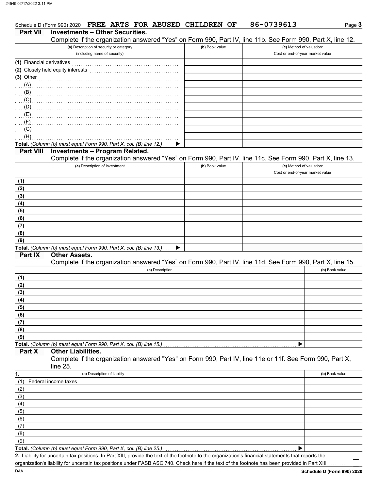|                           | FREE ARTS FOR ABUSED CHILDREN OF<br>Schedule D (Form 990) 2020                                                                                                                                                                      |                | 86-0739613                       | Page 3         |
|---------------------------|-------------------------------------------------------------------------------------------------------------------------------------------------------------------------------------------------------------------------------------|----------------|----------------------------------|----------------|
| <b>Part VII</b>           | <b>Investments - Other Securities.</b>                                                                                                                                                                                              |                |                                  |                |
|                           | Complete if the organization answered "Yes" on Form 990, Part IV, line 11b. See Form 990, Part X, line 12.                                                                                                                          |                |                                  |                |
|                           | (a) Description of security or category                                                                                                                                                                                             | (b) Book value | (c) Method of valuation:         |                |
|                           | (including name of security)                                                                                                                                                                                                        |                | Cost or end-of-year market value |                |
| (1) Financial derivatives |                                                                                                                                                                                                                                     |                |                                  |                |
|                           | (2) Closely held equity interests                                                                                                                                                                                                   |                |                                  |                |
|                           |                                                                                                                                                                                                                                     |                |                                  |                |
|                           | (3) Other <b>contract and the COVID-100</b> Other contract and contract of the COVID-100 of the COVID-100 of the COVID-100 of the COVID-100 of the COVID-100 of the COVID-100 of the COVID-100 of the COVID-100 of the COVID-100 of |                |                                  |                |
| (A)                       |                                                                                                                                                                                                                                     |                |                                  |                |
| (B)                       |                                                                                                                                                                                                                                     |                |                                  |                |
| (C)                       |                                                                                                                                                                                                                                     |                |                                  |                |
| (D)                       |                                                                                                                                                                                                                                     |                |                                  |                |
| (E)                       |                                                                                                                                                                                                                                     |                |                                  |                |
| (F)                       |                                                                                                                                                                                                                                     |                |                                  |                |
| (G)                       |                                                                                                                                                                                                                                     |                |                                  |                |
| (H)                       |                                                                                                                                                                                                                                     |                |                                  |                |
|                           | Total. (Column (b) must equal Form 990, Part X, col. (B) line 12.)                                                                                                                                                                  |                |                                  |                |
| <b>Part VIII</b>          | <b>Investments - Program Related.</b>                                                                                                                                                                                               |                |                                  |                |
|                           | Complete if the organization answered "Yes" on Form 990, Part IV, line 11c. See Form 990, Part X, line 13.                                                                                                                          |                |                                  |                |
|                           | (a) Description of investment                                                                                                                                                                                                       | (b) Book value | (c) Method of valuation:         |                |
|                           |                                                                                                                                                                                                                                     |                | Cost or end-of-year market value |                |
| (1)                       |                                                                                                                                                                                                                                     |                |                                  |                |
|                           |                                                                                                                                                                                                                                     |                |                                  |                |
| (2)                       |                                                                                                                                                                                                                                     |                |                                  |                |
| (3)                       |                                                                                                                                                                                                                                     |                |                                  |                |
| (4)                       |                                                                                                                                                                                                                                     |                |                                  |                |
| (5)                       |                                                                                                                                                                                                                                     |                |                                  |                |
| (6)                       |                                                                                                                                                                                                                                     |                |                                  |                |
| (7)                       |                                                                                                                                                                                                                                     |                |                                  |                |
| (8)                       |                                                                                                                                                                                                                                     |                |                                  |                |
| (9)                       |                                                                                                                                                                                                                                     |                |                                  |                |
|                           | Total. (Column (b) must equal Form 990, Part X, col. (B) line 13.)                                                                                                                                                                  |                |                                  |                |
| Part IX                   | <b>Other Assets.</b>                                                                                                                                                                                                                |                |                                  |                |
|                           | Complete if the organization answered "Yes" on Form 990, Part IV, line 11d. See Form 990, Part X, line 15.                                                                                                                          |                |                                  |                |
|                           | (a) Description                                                                                                                                                                                                                     |                |                                  | (b) Book value |
| (1)                       |                                                                                                                                                                                                                                     |                |                                  |                |
| (2)                       |                                                                                                                                                                                                                                     |                |                                  |                |
| (3)                       |                                                                                                                                                                                                                                     |                |                                  |                |
| (4)                       |                                                                                                                                                                                                                                     |                |                                  |                |
| (5)                       |                                                                                                                                                                                                                                     |                |                                  |                |
|                           |                                                                                                                                                                                                                                     |                |                                  |                |
| (6)                       |                                                                                                                                                                                                                                     |                |                                  |                |
| (7)                       |                                                                                                                                                                                                                                     |                |                                  |                |
| (8)                       |                                                                                                                                                                                                                                     |                |                                  |                |
| (9)                       |                                                                                                                                                                                                                                     |                |                                  |                |
|                           | Total. (Column (b) must equal Form 990, Part X, col. (B) line 15.)                                                                                                                                                                  |                |                                  |                |
| Part X                    | <b>Other Liabilities.</b>                                                                                                                                                                                                           |                |                                  |                |
|                           | Complete if the organization answered "Yes" on Form 990, Part IV, line 11e or 11f. See Form 990, Part X,                                                                                                                            |                |                                  |                |
|                           | line 25.                                                                                                                                                                                                                            |                |                                  |                |
| 1.                        | (a) Description of liability                                                                                                                                                                                                        |                |                                  | (b) Book value |
| (1)                       | Federal income taxes                                                                                                                                                                                                                |                |                                  |                |
| (2)                       |                                                                                                                                                                                                                                     |                |                                  |                |
| (3)                       |                                                                                                                                                                                                                                     |                |                                  |                |
| (4)                       |                                                                                                                                                                                                                                     |                |                                  |                |
| (5)                       |                                                                                                                                                                                                                                     |                |                                  |                |
|                           |                                                                                                                                                                                                                                     |                |                                  |                |
| (6)                       |                                                                                                                                                                                                                                     |                |                                  |                |
| (7)                       |                                                                                                                                                                                                                                     |                |                                  |                |
| (8)                       |                                                                                                                                                                                                                                     |                |                                  |                |
| (9)                       |                                                                                                                                                                                                                                     |                |                                  |                |
|                           | Total. (Column (b) must equal Form 990, Part X, col. (B) line 25.)                                                                                                                                                                  |                |                                  |                |

Liability for uncertain tax positions. In Part XIII, provide the text of the footnote to the organization's financial statements that reports the 2. organization's liability for uncertain tax positions under FASB ASC 740. Check here if the text of the footnote has been provided in Part XIII.

┐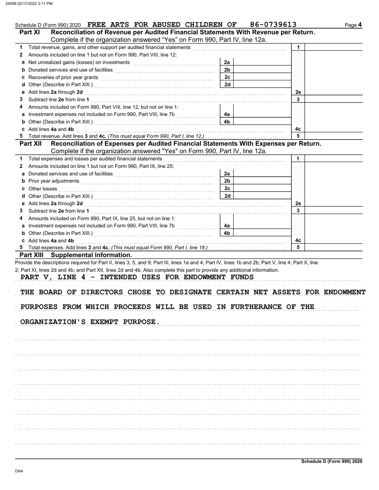| Schedule D (Form 990) 2020 FREE ARTS FOR ABUSED CHILDREN OF 86-0739613<br>Reconciliation of Revenue per Audited Financial Statements With Revenue per Return.<br>Part XI                                                                                                                                                          |                |    | Page 4 |
|-----------------------------------------------------------------------------------------------------------------------------------------------------------------------------------------------------------------------------------------------------------------------------------------------------------------------------------|----------------|----|--------|
| Complete if the organization answered "Yes" on Form 990, Part IV, line 12a.                                                                                                                                                                                                                                                       |                |    |        |
| 1                                                                                                                                                                                                                                                                                                                                 |                | 1. |        |
| Amounts included on line 1 but not on Form 990, Part VIII, line 12:<br>2                                                                                                                                                                                                                                                          |                |    |        |
| a Net unrealized gains (losses) on investments [111] [11] Net unrealised by Ref.                                                                                                                                                                                                                                                  | 2a             |    |        |
|                                                                                                                                                                                                                                                                                                                                   | 2 <sub>b</sub> |    |        |
|                                                                                                                                                                                                                                                                                                                                   | 2c             |    |        |
|                                                                                                                                                                                                                                                                                                                                   | 2d             |    |        |
| e Add lines 2a through 2d (a) and the contract of the Add lines 2a through the Add lines 2a through 2d (a) and the contract of the Add lines 2a through 2d (a) and the contract of the Add and the Add and the Add and the Add                                                                                                    |                | 2e |        |
| 3                                                                                                                                                                                                                                                                                                                                 |                | 3  |        |
| Amounts included on Form 990, Part VIII, line 12, but not on line 1:<br>4                                                                                                                                                                                                                                                         |                |    |        |
| a Investment expenses not included on Form 990, Part VIII, line 7b                                                                                                                                                                                                                                                                | 4a             |    |        |
| <b>b</b> Other (Describe in Part XIII.) <b>CONSIDENT DESCRIPTION</b>                                                                                                                                                                                                                                                              | 4b             |    |        |
| c Add lines 4a and 4b                                                                                                                                                                                                                                                                                                             |                | 4с |        |
| 5.                                                                                                                                                                                                                                                                                                                                |                | 5  |        |
| Part XII Reconciliation of Expenses per Audited Financial Statements With Expenses per Return.<br>Complete if the organization answered "Yes" on Form 990, Part IV, line 12a.                                                                                                                                                     |                |    |        |
| 1                                                                                                                                                                                                                                                                                                                                 |                | 1  |        |
| Amounts included on line 1 but not on Form 990, Part IX, line 25:<br>2                                                                                                                                                                                                                                                            |                |    |        |
| a Donated services and use of facilities [11] contained a contained service contained a position of a contained a contained a contained a contained a contained a contained a contained a contained a contained a contained a                                                                                                     | 2a             |    |        |
| <b>b</b> Prior year adjustments <b>contained</b> and <b>contained a structure of the structure of the structure of Prior</b>                                                                                                                                                                                                      | 2 <sub>b</sub> |    |        |
|                                                                                                                                                                                                                                                                                                                                   | 2c             |    |        |
|                                                                                                                                                                                                                                                                                                                                   | 2d             |    |        |
|                                                                                                                                                                                                                                                                                                                                   |                | 2e |        |
| 3                                                                                                                                                                                                                                                                                                                                 |                | 3  |        |
| Amounts included on Form 990, Part IX, line 25, but not on line 1:<br>4                                                                                                                                                                                                                                                           |                |    |        |
| a Investment expenses not included on Form 990, Part VIII, line 7b                                                                                                                                                                                                                                                                | 4a             |    |        |
| <b>b</b> Other (Describe in Part XIII.) <b>CONSERVING (2018)</b>                                                                                                                                                                                                                                                                  | 4 <sub>b</sub> |    |        |
| c Add lines 4a and 4b                                                                                                                                                                                                                                                                                                             |                | 4c |        |
| 5                                                                                                                                                                                                                                                                                                                                 |                | 5  |        |
| Part XIII Supplemental Information.                                                                                                                                                                                                                                                                                               |                |    |        |
| 2; Part XI, lines 2d and 4b; and Part XII, lines 2d and 4b. Also complete this part to provide any additional information.<br>PART V, LINE 4 - INTENDED USES FOR ENDOWMENT FUNDS<br>THE BOARD OF DIRECTORS CHOSE TO DESIGNATE CERTAIN NET ASSETS FOR ENDOWMENT<br>PURPOSES FROM WHICH PROCEEDS WILL BE USED IN FURTHERANCE OF THE |                |    |        |
| ORGANIZATION'S EXEMPT PURPOSE.                                                                                                                                                                                                                                                                                                    |                |    |        |
|                                                                                                                                                                                                                                                                                                                                   |                |    |        |
|                                                                                                                                                                                                                                                                                                                                   |                |    |        |
|                                                                                                                                                                                                                                                                                                                                   |                |    |        |
|                                                                                                                                                                                                                                                                                                                                   |                |    |        |
|                                                                                                                                                                                                                                                                                                                                   |                |    |        |
|                                                                                                                                                                                                                                                                                                                                   |                |    |        |
|                                                                                                                                                                                                                                                                                                                                   |                |    |        |
|                                                                                                                                                                                                                                                                                                                                   |                |    |        |
|                                                                                                                                                                                                                                                                                                                                   |                |    |        |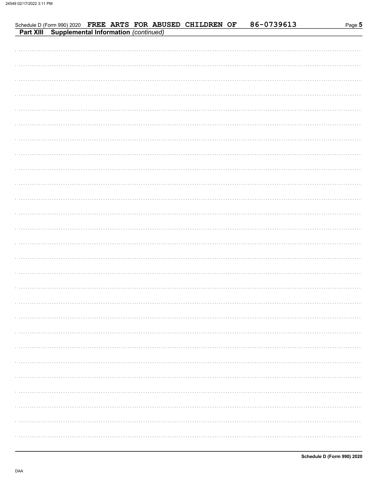| Schedule D (Form 990) 2020 FREE ARTS FOR ABUSED CHILDREN OF<br><b>Part XIII</b> Supplemental Information (continued) |  | 86-0739613 | Page 5 |
|----------------------------------------------------------------------------------------------------------------------|--|------------|--------|
|                                                                                                                      |  |            |        |
|                                                                                                                      |  |            |        |
|                                                                                                                      |  |            |        |
|                                                                                                                      |  |            |        |
|                                                                                                                      |  |            |        |
|                                                                                                                      |  |            | .      |
|                                                                                                                      |  |            | .      |
|                                                                                                                      |  |            |        |
|                                                                                                                      |  |            |        |
|                                                                                                                      |  |            |        |
|                                                                                                                      |  |            |        |
|                                                                                                                      |  |            |        |
|                                                                                                                      |  |            |        |
|                                                                                                                      |  |            |        |
|                                                                                                                      |  |            |        |
|                                                                                                                      |  |            |        |
|                                                                                                                      |  |            |        |
|                                                                                                                      |  |            |        |
|                                                                                                                      |  |            |        |
|                                                                                                                      |  |            |        |
|                                                                                                                      |  |            |        |
|                                                                                                                      |  |            |        |
|                                                                                                                      |  |            |        |
|                                                                                                                      |  |            |        |
|                                                                                                                      |  |            |        |
|                                                                                                                      |  |            |        |
|                                                                                                                      |  |            |        |
|                                                                                                                      |  |            |        |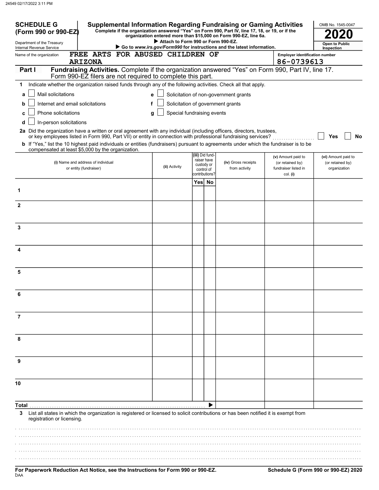| <b>SCHEDULE G</b><br>(Form 990 or 990-EZ)                                                                                                                                                                                                                                                                                   |                                                              |   |                                                            |                                                           |  | <b>Supplemental Information Regarding Fundraising or Gaming Activities</b><br>Complete if the organization answered "Yes" on Form 990, Part IV, line 17, 18, or 19, or if the |                                                      | OMB No. 1545-0047<br>2020        |
|-----------------------------------------------------------------------------------------------------------------------------------------------------------------------------------------------------------------------------------------------------------------------------------------------------------------------------|--------------------------------------------------------------|---|------------------------------------------------------------|-----------------------------------------------------------|--|-------------------------------------------------------------------------------------------------------------------------------------------------------------------------------|------------------------------------------------------|----------------------------------|
| Department of the Treasury                                                                                                                                                                                                                                                                                                  |                                                              |   | Attach to Form 990 or Form 990-EZ.                         |                                                           |  | organization entered more than \$15,000 on Form 990-EZ, line 6a.                                                                                                              |                                                      | <b>Open to Public</b>            |
| Go to www.irs.gov/Form990 for instructions and the latest information.<br>Internal Revenue Service<br>FREE ARTS<br>FOR ABUSED CHILDREN OF<br><b>Employer identification number</b>                                                                                                                                          |                                                              |   |                                                            |                                                           |  |                                                                                                                                                                               |                                                      | Inspection                       |
| Name of the organization                                                                                                                                                                                                                                                                                                    | <b>ARIZONA</b>                                               |   |                                                            |                                                           |  |                                                                                                                                                                               | 86-0739613                                           |                                  |
| Part I                                                                                                                                                                                                                                                                                                                      |                                                              |   | Form 990-EZ filers are not required to complete this part. |                                                           |  | Fundraising Activities. Complete if the organization answered "Yes" on Form 990, Part IV, line 17.                                                                            |                                                      |                                  |
| Indicate whether the organization raised funds through any of the following activities. Check all that apply.<br>1                                                                                                                                                                                                          |                                                              |   |                                                            |                                                           |  |                                                                                                                                                                               |                                                      |                                  |
| Mail solicitations<br>a                                                                                                                                                                                                                                                                                                     |                                                              |   |                                                            |                                                           |  | Solicitation of non-government grants                                                                                                                                         |                                                      |                                  |
| Internet and email solicitations<br>b                                                                                                                                                                                                                                                                                       |                                                              | f | Solicitation of government grants                          |                                                           |  |                                                                                                                                                                               |                                                      |                                  |
| Phone solicitations<br>C                                                                                                                                                                                                                                                                                                    |                                                              |   | Special fundraising events<br>a                            |                                                           |  |                                                                                                                                                                               |                                                      |                                  |
| In-person solicitations<br>d                                                                                                                                                                                                                                                                                                |                                                              |   |                                                            |                                                           |  |                                                                                                                                                                               |                                                      |                                  |
| 2a Did the organization have a written or oral agreement with any individual (including officers, directors, trustees,<br><b>b</b> If "Yes," list the 10 highest paid individuals or entities (fundraisers) pursuant to agreements under which the fundraiser is to be<br>compensated at least \$5,000 by the organization. |                                                              |   |                                                            |                                                           |  | or key employees listed in Form 990, Part VII) or entity in connection with professional fundraising services?                                                                |                                                      | Yes<br>No                        |
|                                                                                                                                                                                                                                                                                                                             |                                                              |   |                                                            | (iii) Did fund-                                           |  |                                                                                                                                                                               | (v) Amount paid to                                   | (vi) Amount paid to              |
|                                                                                                                                                                                                                                                                                                                             | (i) Name and address of individual<br>or entity (fundraiser) |   | (ii) Activity                                              | raiser have<br>custody or<br>control of<br>contributions? |  | (iv) Gross receipts<br>from activity                                                                                                                                          | (or retained by)<br>fundraiser listed in<br>col. (i) | (or retained by)<br>organization |
|                                                                                                                                                                                                                                                                                                                             |                                                              |   |                                                            | Yes No                                                    |  |                                                                                                                                                                               |                                                      |                                  |
| 1                                                                                                                                                                                                                                                                                                                           |                                                              |   |                                                            |                                                           |  |                                                                                                                                                                               |                                                      |                                  |
| $\mathbf{2}$                                                                                                                                                                                                                                                                                                                |                                                              |   |                                                            |                                                           |  |                                                                                                                                                                               |                                                      |                                  |
| 3                                                                                                                                                                                                                                                                                                                           |                                                              |   |                                                            |                                                           |  |                                                                                                                                                                               |                                                      |                                  |
|                                                                                                                                                                                                                                                                                                                             |                                                              |   |                                                            |                                                           |  |                                                                                                                                                                               |                                                      |                                  |
| 4                                                                                                                                                                                                                                                                                                                           |                                                              |   |                                                            |                                                           |  |                                                                                                                                                                               |                                                      |                                  |
| 5                                                                                                                                                                                                                                                                                                                           |                                                              |   |                                                            |                                                           |  |                                                                                                                                                                               |                                                      |                                  |
| 6                                                                                                                                                                                                                                                                                                                           |                                                              |   |                                                            |                                                           |  |                                                                                                                                                                               |                                                      |                                  |
| 7                                                                                                                                                                                                                                                                                                                           |                                                              |   |                                                            |                                                           |  |                                                                                                                                                                               |                                                      |                                  |
| 8                                                                                                                                                                                                                                                                                                                           |                                                              |   |                                                            |                                                           |  |                                                                                                                                                                               |                                                      |                                  |
| 9                                                                                                                                                                                                                                                                                                                           |                                                              |   |                                                            |                                                           |  |                                                                                                                                                                               |                                                      |                                  |
| 10                                                                                                                                                                                                                                                                                                                          |                                                              |   |                                                            |                                                           |  |                                                                                                                                                                               |                                                      |                                  |
| Total                                                                                                                                                                                                                                                                                                                       |                                                              |   |                                                            |                                                           |  |                                                                                                                                                                               |                                                      |                                  |
| 3<br>registration or licensing.                                                                                                                                                                                                                                                                                             |                                                              |   |                                                            |                                                           |  | List all states in which the organization is registered or licensed to solicit contributions or has been notified it is exempt from                                           |                                                      |                                  |
|                                                                                                                                                                                                                                                                                                                             |                                                              |   |                                                            |                                                           |  |                                                                                                                                                                               |                                                      |                                  |
|                                                                                                                                                                                                                                                                                                                             |                                                              |   |                                                            |                                                           |  |                                                                                                                                                                               |                                                      |                                  |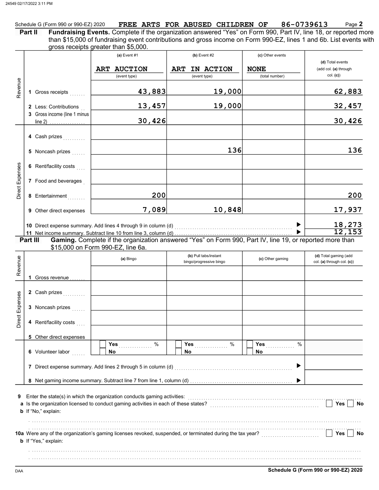|                 | Part II  | Schedule G (Form 990 or 990-EZ) 2020                          | Fundraising Events. Complete if the organization answered "Yes" on Form 990, Part IV, line 18, or reported more<br>than \$15,000 of fundraising event contributions and gross income on Form 990-EZ, lines 1 and 6b. List events with | FREE ARTS FOR ABUSED CHILDREN OF 86-0739613      |                          | Page 2                                              |  |  |  |  |
|-----------------|----------|---------------------------------------------------------------|---------------------------------------------------------------------------------------------------------------------------------------------------------------------------------------------------------------------------------------|--------------------------------------------------|--------------------------|-----------------------------------------------------|--|--|--|--|
|                 |          |                                                               | gross receipts greater than \$5,000.                                                                                                                                                                                                  |                                                  |                          |                                                     |  |  |  |  |
|                 |          |                                                               | (a) Event $#1$                                                                                                                                                                                                                        | $(b)$ Event #2                                   | (c) Other events         |                                                     |  |  |  |  |
|                 |          |                                                               | <b>AUCTION</b><br>ART                                                                                                                                                                                                                 | <b>ART</b><br>IN ACTION                          | <b>NONE</b>              | (d) Total events<br>(add col. (a) through           |  |  |  |  |
|                 |          |                                                               | (event type)                                                                                                                                                                                                                          | (event type)                                     | (total number)           | col. (c)                                            |  |  |  |  |
|                 |          |                                                               |                                                                                                                                                                                                                                       |                                                  |                          |                                                     |  |  |  |  |
| Revenue         |          | 1 Gross receipts                                              | 43,883                                                                                                                                                                                                                                | 19,000                                           |                          | <u>62,883</u>                                       |  |  |  |  |
|                 |          |                                                               |                                                                                                                                                                                                                                       |                                                  |                          |                                                     |  |  |  |  |
|                 |          | 2 Less: Contributions<br>3 Gross income (line 1 minus         | 13,457                                                                                                                                                                                                                                | 19,000                                           |                          | <u>32,457</u>                                       |  |  |  |  |
|                 |          |                                                               | 30,426                                                                                                                                                                                                                                |                                                  |                          | 30,426                                              |  |  |  |  |
|                 |          |                                                               |                                                                                                                                                                                                                                       |                                                  |                          |                                                     |  |  |  |  |
|                 |          | 4 Cash prizes                                                 |                                                                                                                                                                                                                                       |                                                  |                          |                                                     |  |  |  |  |
|                 |          | 5 Noncash prizes                                              |                                                                                                                                                                                                                                       | 136                                              |                          | 136                                                 |  |  |  |  |
|                 |          | 6 Rent/facility costs                                         |                                                                                                                                                                                                                                       |                                                  |                          |                                                     |  |  |  |  |
| Direct Expenses |          | 7 Food and beverages                                          |                                                                                                                                                                                                                                       |                                                  |                          |                                                     |  |  |  |  |
|                 |          | 8 Entertainment                                               | 200                                                                                                                                                                                                                                   |                                                  |                          | 200                                                 |  |  |  |  |
|                 |          | 9 Other direct expenses                                       | 7,089                                                                                                                                                                                                                                 | 10,848                                           |                          | 17,937                                              |  |  |  |  |
|                 |          |                                                               |                                                                                                                                                                                                                                       |                                                  |                          | 18,273                                              |  |  |  |  |
|                 |          |                                                               |                                                                                                                                                                                                                                       |                                                  |                          | 12,153                                              |  |  |  |  |
|                 | Part III |                                                               | Gaming. Complete if the organization answered "Yes" on Form 990, Part IV, line 19, or reported more than                                                                                                                              |                                                  |                          |                                                     |  |  |  |  |
|                 |          |                                                               | \$15,000 on Form 990-EZ, line 6a.                                                                                                                                                                                                     |                                                  |                          |                                                     |  |  |  |  |
|                 |          |                                                               | (a) Bingo                                                                                                                                                                                                                             | (b) Pull tabs/instant<br>bingo/progressive bingo | (c) Other gaming         | (d) Total gaming (add<br>col. (a) through col. (c)) |  |  |  |  |
| Revenue         |          |                                                               |                                                                                                                                                                                                                                       |                                                  |                          |                                                     |  |  |  |  |
|                 |          | 1 Gross revenue                                               |                                                                                                                                                                                                                                       |                                                  |                          |                                                     |  |  |  |  |
|                 |          |                                                               |                                                                                                                                                                                                                                       |                                                  |                          |                                                     |  |  |  |  |
| 89              |          | 2 Cash prizes                                                 |                                                                                                                                                                                                                                       |                                                  |                          |                                                     |  |  |  |  |
| Direct Expens   |          | 3 Noncash prizes                                              |                                                                                                                                                                                                                                       |                                                  |                          |                                                     |  |  |  |  |
|                 |          |                                                               |                                                                                                                                                                                                                                       |                                                  |                          |                                                     |  |  |  |  |
|                 |          | 4 Rent/facility costs                                         |                                                                                                                                                                                                                                       |                                                  |                          |                                                     |  |  |  |  |
|                 |          |                                                               |                                                                                                                                                                                                                                       |                                                  |                          |                                                     |  |  |  |  |
|                 |          | 5 Other direct expenses                                       |                                                                                                                                                                                                                                       |                                                  |                          |                                                     |  |  |  |  |
|                 |          | 6 Volunteer labor                                             | $\%$<br><b>Yes</b><br><b>No</b>                                                                                                                                                                                                       | $\%$<br><b>Yes</b> ______________<br>No.         | $\%$<br><b>Yes</b><br>No |                                                     |  |  |  |  |
|                 |          |                                                               |                                                                                                                                                                                                                                       |                                                  |                          |                                                     |  |  |  |  |
|                 |          | 7 Direct expense summary. Add lines 2 through 5 in column (d) |                                                                                                                                                                                                                                       |                                                  |                          |                                                     |  |  |  |  |
|                 |          |                                                               |                                                                                                                                                                                                                                       |                                                  |                          |                                                     |  |  |  |  |
|                 |          |                                                               |                                                                                                                                                                                                                                       |                                                  |                          |                                                     |  |  |  |  |
| 9               |          |                                                               |                                                                                                                                                                                                                                       |                                                  |                          |                                                     |  |  |  |  |
|                 |          |                                                               |                                                                                                                                                                                                                                       |                                                  |                          | Yes<br>No                                           |  |  |  |  |
|                 |          | <b>b</b> If "No," explain:                                    |                                                                                                                                                                                                                                       |                                                  |                          |                                                     |  |  |  |  |
|                 |          |                                                               |                                                                                                                                                                                                                                       |                                                  |                          |                                                     |  |  |  |  |
|                 |          | <b>b</b> If "Yes," explain:                                   |                                                                                                                                                                                                                                       |                                                  |                          | Yes<br>No                                           |  |  |  |  |
|                 |          |                                                               |                                                                                                                                                                                                                                       |                                                  |                          |                                                     |  |  |  |  |
|                 |          |                                                               |                                                                                                                                                                                                                                       |                                                  |                          |                                                     |  |  |  |  |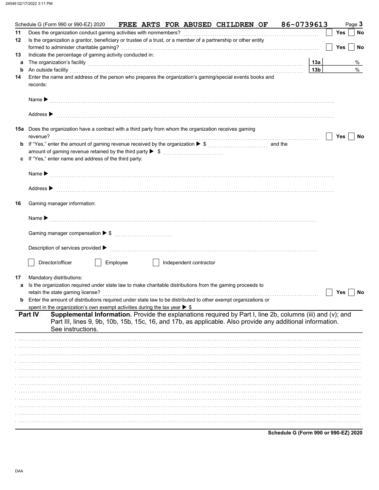|    |                | Schedule G (Form 990 or 990-EZ) 2020                                                                                                                                                                                                          |          |  |                        | FREE ARTS FOR ABUSED CHILDREN OF | 86-0739613                           |                 |            | Page 3 |
|----|----------------|-----------------------------------------------------------------------------------------------------------------------------------------------------------------------------------------------------------------------------------------------|----------|--|------------------------|----------------------------------|--------------------------------------|-----------------|------------|--------|
| 11 |                | Does the organization conduct gaming activities with nonmembers?                                                                                                                                                                              |          |  |                        |                                  |                                      |                 | Yes        | No     |
| 12 |                | Is the organization a grantor, beneficiary or trustee of a trust, or a member of a partnership or other entity                                                                                                                                |          |  |                        |                                  |                                      |                 |            |        |
|    |                |                                                                                                                                                                                                                                               |          |  |                        |                                  |                                      |                 | <b>Yes</b> | No     |
| 13 |                | Indicate the percentage of gaming activity conducted in:                                                                                                                                                                                      |          |  |                        |                                  |                                      |                 |            |        |
| а  |                | The organization's facility with the contract of the contract of the contract of the contract of the contract of the contract of the contract of the contract of the contract of the contract of the contract of the contract                 |          |  |                        |                                  |                                      | 13a             |            | %      |
| b  |                | An outside facility                                                                                                                                                                                                                           |          |  |                        |                                  |                                      | 13 <sub>b</sub> |            | $\%$   |
| 14 | records:       | Enter the name and address of the person who prepares the organization's gaming/special events books and                                                                                                                                      |          |  |                        |                                  |                                      |                 |            |        |
|    |                |                                                                                                                                                                                                                                               |          |  |                        |                                  |                                      |                 |            |        |
|    |                | Address > continuous contract of the contract of the contract of the contract of the contract of the contract of the contract of the contract of the contract of the contract of the contract of the contract of the contract                 |          |  |                        |                                  |                                      |                 |            |        |
|    | revenue?       | <b>15a</b> Does the organization have a contract with a third party from whom the organization receives gaming                                                                                                                                |          |  |                        |                                  |                                      |                 | Yes        | No     |
|    |                |                                                                                                                                                                                                                                               |          |  |                        |                                  |                                      |                 |            |        |
|    |                |                                                                                                                                                                                                                                               |          |  |                        |                                  |                                      |                 |            |        |
| c  |                | If "Yes," enter name and address of the third party:                                                                                                                                                                                          |          |  |                        |                                  |                                      |                 |            |        |
|    |                |                                                                                                                                                                                                                                               |          |  |                        |                                  |                                      |                 |            |        |
|    |                |                                                                                                                                                                                                                                               |          |  |                        |                                  |                                      |                 |            |        |
|    |                | Address > continuous contract of the contract of the contract of the contract of the contract of the contract of the contract of the contract of the contract of the contract of the contract of the contract of the contract                 |          |  |                        |                                  |                                      |                 |            |        |
| 16 |                | Gaming manager information:                                                                                                                                                                                                                   |          |  |                        |                                  |                                      |                 |            |        |
|    |                |                                                                                                                                                                                                                                               |          |  |                        |                                  |                                      |                 |            |        |
|    |                | Gaming manager compensation ▶ \$                                                                                                                                                                                                              |          |  |                        |                                  |                                      |                 |            |        |
|    |                |                                                                                                                                                                                                                                               |          |  |                        |                                  |                                      |                 |            |        |
|    |                | Director/officer                                                                                                                                                                                                                              | Employee |  | Independent contractor |                                  |                                      |                 |            |        |
| 17 |                | Mandatory distributions:                                                                                                                                                                                                                      |          |  |                        |                                  |                                      |                 |            |        |
| а  |                | Is the organization required under state law to make charitable distributions from the gaming proceeds to                                                                                                                                     |          |  |                        |                                  |                                      |                 |            |        |
|    |                |                                                                                                                                                                                                                                               |          |  |                        |                                  |                                      |                 | Yes        | No     |
|    |                | Enter the amount of distributions required under state law to be distributed to other exempt organizations or                                                                                                                                 |          |  |                        |                                  |                                      |                 |            |        |
|    |                | spent in the organization's own exempt activities during the tax year $\triangleright$ \$                                                                                                                                                     |          |  |                        |                                  |                                      |                 |            |        |
|    | <b>Part IV</b> | Supplemental Information. Provide the explanations required by Part I, line 2b, columns (iii) and (v); and<br>Part III, lines 9, 9b, 10b, 15b, 15c, 16, and 17b, as applicable. Also provide any additional information.<br>See instructions. |          |  |                        |                                  |                                      |                 |            |        |
|    |                |                                                                                                                                                                                                                                               |          |  |                        |                                  |                                      |                 |            |        |
|    |                |                                                                                                                                                                                                                                               |          |  |                        |                                  |                                      |                 |            |        |
|    |                |                                                                                                                                                                                                                                               |          |  |                        |                                  |                                      |                 |            |        |
|    |                |                                                                                                                                                                                                                                               |          |  |                        |                                  |                                      |                 |            |        |
|    |                |                                                                                                                                                                                                                                               |          |  |                        |                                  |                                      |                 |            |        |
|    |                |                                                                                                                                                                                                                                               |          |  |                        |                                  |                                      |                 |            |        |
|    |                |                                                                                                                                                                                                                                               |          |  |                        |                                  |                                      |                 |            |        |
|    |                |                                                                                                                                                                                                                                               |          |  |                        |                                  |                                      |                 |            |        |
|    |                |                                                                                                                                                                                                                                               |          |  |                        |                                  |                                      |                 |            |        |
|    |                |                                                                                                                                                                                                                                               |          |  |                        |                                  |                                      |                 |            |        |
|    |                |                                                                                                                                                                                                                                               |          |  |                        |                                  |                                      |                 |            |        |
|    |                |                                                                                                                                                                                                                                               |          |  |                        |                                  |                                      |                 |            |        |
|    |                |                                                                                                                                                                                                                                               |          |  |                        |                                  | Schedule G (Form 990 or 990-EZ) 2020 |                 |            |        |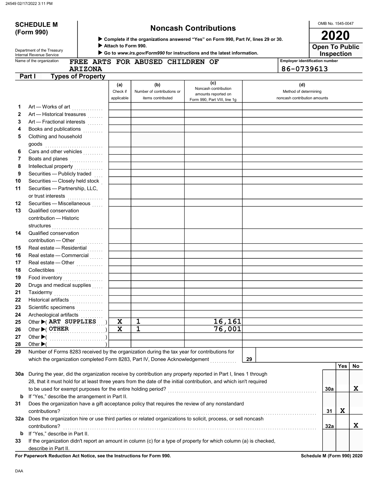| <b>SCHEDULE M</b> |  |
|-------------------|--|
| (Form 990)        |  |

Department of the Treasury<br>Internal Revenue Service

## **Noncash Contributions**

OMB No. 1545-0047

| ▶ Complete if the organizations answered "Yes" on Form 990, Part IV, lines 29 or 30. |  |
|--------------------------------------------------------------------------------------|--|
|--------------------------------------------------------------------------------------|--|

Attach to Form 990.

Go to www.irs.gov/Form990 for instructions and the latest information.

Inspection<br>Employer identification number Open To Public 2020

|  | $186 - 0739613$ |  |  |
|--|-----------------|--|--|
|  |                 |  |  |

|              | Name of the organization                                                                                                                                                                                                             |                               | FREE ARTS FOR ABUSED CHILDREN OF                       |                                                                                    |    | <b>Employer identification number</b>                        |     |    |
|--------------|--------------------------------------------------------------------------------------------------------------------------------------------------------------------------------------------------------------------------------------|-------------------------------|--------------------------------------------------------|------------------------------------------------------------------------------------|----|--------------------------------------------------------------|-----|----|
|              | <b>ARIZONA</b>                                                                                                                                                                                                                       |                               |                                                        |                                                                                    |    | 86-0739613                                                   |     |    |
|              | Part I<br><b>Types of Property</b>                                                                                                                                                                                                   |                               |                                                        |                                                                                    |    |                                                              |     |    |
|              |                                                                                                                                                                                                                                      | (a)<br>Check if<br>applicable | (b)<br>Number of contributions or<br>items contributed | (c)<br>Noncash contribution<br>amounts reported on<br>Form 990, Part VIII, line 1g |    | (d)<br>Method of determining<br>noncash contribution amounts |     |    |
| 1            | Art - Works of art<br>.                                                                                                                                                                                                              |                               |                                                        |                                                                                    |    |                                                              |     |    |
| $\mathbf{2}$ | Art - Historical treasures                                                                                                                                                                                                           |                               |                                                        |                                                                                    |    |                                                              |     |    |
| 3            | Art - Fractional interests                                                                                                                                                                                                           |                               |                                                        |                                                                                    |    |                                                              |     |    |
| 4            | Books and publications<br>.                                                                                                                                                                                                          |                               |                                                        |                                                                                    |    |                                                              |     |    |
| 5            | Clothing and household<br>goods                                                                                                                                                                                                      |                               |                                                        |                                                                                    |    |                                                              |     |    |
| 6            | Cars and other vehicles                                                                                                                                                                                                              |                               |                                                        |                                                                                    |    |                                                              |     |    |
| 7            | Boats and planes<br>.                                                                                                                                                                                                                |                               |                                                        |                                                                                    |    |                                                              |     |    |
| 8            | Intellectual property [11][11][11][11][11]                                                                                                                                                                                           |                               |                                                        |                                                                                    |    |                                                              |     |    |
| 9            | Securities - Publicly traded                                                                                                                                                                                                         |                               |                                                        |                                                                                    |    |                                                              |     |    |
| 10           | Securities - Closely held stock                                                                                                                                                                                                      |                               |                                                        |                                                                                    |    |                                                              |     |    |
| 11           | Securities - Partnership, LLC,                                                                                                                                                                                                       |                               |                                                        |                                                                                    |    |                                                              |     |    |
|              | or trust interests<br>.                                                                                                                                                                                                              |                               |                                                        |                                                                                    |    |                                                              |     |    |
| 12           | Securities - Miscellaneous                                                                                                                                                                                                           |                               |                                                        |                                                                                    |    |                                                              |     |    |
| 13           | Qualified conservation                                                                                                                                                                                                               |                               |                                                        |                                                                                    |    |                                                              |     |    |
|              | contribution - Historic                                                                                                                                                                                                              |                               |                                                        |                                                                                    |    |                                                              |     |    |
|              | structures                                                                                                                                                                                                                           |                               |                                                        |                                                                                    |    |                                                              |     |    |
| 14           | Qualified conservation                                                                                                                                                                                                               |                               |                                                        |                                                                                    |    |                                                              |     |    |
|              | contribution - Other                                                                                                                                                                                                                 |                               |                                                        |                                                                                    |    |                                                              |     |    |
| 15           | Real estate - Residential                                                                                                                                                                                                            |                               |                                                        |                                                                                    |    |                                                              |     |    |
| 16           | Real estate - Commercial                                                                                                                                                                                                             |                               |                                                        |                                                                                    |    |                                                              |     |    |
| 17           | Real estate - Other                                                                                                                                                                                                                  |                               |                                                        |                                                                                    |    |                                                              |     |    |
| 18           | Collectibles<br>.                                                                                                                                                                                                                    |                               |                                                        |                                                                                    |    |                                                              |     |    |
| 19           |                                                                                                                                                                                                                                      |                               |                                                        |                                                                                    |    |                                                              |     |    |
| 20           | Drugs and medical supplies                                                                                                                                                                                                           |                               |                                                        |                                                                                    |    |                                                              |     |    |
| 21           | Taxidermy <b>Market Communist Communist Communist Communist Communist Communist Communist Communist Communist Communist Communist Communist Communist Communist Communist Communist Communist Communist Communist Communist Comm</b> |                               |                                                        |                                                                                    |    |                                                              |     |    |
| 22           | Historical artifacts                                                                                                                                                                                                                 |                               |                                                        |                                                                                    |    |                                                              |     |    |
| 23           | Scientific specimens                                                                                                                                                                                                                 |                               |                                                        |                                                                                    |    |                                                              |     |    |
| 24           |                                                                                                                                                                                                                                      |                               |                                                        |                                                                                    |    |                                                              |     |    |
| 25           | Other C ART SUPPLIES                                                                                                                                                                                                                 | X                             | $\mathbf{1}$                                           | 16,161                                                                             |    |                                                              |     |    |
| 26           | Other ▶( OTHER                                                                                                                                                                                                                       | $\mathbf x$                   | $\overline{\mathbf{1}}$                                | 76,001                                                                             |    |                                                              |     |    |
| 27           | Other $\blacktriangleright$ (                                                                                                                                                                                                        |                               |                                                        |                                                                                    |    |                                                              |     |    |
| 28           | Other $\blacktriangleright$                                                                                                                                                                                                          |                               |                                                        |                                                                                    |    |                                                              |     |    |
| 29           | Number of Forms 8283 received by the organization during the tax year for contributions for                                                                                                                                          |                               |                                                        |                                                                                    |    |                                                              |     |    |
|              | which the organization completed Form 8283, Part IV, Donee Acknowledgement                                                                                                                                                           |                               |                                                        |                                                                                    | 29 |                                                              |     |    |
|              |                                                                                                                                                                                                                                      |                               |                                                        |                                                                                    |    |                                                              | Yes | No |
|              | 30a During the year, did the organization receive by contribution any property reported in Part I, lines 1 through                                                                                                                   |                               |                                                        |                                                                                    |    |                                                              |     |    |
|              | 28, that it must hold for at least three years from the date of the initial contribution, and which isn't required                                                                                                                   |                               |                                                        |                                                                                    |    |                                                              |     |    |
|              | to be used for exempt purposes for the entire holding period?                                                                                                                                                                        |                               |                                                        |                                                                                    |    | 30a                                                          |     | X  |
| b            | If "Yes," describe the arrangement in Part II.                                                                                                                                                                                       |                               |                                                        |                                                                                    |    |                                                              |     |    |
| 31           | Does the organization have a gift acceptance policy that requires the review of any nonstandard                                                                                                                                      |                               |                                                        |                                                                                    |    |                                                              |     |    |
|              | contributions?                                                                                                                                                                                                                       |                               |                                                        |                                                                                    |    | 31                                                           | X   |    |
|              | 32a Does the organization hire or use third parties or related organizations to solicit, process, or sell noncash                                                                                                                    |                               |                                                        |                                                                                    |    |                                                              |     |    |
|              | contributions?                                                                                                                                                                                                                       |                               |                                                        |                                                                                    |    | 32a                                                          |     | X  |
| b            | If "Yes," describe in Part II.                                                                                                                                                                                                       |                               |                                                        |                                                                                    |    |                                                              |     |    |
| 33           | If the organization didn't report an amount in column (c) for a type of property for which column (a) is checked,                                                                                                                    |                               |                                                        |                                                                                    |    |                                                              |     |    |
|              | describe in Part II.                                                                                                                                                                                                                 |                               |                                                        |                                                                                    |    |                                                              |     |    |

For Paperwork Reduction Act Notice, see the Instructions for Form 990. Schedule M (Form 990) 2020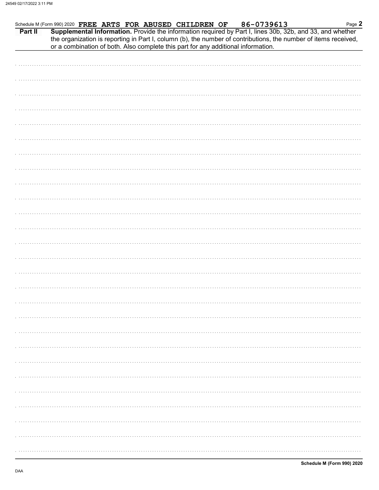| 549 02/17/2022 3:11 PM<br>Schedule M (Form 990) 2020 FREE ARTS FOR ABUSED CHILDREN OF 86-0739613<br>Page 2                                                                                                                                                                                                                   |
|------------------------------------------------------------------------------------------------------------------------------------------------------------------------------------------------------------------------------------------------------------------------------------------------------------------------------|
| Supplemental Information. Provide the information required by Part I, lines 30b, 32b, and 33, and whether<br>Part II<br>the organization is reporting in Part I, column (b), the number of contributions, the number of items received,<br>or a combination of both. Also complete this part for any additional information. |
|                                                                                                                                                                                                                                                                                                                              |
|                                                                                                                                                                                                                                                                                                                              |
|                                                                                                                                                                                                                                                                                                                              |
|                                                                                                                                                                                                                                                                                                                              |
|                                                                                                                                                                                                                                                                                                                              |
|                                                                                                                                                                                                                                                                                                                              |
|                                                                                                                                                                                                                                                                                                                              |
|                                                                                                                                                                                                                                                                                                                              |
|                                                                                                                                                                                                                                                                                                                              |
|                                                                                                                                                                                                                                                                                                                              |
|                                                                                                                                                                                                                                                                                                                              |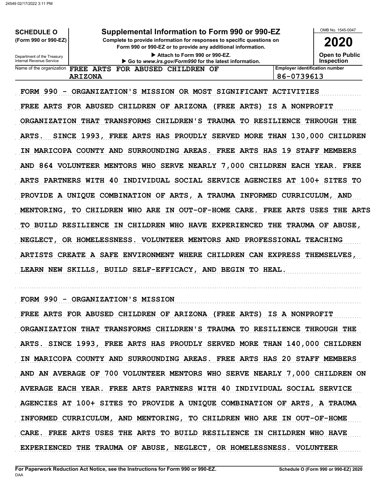### Form 990 or 990-EZ or to provide any additional information. Name of the organization **FREE ARTS FOR ABUSED CHILDREN OF FILM Employer identification number** Department of the Treasury<br>Internal Revenue Service OMB No. 1545-0047 (Form 990 or 990-EZ) Complete to provide information for responses to specific questions on SCHEDULE O Supplemental Information to Form 990 or 990-EZ 2020 Open to Public Inspection Attach to Form 990 or 990-EZ. ▶ Go to www.irs.gov/Form990 for the latest information. ARIZONA 86-0739613

FORM 990 - ORGANIZATION'S MISSION OR MOST SIGNIFICANT ACTIVITIES FREE ARTS FOR ABUSED CHILDREN OF ARIZONA (FREE ARTS) IS A NONPROFIT ORGANIZATION THAT TRANSFORMS CHILDREN'S TRAUMA TO RESILIENCE THROUGH THE ARTS. SINCE 1993, FREE ARTS HAS PROUDLY SERVED MORE THAN 130,000 CHILDREN IN MARICOPA COUNTY AND SURROUNDING AREAS. FREE ARTS HAS 19 STAFF MEMBERS AND 864 VOLUNTEER MENTORS WHO SERVE NEARLY 7,000 CHILDREN EACH YEAR. FREE ARTS PARTNERS WITH 40 INDIVIDUAL SOCIAL SERVICE AGENCIES AT 100+ SITES TO PROVIDE A UNIQUE COMBINATION OF ARTS, A TRAUMA INFORMED CURRICULUM, AND MENTORING, TO CHILDREN WHO ARE IN OUT-OF-HOME CARE. FREE ARTS USES THE ARTS TO BUILD RESILIENCE IN CHILDREN WHO HAVE EXPERIENCED THE TRAUMA OF ABUSE, NEGLECT, OR HOMELESSNESS. VOLUNTEER MENTORS AND PROFESSIONAL TEACHING ARTISTS CREATE A SAFE ENVIRONMENT WHERE CHILDREN CAN EXPRESS THEMSELVES, LEARN NEW SKILLS, BUILD SELF-EFFICACY, AND BEGIN TO HEAL.

FORM 990 - ORGANIZATION'S MISSION

FREE ARTS FOR ABUSED CHILDREN OF ARIZONA (FREE ARTS) IS A NONPROFIT ORGANIZATION THAT TRANSFORMS CHILDREN'S TRAUMA TO RESILIENCE THROUGH THE ARTS. SINCE 1993, FREE ARTS HAS PROUDLY SERVED MORE THAN 140,000 CHILDREN IN MARICOPA COUNTY AND SURROUNDING AREAS. FREE ARTS HAS 20 STAFF MEMBERS AND AN AVERAGE OF 700 VOLUNTEER MENTORS WHO SERVE NEARLY 7,000 CHILDREN ON AVERAGE EACH YEAR. FREE ARTS PARTNERS WITH 40 INDIVIDUAL SOCIAL SERVICE AGENCIES AT 100+ SITES TO PROVIDE A UNIQUE COMBINATION OF ARTS, A TRAUMA INFORMED CURRICULUM, AND MENTORING, TO CHILDREN WHO ARE IN OUT-OF-HOME CARE. FREE ARTS USES THE ARTS TO BUILD RESILIENCE IN CHILDREN WHO HAVE EXPERIENCED THE TRAUMA OF ABUSE, NEGLECT, OR HOMELESSNESS. VOLUNTEER

. . . . . . . . . . . . . . . . . . . . . . . . . . . . . . . . . . . . . . . . . . . . . . . . . . . . . . . . . . . . . . . . . . . . . . . . . . . . . . . . . . . . . . . . . . . . . . . . . . . . . . . . . . . . . . . . . . . . . . . . . . . . . . . . . . . . . . . . . . . . . . . . . . . . . . . . . . .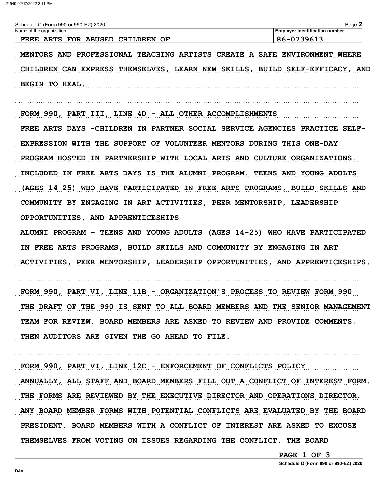| Schedule O (Form 990 or 990-EZ) 2020 | $P$ aqe $\blacktriangle$       |
|--------------------------------------|--------------------------------|
| Name of the organization             | Employer identification number |
| FREE ARTS FOR ABUSED CHILDREN OF     | 86-0739613                     |

MENTORS AND PROFESSIONAL TEACHING ARTISTS CREATE A SAFE ENVIRONMENT WHERE CHILDREN CAN EXPRESS THEMSELVES, LEARN NEW SKILLS, BUILD SELF-EFFICACY, AND BEGIN TO HEAL.

FORM 990, PART III, LINE 4D - ALL OTHER ACCOMPLISHMENTS FREE ARTS DAYS -CHILDREN IN PARTNER SOCIAL SERVICE AGENCIES PRACTICE SELF-EXPRESSION WITH THE SUPPORT OF VOLUNTEER MENTORS DURING THIS ONE-DAY PROGRAM HOSTED IN PARTNERSHIP WITH LOCAL ARTS AND CULTURE ORGANIZATIONS. INCLUDED IN FREE ARTS DAYS IS THE ALUMNI PROGRAM. TEENS AND YOUNG ADULTS (AGES 14-25) WHO HAVE PARTICIPATED IN FREE ARTS PROGRAMS, BUILD SKILLS AND COMMUNITY BY ENGAGING IN ART ACTIVITIES, PEER MENTORSHIP, LEADERSHIP OPPORTUNITIES, AND APPRENTICESHIPS

ALUMNI PROGRAM - TEENS AND YOUNG ADULTS (AGES 14-25) WHO HAVE PARTICIPATED IN FREE ARTS PROGRAMS, BUILD SKILLS AND COMMUNITY BY ENGAGING IN ART ACTIVITIES, PEER MENTORSHIP, LEADERSHIP OPPORTUNITIES, AND APPRENTICESHIPS.

FORM 990, PART VI, LINE 11B - ORGANIZATION'S PROCESS TO REVIEW FORM 990 THE DRAFT OF THE 990 IS SENT TO ALL BOARD MEMBERS AND THE SENIOR MANAGEMENT TEAM FOR REVIEW. BOARD MEMBERS ARE ASKED TO REVIEW AND PROVIDE COMMENTS, THEN AUDITORS ARE GIVEN THE GO AHEAD TO FILE.

FORM 990, PART VI, LINE 12C - ENFORCEMENT OF CONFLICTS POLICY ANNUALLY, ALL STAFF AND BOARD MEMBERS FILL OUT A CONFLICT OF INTEREST FORM. THE FORMS ARE REVIEWED BY THE EXECUTIVE DIRECTOR AND OPERATIONS DIRECTOR. ANY BOARD MEMBER FORMS WITH POTENTIAL CONFLICTS ARE EVALUATED BY THE BOARD PRESIDENT. BOARD MEMBERS WITH A CONFLICT OF INTEREST ARE ASKED TO EXCUSE THEMSELVES FROM VOTING ON ISSUES REGARDING THE CONFLICT. THE BOARD

PAGE 1 OF 3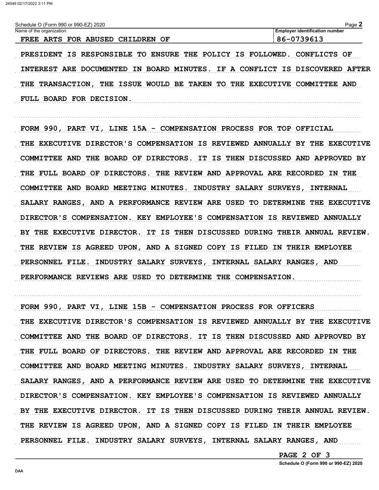| -<br>- |  |
|--------|--|

| Schedule O (Form 990 or 990-EZ) 2020   | $P$ aqe $\Box$                        |
|----------------------------------------|---------------------------------------|
| Name of the organization               | <b>Employer identification number</b> |
| ARTS FOR ABUSED CHILDREN<br>FREE<br>OF | 86-0739613                            |

PRESIDENT IS RESPONSIBLE TO ENSURE THE POLICY IS FOLLOWED. CONFLICTS OF INTEREST ARE DOCUMENTED IN BOARD MINUTES. IF A CONFLICT IS DISCOVERED AFTER THE TRANSACTION, THE ISSUE WOULD BE TAKEN TO THE EXECUTIVE COMMITTEE AND FULL BOARD FOR DECISION.

FORM 990, PART VI, LINE 15A - COMPENSATION PROCESS FOR TOP OFFICIAL THE EXECUTIVE DIRECTOR'S COMPENSATION IS REVIEWED ANNUALLY BY THE EXECUTIVE COMMITTEE AND THE BOARD OF DIRECTORS. IT IS THEN DISCUSSED AND APPROVED BY THE FULL BOARD OF DIRECTORS. THE REVIEW AND APPROVAL ARE RECORDED IN THE COMMITTEE AND BOARD MEETING MINUTES. INDUSTRY SALARY SURVEYS, INTERNAL SALARY RANGES, AND A PERFORMANCE REVIEW ARE USED TO DETERMINE THE EXECUTIVE DIRECTOR'S COMPENSATION. KEY EMPLOYEE'S COMPENSATION IS REVIEWED ANNUALLY BY THE EXECUTIVE DIRECTOR. IT IS THEN DISCUSSED DURING THEIR ANNUAL REVIEW. THE REVIEW IS AGREED UPON, AND A SIGNED COPY IS FILED IN THEIR EMPLOYEE PERSONNEL FILE. INDUSTRY SALARY SURVEYS, INTERNAL SALARY RANGES, AND PERFORMANCE REVIEWS ARE USED TO DETERMINE THE COMPENSATION.

FORM 990, PART VI, LINE 15B - COMPENSATION PROCESS FOR OFFICERS THE EXECUTIVE DIRECTOR'S COMPENSATION IS REVIEWED ANNUALLY BY THE EXECUTIVE COMMITTEE AND THE BOARD OF DIRECTORS. IT IS THEN DISCUSSED AND APPROVED BY THE FULL BOARD OF DIRECTORS. THE REVIEW AND APPROVAL ARE RECORDED IN THE COMMITTEE AND BOARD MEETING MINUTES. INDUSTRY SALARY SURVEYS, INTERNAL SALARY RANGES, AND A PERFORMANCE REVIEW ARE USED TO DETERMINE THE EXECUTIVE DIRECTOR'S COMPENSATION. KEY EMPLOYEE'S COMPENSATION IS REVIEWED ANNUALLY BY THE EXECUTIVE DIRECTOR. IT IS THEN DISCUSSED DURING THEIR ANNUAL REVIEW. THE REVIEW IS AGREED UPON, AND A SIGNED COPY IS FILED IN THEIR EMPLOYEE PERSONNEL FILE. INDUSTRY SALARY SURVEYS, INTERNAL SALARY RANGES, AND

PAGE 2 OF 3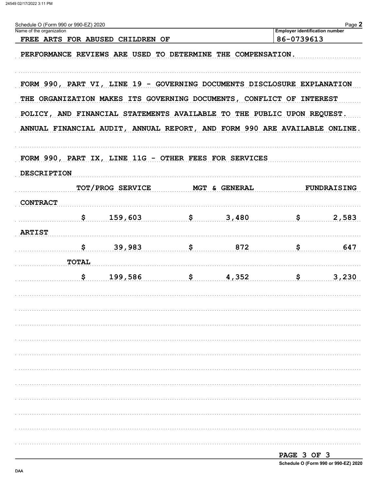24549 02/17/2022 3:11 PM

| Schedule O (Form 990 or 990-EZ) 2020<br>Name of the organization |              |                                                                           |  | <b>Employer identification number</b> | Page 2 |
|------------------------------------------------------------------|--------------|---------------------------------------------------------------------------|--|---------------------------------------|--------|
|                                                                  |              | FREE ARTS FOR ABUSED CHILDREN OF                                          |  | 86-0739613                            |        |
|                                                                  |              | PERFORMANCE REVIEWS ARE USED TO DETERMINE THE COMPENSATION.               |  |                                       |        |
|                                                                  |              | FORM 990, PART VI, LINE 19 - GOVERNING DOCUMENTS DISCLOSURE EXPLANATION   |  |                                       |        |
|                                                                  |              | THE ORGANIZATION MAKES ITS GOVERNING DOCUMENTS, CONFLICT OF INTEREST      |  |                                       |        |
|                                                                  |              | POLICY, AND FINANCIAL STATEMENTS AVAILABLE TO THE PUBLIC UPON REQUEST.    |  |                                       |        |
|                                                                  |              | ANNUAL FINANCIAL AUDIT, ANNUAL REPORT, AND FORM 990 ARE AVAILABLE ONLINE. |  |                                       |        |
|                                                                  |              | FORM 990, PART IX, LINE 11G - OTHER FEES FOR SERVICES                     |  |                                       |        |
| <b>DESCRIPTION</b>                                               |              |                                                                           |  |                                       |        |
|                                                                  |              | TOT/PROG SERVICE MGT & GENERAL FUNDRAISING                                |  |                                       |        |
| <b>CONTRACT</b>                                                  |              |                                                                           |  |                                       |        |
|                                                                  |              | $\frac{159,603}{2,583}$ \$ 3,480 \$ 2,583                                 |  |                                       |        |
| <b>ARTIST</b>                                                    |              |                                                                           |  |                                       |        |
|                                                                  |              | $\frac{1}{5}$ 39,983 $\frac{1}{5}$ 872                                    |  | $\sim$ 647                            |        |
|                                                                  | <b>TOTAL</b> |                                                                           |  |                                       |        |
|                                                                  | \$           | $199,586$ \$ 4,352                                                        |  |                                       | 3,230  |
|                                                                  |              |                                                                           |  |                                       |        |
|                                                                  |              |                                                                           |  |                                       |        |
|                                                                  |              |                                                                           |  |                                       |        |
|                                                                  |              |                                                                           |  |                                       |        |
|                                                                  |              |                                                                           |  |                                       |        |
|                                                                  |              |                                                                           |  |                                       |        |
|                                                                  |              |                                                                           |  |                                       |        |
|                                                                  |              |                                                                           |  |                                       |        |
|                                                                  |              |                                                                           |  |                                       |        |
|                                                                  |              |                                                                           |  |                                       |        |
|                                                                  |              |                                                                           |  |                                       |        |
|                                                                  |              |                                                                           |  |                                       |        |

| PAGE 3 OF 3 |  |                                      |
|-------------|--|--------------------------------------|
|             |  | Schedule O (Form 990 or 990-EZ) 2020 |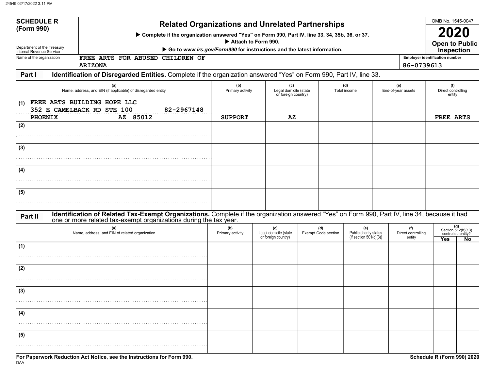| <b>SCHEDULE R</b><br>(Form 990) | <b>Related Organizations and Unrelated Partnerships</b>                                                                                                                                                            |                         |                                                     |                                   |                                                           |                                     | OMB No. 1545-0047                                          |                                                   |
|---------------------------------|--------------------------------------------------------------------------------------------------------------------------------------------------------------------------------------------------------------------|-------------------------|-----------------------------------------------------|-----------------------------------|-----------------------------------------------------------|-------------------------------------|------------------------------------------------------------|---------------------------------------------------|
| Department of the Treasury      | > Complete if the organization answered "Yes" on Form 990, Part IV, line 33, 34, 35b, 36, or 37.                                                                                                                   | Attach to Form 990.     |                                                     |                                   |                                                           |                                     | <b>2020</b><br><b>Open to Public</b>                       |                                                   |
| Internal Revenue Service        | Go to www.irs.gov/Form990 for instructions and the latest information.                                                                                                                                             |                         |                                                     |                                   |                                                           |                                     | <b>Inspection</b><br><b>Employer identification number</b> |                                                   |
| Name of the organization        | FREE ARTS FOR ABUSED CHILDREN OF<br><b>ARIZONA</b>                                                                                                                                                                 |                         |                                                     |                                   |                                                           | 86-0739613                          |                                                            |                                                   |
| Part I                          | Identification of Disregarded Entities. Complete if the organization answered "Yes" on Form 990, Part IV, line 33.                                                                                                 |                         |                                                     |                                   |                                                           |                                     |                                                            |                                                   |
|                                 |                                                                                                                                                                                                                    |                         |                                                     |                                   |                                                           |                                     |                                                            |                                                   |
|                                 | (a)<br>Name, address, and EIN (if applicable) of disregarded entity                                                                                                                                                | (b)<br>Primary activity | (c)<br>Legal domicile (state<br>or foreign country) |                                   | (d)<br>Total income                                       | (e)<br>End-of-year assets           | (f)<br>Direct controlling<br>entity                        |                                                   |
| (1)<br><b>PHOENIX</b>           | FREE ARTS BUILDING HOPE LLC<br>352 E CAMELBACK RD STE 100<br>82-2967148<br>AZ 85012                                                                                                                                | <b>SUPPORT</b>          | AZ                                                  |                                   |                                                           |                                     | FREE ARTS                                                  |                                                   |
| (2)                             |                                                                                                                                                                                                                    |                         |                                                     |                                   |                                                           |                                     |                                                            |                                                   |
|                                 |                                                                                                                                                                                                                    |                         |                                                     |                                   |                                                           |                                     |                                                            |                                                   |
| (3)                             |                                                                                                                                                                                                                    |                         |                                                     |                                   |                                                           |                                     |                                                            |                                                   |
| (4)                             |                                                                                                                                                                                                                    |                         |                                                     |                                   |                                                           |                                     |                                                            |                                                   |
|                                 |                                                                                                                                                                                                                    |                         |                                                     |                                   |                                                           |                                     |                                                            |                                                   |
| (5)                             |                                                                                                                                                                                                                    |                         |                                                     |                                   |                                                           |                                     |                                                            |                                                   |
| Part II                         | Identification of Related Tax-Exempt Organizations. Complete if the organization answered "Yes" on Form 990, Part IV, line 34, because it had<br>one or more related tax-exempt organizations during the tax year. |                         |                                                     |                                   |                                                           |                                     |                                                            |                                                   |
|                                 | (a)<br>Name, address, and EIN of related organization                                                                                                                                                              | (b)<br>Primary activity | (c)<br>Legal domicile (state<br>or foreign country) | (d)<br><b>Exempt Code section</b> | (e)<br>Public charity status<br>(if section $501(c)(3)$ ) | (f)<br>Direct controlling<br>entity |                                                            | $(g)$<br>Section 512(b)(13)<br>controlled entity? |
| (1)                             |                                                                                                                                                                                                                    |                         |                                                     |                                   |                                                           |                                     | Yes                                                        | No                                                |
|                                 |                                                                                                                                                                                                                    |                         |                                                     |                                   |                                                           |                                     |                                                            |                                                   |
| (2)                             |                                                                                                                                                                                                                    |                         |                                                     |                                   |                                                           |                                     |                                                            |                                                   |
| (3)                             |                                                                                                                                                                                                                    |                         |                                                     |                                   |                                                           |                                     |                                                            |                                                   |
|                                 |                                                                                                                                                                                                                    |                         |                                                     |                                   |                                                           |                                     |                                                            |                                                   |
| (4)                             |                                                                                                                                                                                                                    |                         |                                                     |                                   |                                                           |                                     |                                                            |                                                   |
|                                 |                                                                                                                                                                                                                    |                         |                                                     |                                   |                                                           |                                     |                                                            |                                                   |
| (5)                             |                                                                                                                                                                                                                    |                         |                                                     |                                   |                                                           |                                     |                                                            |                                                   |
|                                 | For Paperwork Reduction Act Notice, see the Instructions for Form 990.                                                                                                                                             |                         |                                                     |                                   |                                                           |                                     | Schedule R (Form 990) 2020                                 |                                                   |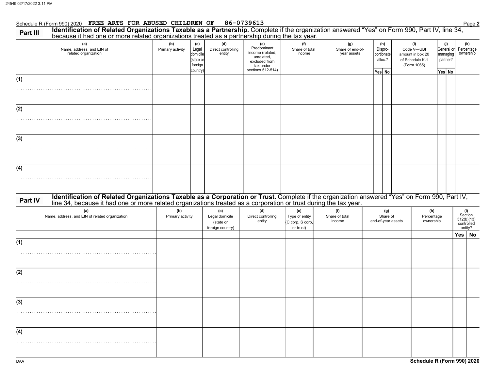### Schedule R (Form 990) 2020 FREE ARTS FOR ABUSED CHILDREN OF 86-0739613 (a) (b) (c) (d) (e) (f) . . . . . . . . . . . . . . . . . . . . . . . . . . . . . . . . . . . . . . . . . . . . . . . . . . . . . . . . . . . . Name, address, and EIN of Primary activity | Legal domicile (state or foreign country) Direct controlling entity Predominant income (related, unrelated, Share of total portionate alloc.? Yes | No | No | No | Yes | No  $(g)$  (h) . Share of end-ofyear assets Dispro-Part III Identification of Related Organizations Taxable as a Partnership. Complete if the organization answered "Yes" on Form 990, Part IV, line 34, (i) of Schedule K-1 Code V—UBI . . . . . . . . . . . . . . . . . . . . . . . . . . . . . . . . . . . . . . . . . . . . . . . . . . . . . . . . . . . . . . . . . . . . . . . . . . . . . . . . . . . . . . . . . . . . . . . . . . . . . . . . . . . . . . . . . . . . . . . . . . . . . . . . . . . . . . . . . . . . . . . . . . . . . . . . . . . . . . . . . . . . . . . . . . . . . . . . . . . . . . . . . . . . . . . . . . . . . . . . . . . . . . . . . . . . . . . . . . . . . . . . . . . . . . . . . . . . . . . . . . . . . . . . . . . . . . . . . . . . . . . . . . . . . . . . . . . . . . . . . . . . . . . . . . . . . . . . . . . . . . . . . . . . . . . . . . . . . . . . . . . . . . . . . . . . . . . . . . . . . . . . . . . . . . . . . . . . . . . . . . . . . . . . . . . . . . . . . . . . . . . . . . . . . . . . . . . . . . . . . . . . . . . . . . . . . . . . . . . . . . . . . . . . **Identification of Related Organizations Taxable as a Corporation or Trust.** Complete if the organization answered "Yes" on Form 990, Part IV, Part IV, (a) (b) (c) (d) (e) (f) (f) (g) (g) (h) Name, address, and EIN of related organization **Primary activity** Legal domicile (state or foreign country) Direct controlling entity Type of entity (C corp, S corp, or trust) Share of total Share of end-of-year assets Percentage ownership amount in box 20 (Form 1065) because it had one or more related organizations treated as a partnership during the tax year. excluded from tax under sections 512-514) line 34, because it had one or more related organizations treated as a corporation or trust during the tax year. (4) (3) (2) (1) (1) (2) (3) (4) income income related organization

ownership Percentage (k)

512(b)(13) Section (i)

entity? Yes | No controlled

General or managing partner?

(j)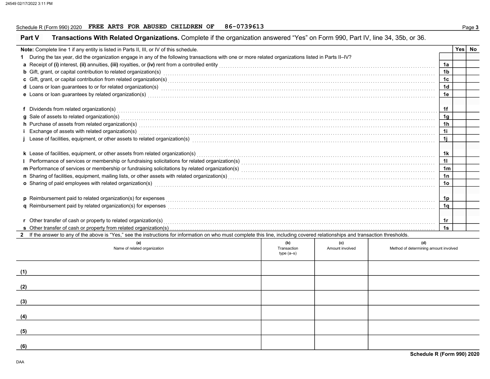## Schedule R (Form 990) 2020 FREE ARTS FOR ABUSED CHILDREN OF 86-0739613

| <b>Part V</b> | Transactions With Related Organizations. Complete if the organization answered "Yes" on Form 990, Part IV, line 34, 35b, or 36.                                                                                                     |                             |                 |                                       |    |        |
|---------------|-------------------------------------------------------------------------------------------------------------------------------------------------------------------------------------------------------------------------------------|-----------------------------|-----------------|---------------------------------------|----|--------|
|               | Note: Complete line 1 if any entity is listed in Parts II, III, or IV of this schedule.                                                                                                                                             |                             |                 |                                       |    | Yes No |
| 1.            | During the tax year, did the organization engage in any of the following transactions with one or more related organizations listed in Parts II-IV?                                                                                 |                             |                 |                                       |    |        |
|               |                                                                                                                                                                                                                                     |                             |                 |                                       | 1a |        |
|               | <b>b</b> Gift, grant, or capital contribution to related organization(s) encourse contained and contained a subsequent or capital contribution to related organization(s)                                                           |                             |                 |                                       | 1b |        |
|               |                                                                                                                                                                                                                                     |                             |                 |                                       | 1c |        |
|               | d Loans or loan guarantees to or for related organization(s)<br>interaction contract to contract the contract to contract the contract to contract the contract of the contract or contract to contract the contract of the cont    |                             |                 |                                       | 1d |        |
|               | e Loans or loan guarantees by related organization(s)<br>interaction continuous continuous continuous continuous continuous contractions and the contract of the contract or continuous contract or contract or contract or cont    |                             |                 |                                       | 1e |        |
|               | f Dividends from related organization(s) with an example and contact the control of the control of the contact of the control of the contact of the contact of the contact of the contact of the contact of the contact of the      |                             |                 |                                       | 1f |        |
|               | g Sale of assets to related organization(s) with an example and contact the control of the set of assets to related organization(s) with an example and contact the set of assets to related organization(s)                        |                             |                 |                                       | 1g |        |
|               | h Purchase of assets from related organization(s) encourance contains and contains a container and container and container and container and container and container and container and container and container and container a      |                             |                 |                                       | 1h |        |
|               | Exchange of assets with related organization(s) encourance contains a construction of the contact or contact the contact or contact or contact or contact or contact or contact or contact or contact or contact or contact or      |                             |                 |                                       | 1i |        |
|               | Lease of facilities, equipment, or other assets to related organization(s)<br>interaction (success) interactions contains the content content content content content content content content of the content of the content of t    |                             |                 |                                       | 1i |        |
|               |                                                                                                                                                                                                                                     |                             |                 |                                       |    |        |
|               | k Lease of facilities, equipment, or other assets from related organization(s)                                                                                                                                                      |                             |                 |                                       | 1k |        |
|               | Performance of services or membership or fundraising solicitations for related organization(s)<br>and the comparison of the comparison contraction contractions comparison control of service or fund as a fund                     |                             |                 |                                       | 11 |        |
|               |                                                                                                                                                                                                                                     |                             |                 |                                       | 1m |        |
|               |                                                                                                                                                                                                                                     |                             |                 |                                       | 1n |        |
|               | o Sharing of paid employees with related organization(s) encounteral contracts and contain a substantial container with related organization(s) encouragement and container and container and container and container and cont      |                             |                 |                                       | 1o |        |
|               | p Reimbursement paid to related organization(s) for expenses <b>Conservation conservation</b> conservation conservation conservation conservation conservation conservation conservation conservation conservation conservation con |                             |                 |                                       | 1p |        |
|               | q Reimbursement paid by related organization(s) for expenses <b>construction construction</b> construction construction                                                                                                             |                             |                 |                                       | 1q |        |
|               |                                                                                                                                                                                                                                     |                             |                 |                                       |    |        |
|               | r Other transfer of cash or property to related organization(s) CONCORDIAL CONCORDIAL CONCORDIAL CONCORDIATION                                                                                                                      |                             |                 |                                       | 1r |        |
|               |                                                                                                                                                                                                                                     |                             |                 |                                       | 1s |        |
|               | 2 If the answer to any of the above is "Yes," see the instructions for information on who must complete this line, including covered relationships and transaction thresholds.                                                      |                             |                 |                                       |    |        |
|               | (a)                                                                                                                                                                                                                                 | (b)                         | (c)             | (d)                                   |    |        |
|               | Name of related organization                                                                                                                                                                                                        | Transaction<br>type $(a-s)$ | Amount involved | Method of determining amount involved |    |        |
| (1)           |                                                                                                                                                                                                                                     |                             |                 |                                       |    |        |
|               |                                                                                                                                                                                                                                     |                             |                 |                                       |    |        |
| (2)           |                                                                                                                                                                                                                                     |                             |                 |                                       |    |        |
| (3)           |                                                                                                                                                                                                                                     |                             |                 |                                       |    |        |
| (4)           |                                                                                                                                                                                                                                     |                             |                 |                                       |    |        |
|               |                                                                                                                                                                                                                                     |                             |                 |                                       |    |        |
| (5)           |                                                                                                                                                                                                                                     |                             |                 |                                       |    |        |
| (6)           |                                                                                                                                                                                                                                     |                             |                 |                                       |    |        |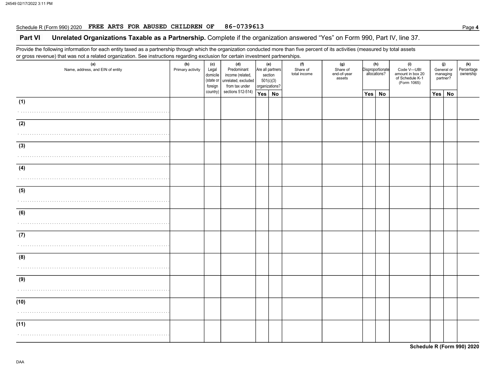## Schedule R (Form 990) 2020 FREE ARTS FOR ABUSED CHILDREN OF 86-0739613

### Part VI Unrelated Organizations Taxable as a Partnership. Complete if the organization answered "Yes" on Form 990, Part IV, line 37.

Provide the following information for each entity taxed as a partnership through which the organization conducted more than five percent of its activities (measured by total assets or gross revenue) that was not a related organization. See instructions regarding exclusion for certain investment partnerships.

| (a)<br>Name, address, and EIN of entity | - <del>ه</del><br>(b)<br>Primary activity | (c)<br>Legal<br>domicile<br>(state or<br>foreign | (d)<br>Predominant<br>income (related,<br>unrelated, excluded<br>from tax under | 501(c)(3)<br>organizations? | (e)<br>Are all partners<br>section | (f)<br>Share of<br>total income | (g)<br>Share of<br>end-of-year<br>assets |          | (h)<br>Disproportionate<br>allocations? | (i)<br>Code V-UBI<br>amount in box 20<br>of Schedule K-1<br>(Form 1065) | managing<br>partner? | (j)<br>General or | (k)<br>Percentage<br>ownership |
|-----------------------------------------|-------------------------------------------|--------------------------------------------------|---------------------------------------------------------------------------------|-----------------------------|------------------------------------|---------------------------------|------------------------------------------|----------|-----------------------------------------|-------------------------------------------------------------------------|----------------------|-------------------|--------------------------------|
|                                         |                                           | country)                                         | sections 512-514)                                                               | Yes $\vert$ No              |                                    |                                 |                                          | Yes   No |                                         |                                                                         | Yes                  | <b>No</b>         |                                |
| (1)                                     |                                           |                                                  |                                                                                 |                             |                                    |                                 |                                          |          |                                         |                                                                         |                      |                   |                                |
| (2)<br>.                                |                                           |                                                  |                                                                                 |                             |                                    |                                 |                                          |          |                                         |                                                                         |                      |                   |                                |
| (3)                                     |                                           |                                                  |                                                                                 |                             |                                    |                                 |                                          |          |                                         |                                                                         |                      |                   |                                |
| (4)                                     |                                           |                                                  |                                                                                 |                             |                                    |                                 |                                          |          |                                         |                                                                         |                      |                   |                                |
| (5)                                     |                                           |                                                  |                                                                                 |                             |                                    |                                 |                                          |          |                                         |                                                                         |                      |                   |                                |
| (6)                                     |                                           |                                                  |                                                                                 |                             |                                    |                                 |                                          |          |                                         |                                                                         |                      |                   |                                |
| (7)                                     |                                           |                                                  |                                                                                 |                             |                                    |                                 |                                          |          |                                         |                                                                         |                      |                   |                                |
| (8)                                     |                                           |                                                  |                                                                                 |                             |                                    |                                 |                                          |          |                                         |                                                                         |                      |                   |                                |
| (9)                                     |                                           |                                                  |                                                                                 |                             |                                    |                                 |                                          |          |                                         |                                                                         |                      |                   |                                |
| (10)                                    |                                           |                                                  |                                                                                 |                             |                                    |                                 |                                          |          |                                         |                                                                         |                      |                   |                                |
| (11)                                    |                                           |                                                  |                                                                                 |                             |                                    |                                 |                                          |          |                                         |                                                                         |                      |                   |                                |

Schedule R (Form 990) 2020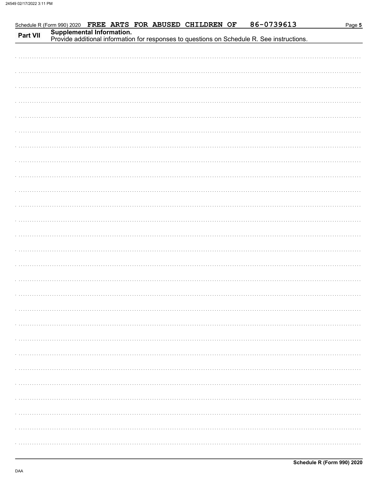|          | Schedule R (Form 990) 2020 FREE ARTS FOR ABUSED CHILDREN OF |  |  |  | 86-0739613                                                                                                              | Page 5 |
|----------|-------------------------------------------------------------|--|--|--|-------------------------------------------------------------------------------------------------------------------------|--------|
| Part VII |                                                             |  |  |  | Supplemental Information.<br>Provide additional information for responses to questions on Schedule R. See instructions. |        |
|          |                                                             |  |  |  |                                                                                                                         |        |
|          |                                                             |  |  |  |                                                                                                                         |        |
|          |                                                             |  |  |  |                                                                                                                         |        |
|          |                                                             |  |  |  |                                                                                                                         |        |
|          |                                                             |  |  |  |                                                                                                                         |        |
|          |                                                             |  |  |  |                                                                                                                         |        |
|          |                                                             |  |  |  |                                                                                                                         |        |
|          |                                                             |  |  |  |                                                                                                                         |        |
|          |                                                             |  |  |  |                                                                                                                         |        |
|          |                                                             |  |  |  |                                                                                                                         |        |
|          |                                                             |  |  |  |                                                                                                                         |        |
|          |                                                             |  |  |  |                                                                                                                         |        |
|          |                                                             |  |  |  |                                                                                                                         |        |
|          |                                                             |  |  |  |                                                                                                                         |        |
|          |                                                             |  |  |  |                                                                                                                         |        |
|          |                                                             |  |  |  |                                                                                                                         |        |
|          |                                                             |  |  |  |                                                                                                                         |        |
|          |                                                             |  |  |  |                                                                                                                         |        |
|          |                                                             |  |  |  |                                                                                                                         |        |
|          |                                                             |  |  |  |                                                                                                                         |        |
|          |                                                             |  |  |  |                                                                                                                         |        |
|          |                                                             |  |  |  |                                                                                                                         |        |
|          |                                                             |  |  |  |                                                                                                                         |        |
|          |                                                             |  |  |  |                                                                                                                         |        |
|          |                                                             |  |  |  |                                                                                                                         |        |
|          |                                                             |  |  |  |                                                                                                                         |        |
|          |                                                             |  |  |  |                                                                                                                         |        |
|          |                                                             |  |  |  |                                                                                                                         |        |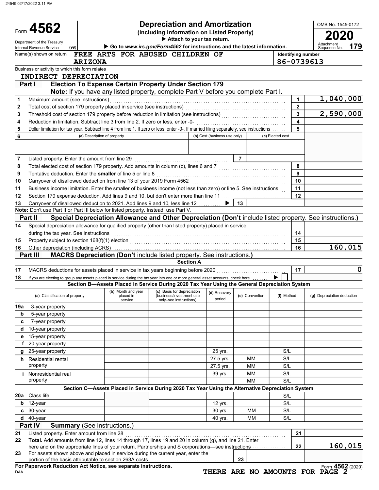24549 02/17/2022 3:11 PM

|              | Form 4562                                                                                                                               |                             |                                                                                                   | <b>Depreciation and Amortization</b>                                             |                              |                |                  |                           | OMB No. 1545-0172                                                                                        |
|--------------|-----------------------------------------------------------------------------------------------------------------------------------------|-----------------------------|---------------------------------------------------------------------------------------------------|----------------------------------------------------------------------------------|------------------------------|----------------|------------------|---------------------------|----------------------------------------------------------------------------------------------------------|
|              |                                                                                                                                         |                             |                                                                                                   | (Including Information on Listed Property)                                       |                              |                |                  |                           | 2020                                                                                                     |
|              | Department of the Treasury                                                                                                              |                             |                                                                                                   |                                                                                  | Attach to your tax return.   |                |                  |                           |                                                                                                          |
|              | (99)<br>Internal Revenue Service                                                                                                        |                             | Go to www.irs.gov/Form4562 for instructions and the latest information.                           |                                                                                  |                              |                |                  |                           | Attachment<br>179<br>Sequence No                                                                         |
|              | Name(s) shown on return                                                                                                                 |                             | FREE ARTS FOR ABUSED CHILDREN OF                                                                  |                                                                                  |                              |                |                  | <b>Identifying number</b> |                                                                                                          |
|              |                                                                                                                                         | <b>ARIZONA</b>              |                                                                                                   |                                                                                  |                              |                |                  | 86-0739613                |                                                                                                          |
|              | Business or activity to which this form relates                                                                                         |                             |                                                                                                   |                                                                                  |                              |                |                  |                           |                                                                                                          |
|              | INDIRECT DEPRECIATION                                                                                                                   |                             |                                                                                                   |                                                                                  |                              |                |                  |                           |                                                                                                          |
|              | Part I                                                                                                                                  |                             | <b>Election To Expense Certain Property Under Section 179</b>                                     |                                                                                  |                              |                |                  |                           |                                                                                                          |
|              |                                                                                                                                         |                             | Note: If you have any listed property, complete Part V before you complete Part I.                |                                                                                  |                              |                |                  |                           |                                                                                                          |
| 1            | Maximum amount (see instructions)                                                                                                       |                             |                                                                                                   |                                                                                  |                              |                |                  | 1                         | 1,040,000                                                                                                |
| $\mathbf{2}$ | Total cost of section 179 property placed in service (see instructions)                                                                 |                             |                                                                                                   |                                                                                  |                              |                |                  | 2                         |                                                                                                          |
| 3            |                                                                                                                                         |                             |                                                                                                   |                                                                                  |                              |                |                  | 3                         | 2,590,000                                                                                                |
| 4            | Reduction in limitation. Subtract line 3 from line 2. If zero or less, enter -0-                                                        |                             |                                                                                                   |                                                                                  |                              |                |                  | 4                         |                                                                                                          |
| 5            | Dollar limitation for tax year. Subtract line 4 from line 1. If zero or less, enter -0-. If married filing separately, see instructions |                             |                                                                                                   |                                                                                  |                              |                |                  | 5                         |                                                                                                          |
| 6            |                                                                                                                                         | (a) Description of property |                                                                                                   |                                                                                  | (b) Cost (business use only) |                | (c) Elected cost |                           |                                                                                                          |
|              |                                                                                                                                         |                             |                                                                                                   |                                                                                  |                              |                |                  |                           |                                                                                                          |
|              |                                                                                                                                         |                             |                                                                                                   |                                                                                  |                              |                |                  |                           |                                                                                                          |
| 7            | Listed property. Enter the amount from line 29                                                                                          |                             |                                                                                                   |                                                                                  |                              | $\overline{7}$ |                  |                           |                                                                                                          |
| 8            | Total elected cost of section 179 property. Add amounts in column (c), lines 6 and 7                                                    |                             |                                                                                                   |                                                                                  |                              |                |                  | 8                         |                                                                                                          |
| 9            | Tentative deduction. Enter the smaller of line 5 or line 8                                                                              |                             |                                                                                                   |                                                                                  |                              |                |                  | 9                         |                                                                                                          |
| 10           | Carryover of disallowed deduction from line 13 of your 2019 Form 4562                                                                   |                             |                                                                                                   |                                                                                  |                              |                |                  | 10                        |                                                                                                          |
| 11           | Business income limitation. Enter the smaller of business income (not less than zero) or line 5. See instructions                       |                             |                                                                                                   |                                                                                  |                              |                |                  | 11                        |                                                                                                          |
| 12           | Section 179 expense deduction. Add lines 9 and 10, but don't enter more than line 11                                                    |                             |                                                                                                   |                                                                                  |                              |                |                  | 12                        |                                                                                                          |
| 13           | Carryover of disallowed deduction to 2021. Add lines 9 and 10, less line 12                                                             |                             |                                                                                                   |                                                                                  | ▶                            | 13             |                  |                           |                                                                                                          |
|              | Note: Don't use Part II or Part III below for listed property. Instead, use Part V.                                                     |                             |                                                                                                   |                                                                                  |                              |                |                  |                           |                                                                                                          |
|              | Part II                                                                                                                                 |                             |                                                                                                   |                                                                                  |                              |                |                  |                           | Special Depreciation Allowance and Other Depreciation (Don't include listed property. See instructions.) |
| 14           | Special depreciation allowance for qualified property (other than listed property) placed in service                                    |                             |                                                                                                   |                                                                                  |                              |                |                  |                           |                                                                                                          |
|              | during the tax year. See instructions                                                                                                   |                             |                                                                                                   |                                                                                  |                              |                |                  | 14                        |                                                                                                          |
| 15           |                                                                                                                                         |                             |                                                                                                   |                                                                                  |                              |                |                  | 15                        |                                                                                                          |
| 16           |                                                                                                                                         |                             |                                                                                                   |                                                                                  |                              |                |                  | 16                        | 160,015                                                                                                  |
|              | Part III                                                                                                                                |                             | <b>MACRS Depreciation (Don't include listed property. See instructions.)</b>                      |                                                                                  |                              |                |                  |                           |                                                                                                          |
|              |                                                                                                                                         |                             |                                                                                                   | <b>Section A</b>                                                                 |                              |                |                  |                           |                                                                                                          |
| 17           | MACRS deductions for assets placed in service in tax years beginning before 2020                                                        |                             |                                                                                                   |                                                                                  |                              |                |                  | 17                        | 0                                                                                                        |
| 18           | If you are electing to group any assets placed in service during the tax year into one or more general asset accounts, check here       |                             |                                                                                                   |                                                                                  |                              |                |                  |                           |                                                                                                          |
|              |                                                                                                                                         |                             | Section B-Assets Placed in Service During 2020 Tax Year Using the General Depreciation System     |                                                                                  |                              |                |                  |                           |                                                                                                          |
|              | (a) Classification of property                                                                                                          |                             | (b) Month and year<br>placed in<br>service                                                        | (c) Basis for depreciation<br>(business/investment use<br>only-see instructions) | (d) Recovery<br>period       | (e) Convention | (f) Method       |                           | (g) Depreciation deduction                                                                               |
| 19a          | 3-year property                                                                                                                         |                             |                                                                                                   |                                                                                  |                              |                |                  |                           |                                                                                                          |
| b            | 5-year property                                                                                                                         |                             |                                                                                                   |                                                                                  |                              |                |                  |                           |                                                                                                          |
| c            | 7-year property                                                                                                                         |                             |                                                                                                   |                                                                                  |                              |                |                  |                           |                                                                                                          |
| d            | 10-year property                                                                                                                        |                             |                                                                                                   |                                                                                  |                              |                |                  |                           |                                                                                                          |
| е            | 15-year property                                                                                                                        |                             |                                                                                                   |                                                                                  |                              |                |                  |                           |                                                                                                          |
|              | f 20-year property                                                                                                                      |                             |                                                                                                   |                                                                                  |                              |                |                  |                           |                                                                                                          |
| g            | 25-year property                                                                                                                        |                             |                                                                                                   |                                                                                  | 25 yrs.                      |                | S/L              |                           |                                                                                                          |
|              | h Residential rental                                                                                                                    |                             |                                                                                                   |                                                                                  | 27.5 yrs.                    | <b>MM</b>      | S/L              |                           |                                                                                                          |
|              | property                                                                                                                                |                             |                                                                                                   |                                                                                  | 27.5 yrs.                    | <b>MM</b>      | S/L              |                           |                                                                                                          |
|              | <i>i</i> Nonresidential real                                                                                                            |                             |                                                                                                   |                                                                                  | 39 yrs.                      | <b>MM</b>      | S/L              |                           |                                                                                                          |
|              | property                                                                                                                                |                             |                                                                                                   |                                                                                  |                              | <b>MM</b>      | S/L              |                           |                                                                                                          |
|              |                                                                                                                                         |                             | Section C-Assets Placed in Service During 2020 Tax Year Using the Alternative Depreciation System |                                                                                  |                              |                |                  |                           |                                                                                                          |
| 20a          | Class life                                                                                                                              |                             |                                                                                                   |                                                                                  |                              |                | S/L              |                           |                                                                                                          |
|              | $b$ 12-year                                                                                                                             |                             |                                                                                                   |                                                                                  | 12 yrs.                      |                | S/L              |                           |                                                                                                          |
|              | c 30-year                                                                                                                               |                             |                                                                                                   |                                                                                  | 30 yrs.                      | <b>MM</b>      | S/L              |                           |                                                                                                          |
|              | d 40-year                                                                                                                               |                             |                                                                                                   |                                                                                  | 40 yrs.                      | MM             | S/L              |                           |                                                                                                          |
|              | Part IV                                                                                                                                 |                             | <b>Summary (See instructions.)</b>                                                                |                                                                                  |                              |                |                  |                           |                                                                                                          |
| 21           | Listed property. Enter amount from line 28                                                                                              |                             |                                                                                                   |                                                                                  |                              |                |                  | 21                        |                                                                                                          |
|              |                                                                                                                                         |                             |                                                                                                   |                                                                                  |                              |                |                  |                           |                                                                                                          |

| 22 | Total. Add amounts from line 12, lines 14 through 17, lines 19 and 20 in column (g), and line 21. Enter |    |    |         |
|----|---------------------------------------------------------------------------------------------------------|----|----|---------|
|    | here and on the appropriate lines of your return. Partnerships and S corporations—see instructions      |    | 22 | 160,015 |
| 23 | For assets shown above and placed in service during the current year, enter the                         |    |    |         |
|    | portion of the basis attributable to section 263A costs                                                 | 23 |    |         |

|  | OMB No. 1545-0172 |  |
|--|-------------------|--|
|--|-------------------|--|

| <b>Attachment</b> |  |
|-------------------|--|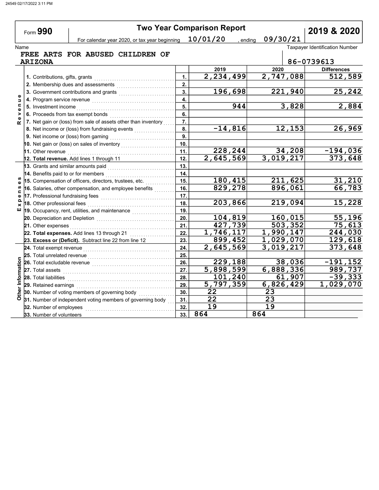|                               | Form 990                            |                                                                                                                                                                                                                                                                                                                                    |                  | <b>Two Year Comparison Report</b><br>10/01/20 |          | 09/30/21             | 2019 & 2020                           |
|-------------------------------|-------------------------------------|------------------------------------------------------------------------------------------------------------------------------------------------------------------------------------------------------------------------------------------------------------------------------------------------------------------------------------|------------------|-----------------------------------------------|----------|----------------------|---------------------------------------|
| Name                          |                                     | For calendar year 2020, or tax year beginning                                                                                                                                                                                                                                                                                      |                  |                                               | , ending |                      | <b>Taxpayer Identification Number</b> |
|                               |                                     | FREE ARTS FOR ABUSED CHILDREN OF                                                                                                                                                                                                                                                                                                   |                  |                                               |          |                      |                                       |
|                               | <b>ARIZONA</b>                      |                                                                                                                                                                                                                                                                                                                                    |                  |                                               |          |                      | 86-0739613                            |
|                               |                                     |                                                                                                                                                                                                                                                                                                                                    |                  | 2019                                          |          | 2020                 | <b>Differences</b>                    |
|                               | 1. Contributions, gifts, grants     |                                                                                                                                                                                                                                                                                                                                    | 1.               | 2,234,499                                     |          | 2,747,088            | 512,589                               |
|                               |                                     |                                                                                                                                                                                                                                                                                                                                    | 2.               |                                               |          |                      |                                       |
|                               |                                     | 3. Government contributions and grants                                                                                                                                                                                                                                                                                             | $\overline{3}$ . | 196,698                                       |          | $\overline{221,940}$ | 25,242                                |
| Φ<br>$\overline{\phantom{0}}$ |                                     |                                                                                                                                                                                                                                                                                                                                    | 4.               |                                               |          |                      |                                       |
| $\blacksquare$<br>$\bullet$   | 5. Investment income                |                                                                                                                                                                                                                                                                                                                                    | 5.               |                                               | 944      | 3,828                | 2,884                                 |
| >                             |                                     | 6. Proceeds from tax exempt bonds                                                                                                                                                                                                                                                                                                  | 6.               |                                               |          |                      |                                       |
| œ                             |                                     | 7. Net gain or (loss) from sale of assets other than inventory                                                                                                                                                                                                                                                                     | $\overline{7}$ . |                                               |          |                      |                                       |
|                               |                                     | 8. Net income or (loss) from fundraising events                                                                                                                                                                                                                                                                                    | 8.               | $-14,816$                                     |          | 12,153               | 26,969                                |
|                               |                                     |                                                                                                                                                                                                                                                                                                                                    | 9.               |                                               |          |                      |                                       |
|                               |                                     | 10. Net gain or (loss) on sales of inventory                                                                                                                                                                                                                                                                                       | 10.              |                                               |          |                      |                                       |
|                               |                                     |                                                                                                                                                                                                                                                                                                                                    | 11.              | 228,244                                       |          | 34,208               | $-194,036$                            |
|                               |                                     | 12. Total revenue. Add lines 1 through 11                                                                                                                                                                                                                                                                                          | 12.              | $\overline{2,645,569}$                        |          | 3,019,217            | 373,648                               |
|                               |                                     | 13. Grants and similar amounts paid<br>.                                                                                                                                                                                                                                                                                           | 13.              |                                               |          |                      |                                       |
|                               | 14. Benefits paid to or for members |                                                                                                                                                                                                                                                                                                                                    | 14.              |                                               |          |                      |                                       |
|                               |                                     | 15. Compensation of officers, directors, trustees, etc.                                                                                                                                                                                                                                                                            | 15.              | 180,415                                       |          | 211,625              | 31,210                                |
|                               |                                     | 16. Salaries, other compensation, and employee benefits                                                                                                                                                                                                                                                                            | 16.              | 829,278                                       |          | 896,061              | 66,783                                |
| Φ                             | 17. Professional fundraising fees   |                                                                                                                                                                                                                                                                                                                                    | 17.              |                                               |          |                      |                                       |
| $\Omega$                      | 18. Other professional fees         |                                                                                                                                                                                                                                                                                                                                    | 18.              | 203,866                                       |          | 219,094              | 15,228                                |
| ш                             |                                     | 19. Occupancy, rent, utilities, and maintenance <i>mail</i> occupancy                                                                                                                                                                                                                                                              | 19.              |                                               |          |                      |                                       |
|                               |                                     |                                                                                                                                                                                                                                                                                                                                    | 20.              | 104,819                                       |          | 160,015              | 55,196                                |
|                               |                                     |                                                                                                                                                                                                                                                                                                                                    | 21.              | 427,739                                       |          | 503,352              | 75,613                                |
|                               |                                     | 22. Total expenses. Add lines 13 through 21                                                                                                                                                                                                                                                                                        | 22.              | 1,746,117                                     |          | 1,990,147            | 244,030                               |
|                               |                                     | 23. Excess or (Deficit). Subtract line 22 from line 12                                                                                                                                                                                                                                                                             | 23.              | 899,452                                       |          | 1,029,070            | 129,618                               |
|                               |                                     |                                                                                                                                                                                                                                                                                                                                    | 24.              | 2,645,569                                     |          | 3,019,217            | 373,648                               |
|                               | 25. Total unrelated revenue         |                                                                                                                                                                                                                                                                                                                                    | 25.              |                                               |          |                      |                                       |
|                               | 26. Total excludable revenue        |                                                                                                                                                                                                                                                                                                                                    | 26.              | 229,188                                       |          | 38,036               | $-191, 152$                           |
|                               |                                     | <b>27.</b> Total assets <b>27.</b> Total assets <b>27.</b> Total assets <b>28.</b> The <b>28.</b> The <b>28.</b> The <b>28.</b> The <b>28.</b> The <b>28.</b> The <b>28.</b> The <b>28.</b> The <b>28.</b> The <b>28.</b> The <b>28.</b> The <b>28.</b> The <b>28.</b> The <b>28.</b> The <b>28.</b> The <b>28.</b> The <b>28.</b> | 27.              | 5,898,599                                     |          | 6,888,336            | 989,737                               |
| Other Information             | <b>28.</b> Total liabilities        |                                                                                                                                                                                                                                                                                                                                    | 28.              | 101,240                                       |          | 61,907               | $-39,333$                             |
|                               | 29. Retained earnings               |                                                                                                                                                                                                                                                                                                                                    | 29.              | 5,797,359                                     |          | 6,826,429            | 1,029,070                             |
|                               |                                     | 30. Number of voting members of governing body                                                                                                                                                                                                                                                                                     | 30.              | 22                                            |          | 23                   |                                       |
|                               |                                     | 31. Number of independent voting members of governing body                                                                                                                                                                                                                                                                         | 31.              | 22                                            |          | 23                   |                                       |
|                               | 32. Number of employees             |                                                                                                                                                                                                                                                                                                                                    | 32.              | 19                                            |          | 19                   |                                       |
|                               | 33. Number of volunteers            |                                                                                                                                                                                                                                                                                                                                    | 33.              | 864                                           |          | 864                  |                                       |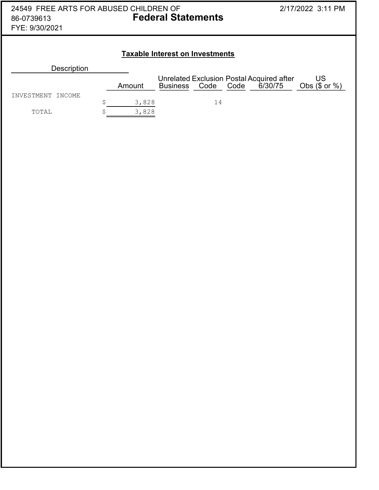| 24549 FREE ARTS FOR ABUSED CHILDREN OF<br>86-0739613<br>FYE: 9/30/2021 |             | <b>Federal Statements</b>              |      |      |                                                      | 2/17/2022 3:11 PM        |
|------------------------------------------------------------------------|-------------|----------------------------------------|------|------|------------------------------------------------------|--------------------------|
|                                                                        |             | <b>Taxable Interest on Investments</b> |      |      |                                                      |                          |
| <b>Description</b>                                                     |             |                                        |      |      |                                                      |                          |
|                                                                        | Amount      | <b>Business</b>                        | Code | Code | Unrelated Exclusion Postal Acquired after<br>6/30/75 | US<br>Obs $(\$$ or $%$ ) |
| INVESTMENT<br>INCOME                                                   | \$<br>3,828 |                                        | 14   |      |                                                      |                          |

TOTAL \$ 3,828

ŀ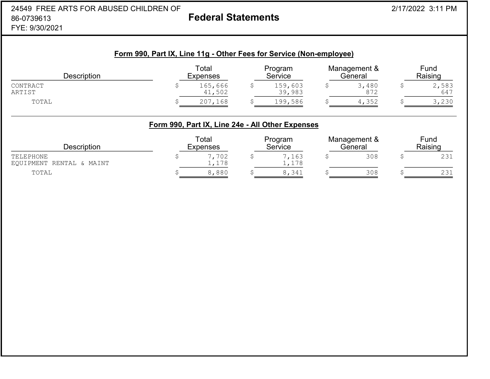| <b>Description</b> | Total<br><b>Expenses</b> | Program<br>Service | Management &<br>General | Fund<br>Raising |
|--------------------|--------------------------|--------------------|-------------------------|-----------------|
| CONTRACT<br>ARTIST | 165,666<br>41,502        | 159,603<br>39,983  | 3,480<br>872            | 2,583<br>647    |
| TOTAL              | 207,168                  | 199,586            | 4,352                   | 3,230           |

| Description                           | Total<br>Expenses                         | Program<br>Service | Management &<br>General | Fund<br>Raising |
|---------------------------------------|-------------------------------------------|--------------------|-------------------------|-----------------|
| TELEPHONE<br>EQUIPMENT RENTAL & MAINT | .702<br>$\overline{\phantom{0}}$<br>1,178 | ,163<br>1,178      | 308                     |                 |
| TOTAL                                 | 8,880                                     | 8,341              | 308                     | つつこ<br>. ب ک    |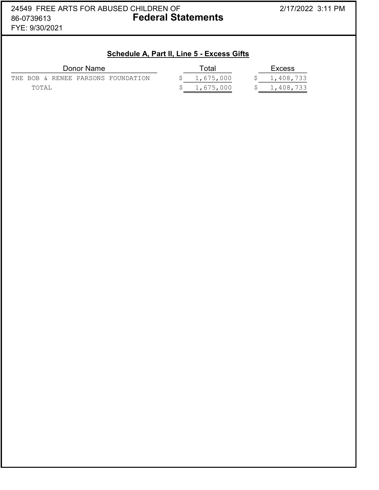# Schedule A, Part II, Line 5 - Excess Gifts

| Donor Name                         | Total       | Excess      |
|------------------------------------|-------------|-------------|
| THE BOB & RENEE PARSONS FOUNDATION | \$1,675,000 | \$1,408,733 |
| TOTAL                              | \$1,675,000 | \$1,408,733 |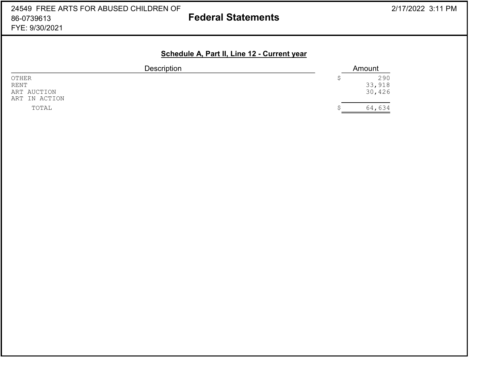# Schedule A, Part II, Line 12 - Current year

| <b>Description</b>                                   | Amount                  |
|------------------------------------------------------|-------------------------|
| OTHER<br><b>RENT</b><br>ART AUCTION<br>ART IN ACTION | 290<br>33,918<br>30,426 |
| TOTAL                                                | 64,634                  |

 $\vdash$